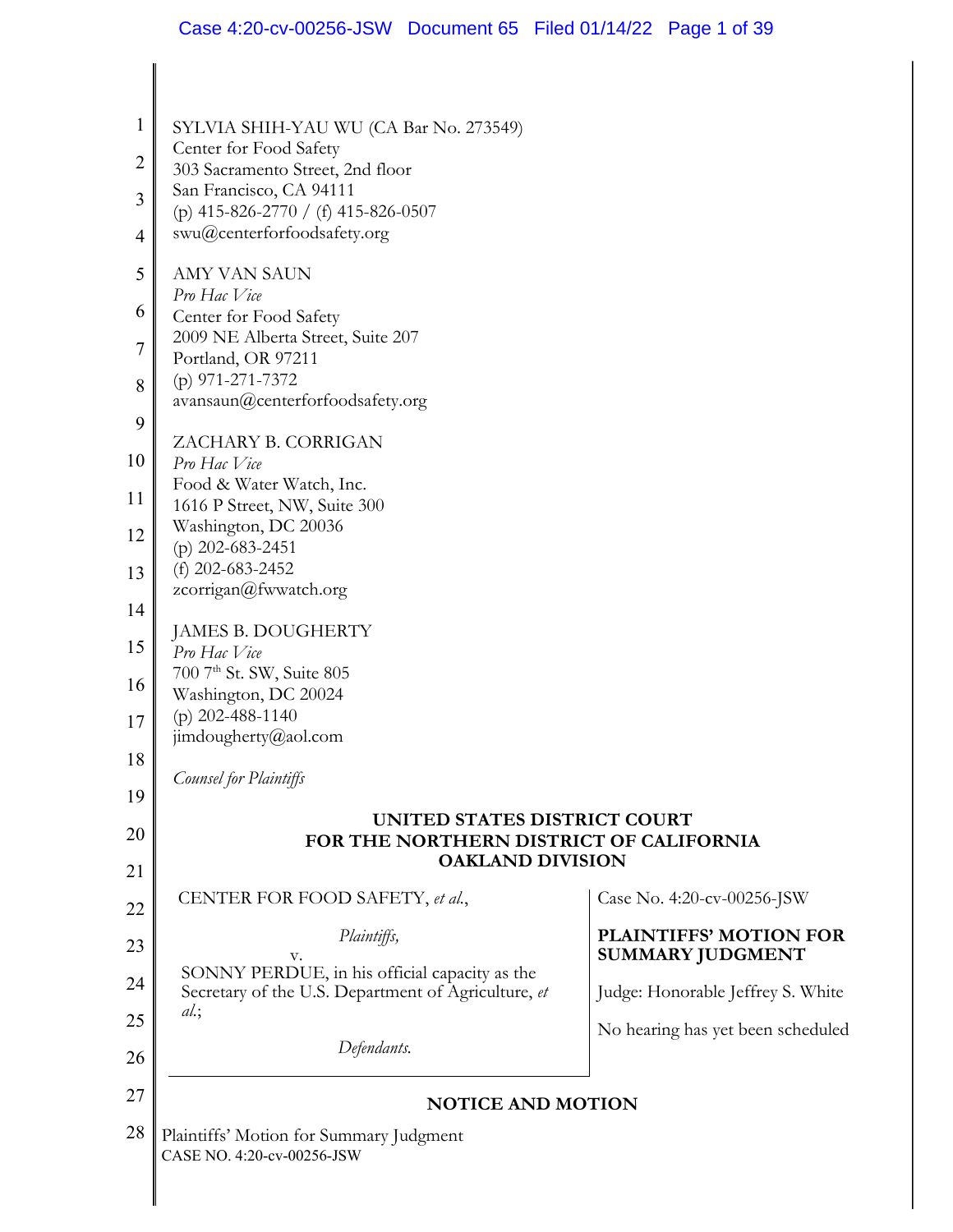| $\mathbf 1$    | SYLVIA SHIH-YAU WU (CA Bar No. 273549)<br>Center for Food Safety                                     |                                   |  |
|----------------|------------------------------------------------------------------------------------------------------|-----------------------------------|--|
| $\overline{2}$ | 303 Sacramento Street, 2nd floor                                                                     |                                   |  |
| 3              | San Francisco, CA 94111<br>(p) 415-826-2770 / (f) 415-826-0507                                       |                                   |  |
| $\overline{4}$ | swu@centerforfoodsafety.org                                                                          |                                   |  |
| 5              | <b>AMY VAN SAUN</b>                                                                                  |                                   |  |
| 6              | Pro Hac Vice<br>Center for Food Safety                                                               |                                   |  |
| $\overline{7}$ | 2009 NE Alberta Street, Suite 207                                                                    |                                   |  |
|                | Portland, OR 97211<br>$(p)$ 971-271-7372<br>avansaun@centerforfoodsafety.org                         |                                   |  |
| 8              |                                                                                                      |                                   |  |
| 9              |                                                                                                      |                                   |  |
| 10             | ZACHARY B. CORRIGAN<br>Pro Hac Vice                                                                  |                                   |  |
| 11             | Food & Water Watch, Inc.                                                                             |                                   |  |
|                | 1616 P Street, NW, Suite 300<br>Washington, DC 20036                                                 |                                   |  |
| 12             | (p) 202-683-2451<br>(f) 202-683-2452<br>zcorrigan@fwwatch.org                                        |                                   |  |
| 13             |                                                                                                      |                                   |  |
| 14             |                                                                                                      |                                   |  |
| 15             | JAMES B. DOUGHERTY<br>Pro Hac Vice                                                                   |                                   |  |
|                | 700 7th St. SW, Suite 805                                                                            |                                   |  |
| 16             | Washington, DC 20024                                                                                 |                                   |  |
| 17             | (p) $202 - 488 - 1140$<br>jimdougherty@aol.com                                                       |                                   |  |
| 18             |                                                                                                      |                                   |  |
| 19             | Counsel for Plaintiffs                                                                               |                                   |  |
| 20             | UNITED STATES DISTRICT COURT                                                                         |                                   |  |
| 21             | FOR THE NORTHERN DISTRICT OF CALIFORNIA<br><b>OAKLAND DIVISION</b>                                   |                                   |  |
|                | CENTER FOR FOOD SAFETY, et al.,                                                                      | Case No. 4:20-cv-00256-JSW        |  |
| 22             | Plaintiffs,                                                                                          | <b>PLAINTIFFS' MOTION FOR</b>     |  |
| 23             | v.                                                                                                   | <b>SUMMARY JUDGMENT</b>           |  |
| 24             | SONNY PERDUE, in his official capacity as the<br>Secretary of the U.S. Department of Agriculture, et | Judge: Honorable Jeffrey S. White |  |
| 25             | $al.$ ;                                                                                              | No hearing has yet been scheduled |  |
| 26             | Defendants.                                                                                          |                                   |  |
| 27             | <b>NOTICE AND MOTION</b>                                                                             |                                   |  |
| 28             | Plaintiffs' Motion for Summary Judgment                                                              |                                   |  |
|                | CASE NO. 4:20-cv-00256-JSW                                                                           |                                   |  |

Ш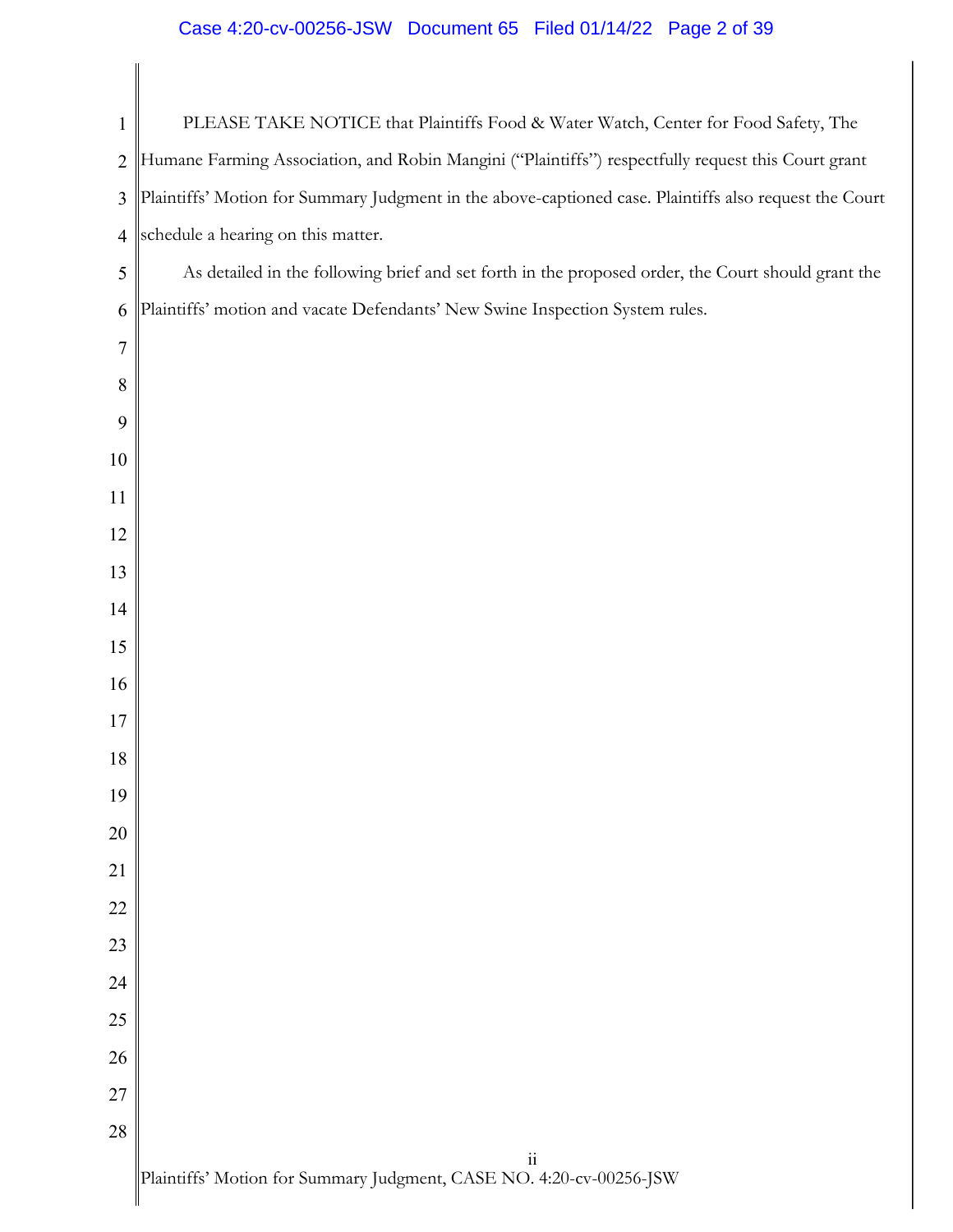# Case 4:20-cv-00256-JSW Document 65 Filed 01/14/22 Page 2 of 39

 $\mathsf{l}$ 

| $\mathbf{1}$   | PLEASE TAKE NOTICE that Plaintiffs Food & Water Watch, Center for Food Safety, The                     |
|----------------|--------------------------------------------------------------------------------------------------------|
| $\overline{2}$ | Humane Farming Association, and Robin Mangini ("Plaintiffs") respectfully request this Court grant     |
| 3              | Plaintiffs' Motion for Summary Judgment in the above-captioned case. Plaintiffs also request the Court |
| $\overline{4}$ | schedule a hearing on this matter.                                                                     |
| 5              | As detailed in the following brief and set forth in the proposed order, the Court should grant the     |
| 6              | Plaintiffs' motion and vacate Defendants' New Swine Inspection System rules.                           |
| $\overline{7}$ |                                                                                                        |
| 8              |                                                                                                        |
| 9              |                                                                                                        |
| 10             |                                                                                                        |
| 11             |                                                                                                        |
| 12             |                                                                                                        |
| 13             |                                                                                                        |
| 14             |                                                                                                        |
| 15             |                                                                                                        |
| 16             |                                                                                                        |
| 17             |                                                                                                        |
| 18             |                                                                                                        |
| 19             |                                                                                                        |
| 20             |                                                                                                        |
| 21             |                                                                                                        |
| 22             |                                                                                                        |
| 23             |                                                                                                        |
| 24             |                                                                                                        |
| 25             |                                                                                                        |
| 26             |                                                                                                        |
| 27             |                                                                                                        |
| 28             | $\rm ii$                                                                                               |
|                |                                                                                                        |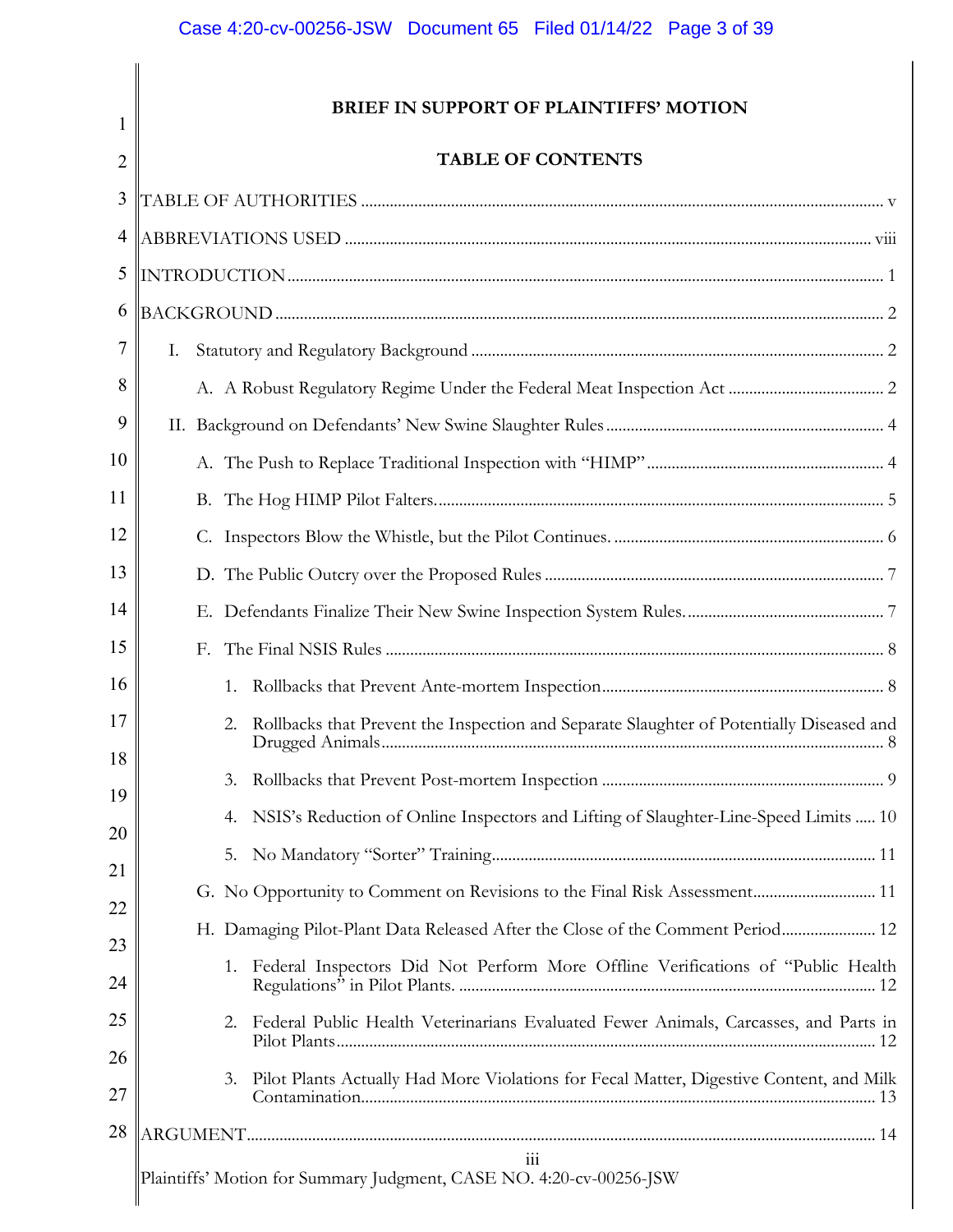1

2

 $\parallel$ 

# **BRIEF IN SUPPORT OF PLAINTIFFS' MOTION**

# **TABLE OF CONTENTS**

| 3              |                                                                                                |  |  |
|----------------|------------------------------------------------------------------------------------------------|--|--|
| $\overline{4}$ |                                                                                                |  |  |
| 5              |                                                                                                |  |  |
| 6              |                                                                                                |  |  |
| 7              | Ι.                                                                                             |  |  |
| 8              |                                                                                                |  |  |
| 9              |                                                                                                |  |  |
| 10             |                                                                                                |  |  |
| 11             |                                                                                                |  |  |
| 12             |                                                                                                |  |  |
| 13             |                                                                                                |  |  |
| 14             |                                                                                                |  |  |
| 15             | F.                                                                                             |  |  |
| 16             | 1.                                                                                             |  |  |
| 17             | Rollbacks that Prevent the Inspection and Separate Slaughter of Potentially Diseased and<br>2. |  |  |
| 18<br>19       | 3.                                                                                             |  |  |
| 20             | NSIS's Reduction of Online Inspectors and Lifting of Slaughter-Line-Speed Limits  10<br>4.     |  |  |
| 21             | 5.                                                                                             |  |  |
| 22             | G. No Opportunity to Comment on Revisions to the Final Risk Assessment 11                      |  |  |
| 23             | H. Damaging Pilot-Plant Data Released After the Close of the Comment Period 12                 |  |  |
| 24             | Federal Inspectors Did Not Perform More Offline Verifications of "Public Health<br>1.          |  |  |
| 25             | Federal Public Health Veterinarians Evaluated Fewer Animals, Carcasses, and Parts in<br>2.     |  |  |
| 26<br>27       | Pilot Plants Actually Had More Violations for Fecal Matter, Digestive Content, and Milk<br>3.  |  |  |
| 28             |                                                                                                |  |  |
|                | $\overline{\text{iii}}$<br>Plaintiffs' Motion for Summary Judgment, CASE NO. 4:20-cv-00256-JSW |  |  |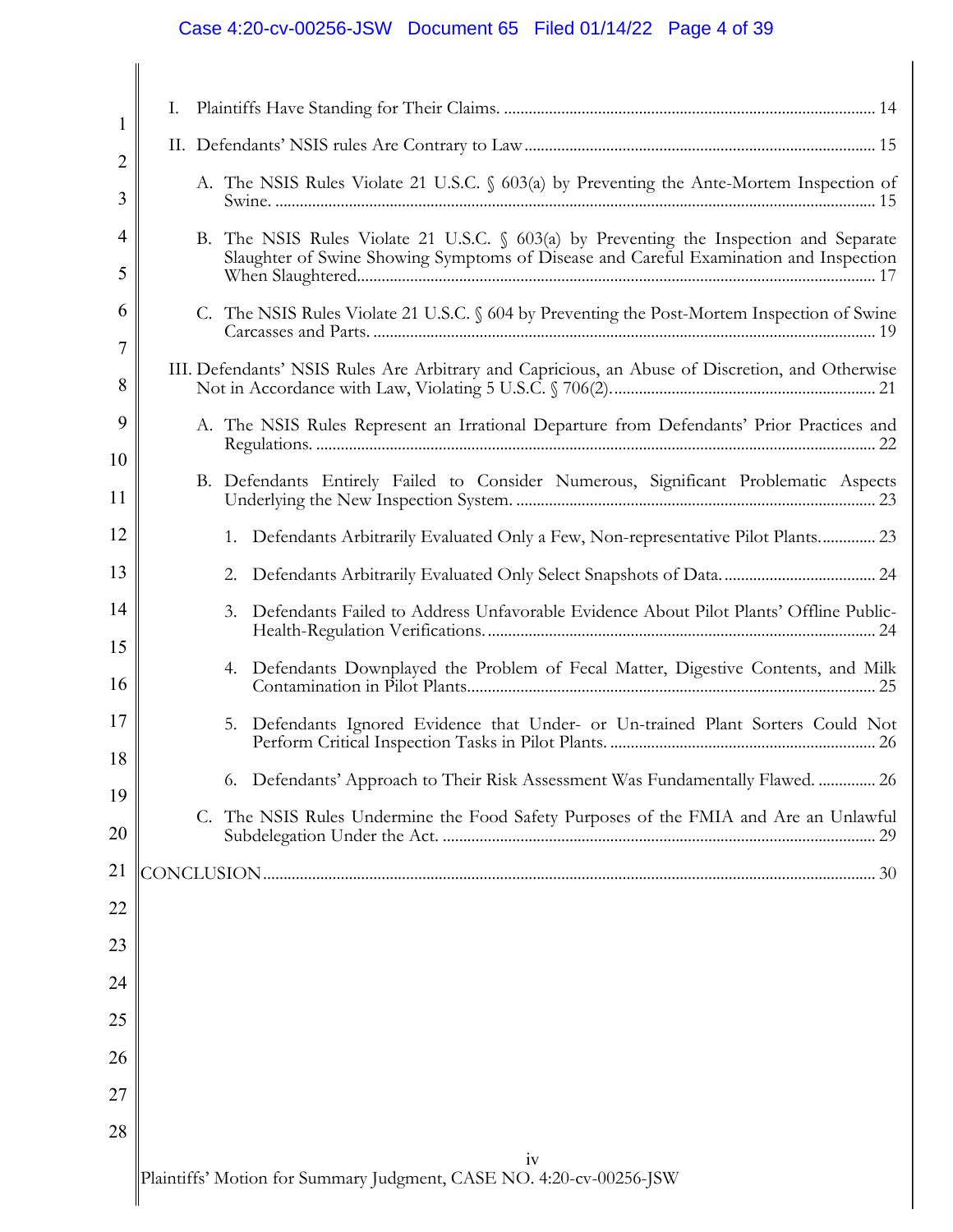# Case 4:20-cv-00256-JSW Document 65 Filed 01/14/22 Page 4 of 39

| 1        | Ι. |                                                                                                                                                                                 |
|----------|----|---------------------------------------------------------------------------------------------------------------------------------------------------------------------------------|
| 2        |    |                                                                                                                                                                                 |
| 3        |    | A. The NSIS Rules Violate 21 U.S.C. § 603(a) by Preventing the Ante-Mortem Inspection of                                                                                        |
| 4<br>5   |    | B. The NSIS Rules Violate 21 U.S.C. § 603(a) by Preventing the Inspection and Separate<br>Slaughter of Swine Showing Symptoms of Disease and Careful Examination and Inspection |
| 6<br>7   |    | C. The NSIS Rules Violate 21 U.S.C. § 604 by Preventing the Post-Mortem Inspection of Swine                                                                                     |
| 8        |    | III. Defendants' NSIS Rules Are Arbitrary and Capricious, an Abuse of Discretion, and Otherwise                                                                                 |
| 9        |    | A. The NSIS Rules Represent an Irrational Departure from Defendants' Prior Practices and                                                                                        |
| 10<br>11 |    | B. Defendants Entirely Failed to Consider Numerous, Significant Problematic Aspects                                                                                             |
| 12       |    | 1. Defendants Arbitrarily Evaluated Only a Few, Non-representative Pilot Plants 23                                                                                              |
| 13       |    |                                                                                                                                                                                 |
| 14       |    | Defendants Failed to Address Unfavorable Evidence About Pilot Plants' Offline Public-<br>3.                                                                                     |
| 15<br>16 |    | 4. Defendants Downplayed the Problem of Fecal Matter, Digestive Contents, and Milk                                                                                              |
| 17       |    | Defendants Ignored Evidence that Under- or Un-trained Plant Sorters Could Not<br>5.                                                                                             |
| 18       |    | 6. Defendants' Approach to Their Risk Assessment Was Fundamentally Flawed.  26                                                                                                  |
| 19<br>20 |    | C. The NSIS Rules Undermine the Food Safety Purposes of the FMIA and Are an Unlawful                                                                                            |
| 21       |    |                                                                                                                                                                                 |
| 22       |    |                                                                                                                                                                                 |
| 23       |    |                                                                                                                                                                                 |
| 24       |    |                                                                                                                                                                                 |
| 25       |    |                                                                                                                                                                                 |
| 26       |    |                                                                                                                                                                                 |
| 27       |    |                                                                                                                                                                                 |
| 28       |    |                                                                                                                                                                                 |
|          |    | iv                                                                                                                                                                              |

Plaintiffs' Motion for Summary Judgment, CASE NO. 4:20-cv-00256-JSW

 $\blacksquare$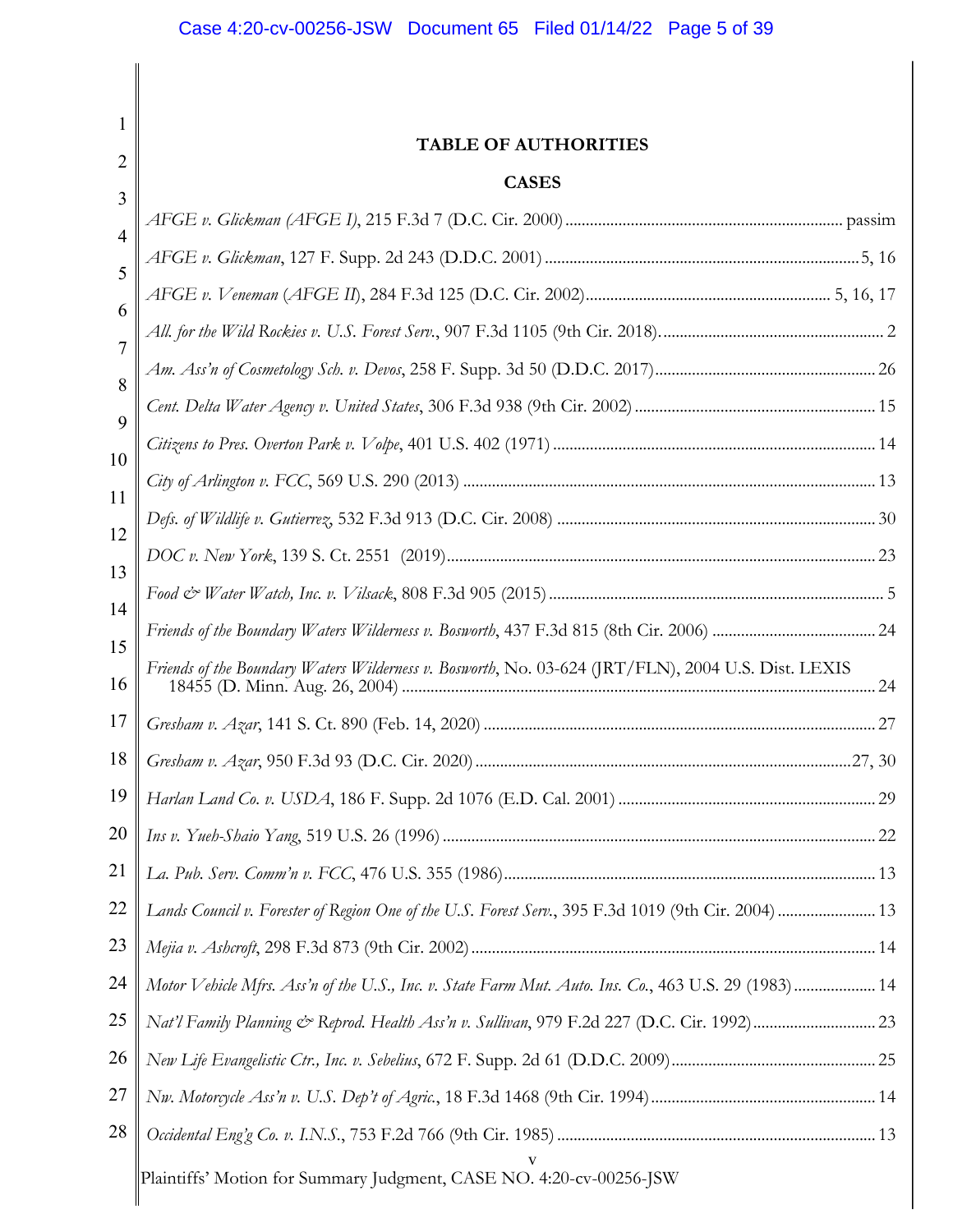| 1              |                                                                                                       |     |
|----------------|-------------------------------------------------------------------------------------------------------|-----|
| 2              | <b>TABLE OF AUTHORITIES</b>                                                                           |     |
| 3              | <b>CASES</b>                                                                                          |     |
| 4              |                                                                                                       |     |
| 5              |                                                                                                       |     |
| 6              |                                                                                                       |     |
| $\overline{7}$ |                                                                                                       |     |
| 8              |                                                                                                       |     |
| 9              |                                                                                                       |     |
| 10             |                                                                                                       |     |
| 11             |                                                                                                       |     |
| 12             |                                                                                                       |     |
| 13             |                                                                                                       |     |
|                |                                                                                                       |     |
| 14             |                                                                                                       |     |
| 15<br>16       | Friends of the Boundary Waters Wilderness v. Bosworth, No. 03-624 (JRT/FLN), 2004 U.S. Dist. LEXIS    | .24 |
| 17             |                                                                                                       |     |
| 18             |                                                                                                       |     |
| 19             |                                                                                                       |     |
| 20             |                                                                                                       |     |
| 21             |                                                                                                       |     |
| 22             | Lands Council v. Forester of Region One of the U.S. Forest Serv., 395 F.3d 1019 (9th Cir. 2004)  13   |     |
| 23             |                                                                                                       |     |
| 24             | Motor Vehicle Mfrs. Ass'n of the U.S., Inc. v. State Farm Mut. Auto. Ins. Co., 463 U.S. 29 (1983)  14 |     |
| 25             |                                                                                                       |     |
| 26             |                                                                                                       |     |
| 27             |                                                                                                       |     |
| 28             |                                                                                                       |     |
|                | Plaintiffs' Motion for Summary Judgment, CASE NO. 4:20-cv-00256-JSW                                   |     |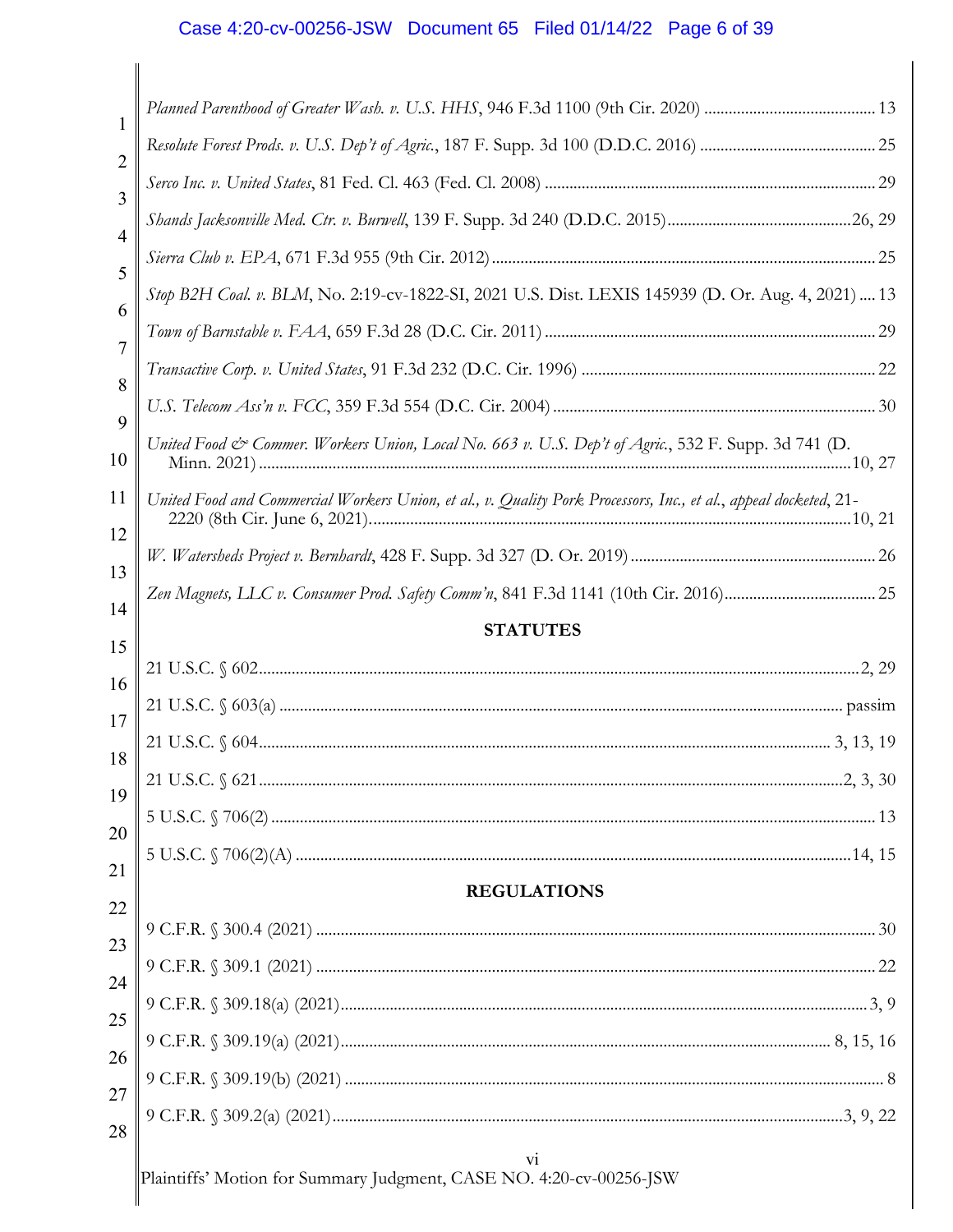# Case 4:20-cv-00256-JSW Document 65 Filed 01/14/22 Page 6 of 39

| 1              |                                                                                                                  |
|----------------|------------------------------------------------------------------------------------------------------------------|
| 2              |                                                                                                                  |
| 3              |                                                                                                                  |
| 4              |                                                                                                                  |
| 5              |                                                                                                                  |
| 6              | Stop B2H Coal. v. BLM, No. 2:19-cv-1822-SI, 2021 U.S. Dist. LEXIS 145939 (D. Or. Aug. 4, 2021)  13               |
| $\overline{7}$ |                                                                                                                  |
| 8              |                                                                                                                  |
| 9              |                                                                                                                  |
| 10             | United Food & Commer. Workers Union, Local No. 663 v. U.S. Dep't of Agric., 532 F. Supp. 3d 741 (D.              |
| 11<br>12       | United Food and Commercial Workers Union, et al., v. Quality Pork Processors, Inc., et al., appeal docketed, 21- |
| 13             |                                                                                                                  |
| 14             |                                                                                                                  |
|                |                                                                                                                  |
|                | <b>STATUTES</b>                                                                                                  |
| 15             |                                                                                                                  |
| 16             |                                                                                                                  |
| 17             |                                                                                                                  |
| 18             |                                                                                                                  |
| 19             |                                                                                                                  |
| 20             |                                                                                                                  |
| 21             | <b>REGULATIONS</b>                                                                                               |
| 22             |                                                                                                                  |
| 23             |                                                                                                                  |
| 24             |                                                                                                                  |
| 25             |                                                                                                                  |
| 26<br>27       |                                                                                                                  |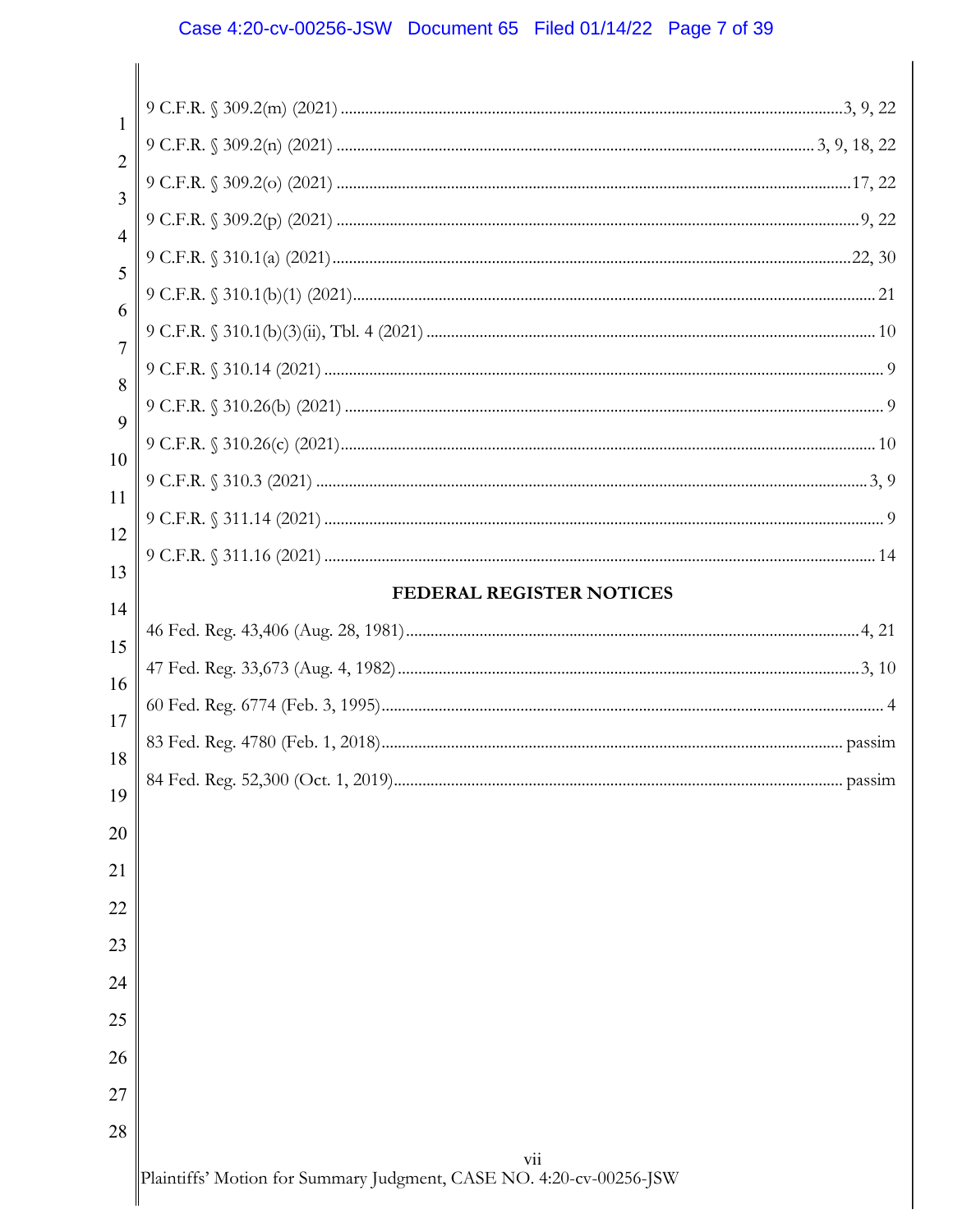# Case 4:20-cv-00256-JSW Document 65 Filed 01/14/22 Page 7 of 39

| 1              |                                 |        |
|----------------|---------------------------------|--------|
| $\overline{2}$ |                                 |        |
| 3              |                                 |        |
| $\overline{4}$ |                                 |        |
| 5              |                                 |        |
| 6              |                                 |        |
| $\overline{7}$ |                                 |        |
| 8              |                                 |        |
| 9              |                                 |        |
| 10             |                                 |        |
| 11             |                                 |        |
| 12             |                                 |        |
| 13             |                                 |        |
| 14             | <b>FEDERAL REGISTER NOTICES</b> |        |
| 15             |                                 |        |
| 16             |                                 |        |
| 17             |                                 |        |
| 18             |                                 |        |
| 19             |                                 | passim |
| 20             |                                 |        |
| 21             |                                 |        |
| 22             |                                 |        |
| 23             |                                 |        |
| 24             |                                 |        |
| 25             |                                 |        |
| 26             |                                 |        |
| 27             |                                 |        |
| 28             |                                 |        |
|                | vii                             |        |

Plaintiffs' Motion for Summary Judgment, CASE NO. 4:20-cv-00256-JSW

 $\blacksquare$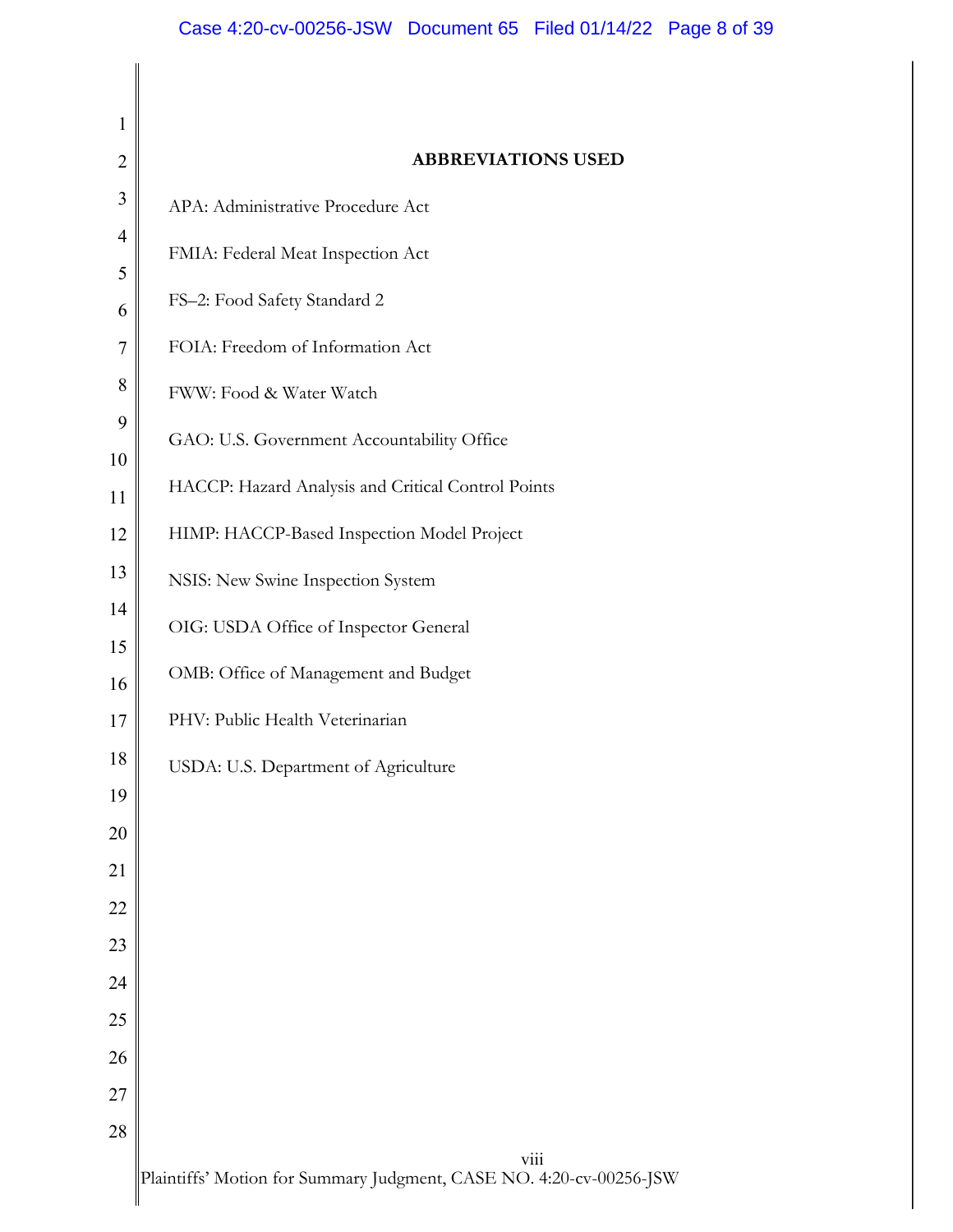| 1              |                                                    |
|----------------|----------------------------------------------------|
| $\overline{2}$ | <b>ABBREVIATIONS USED</b>                          |
| 3              | APA: Administrative Procedure Act                  |
| $\overline{4}$ | FMIA: Federal Meat Inspection Act                  |
| 5              |                                                    |
| 6              | FS-2: Food Safety Standard 2                       |
| $\overline{7}$ | FOIA: Freedom of Information Act                   |
| 8              | FWW: Food & Water Watch                            |
| 9              | GAO: U.S. Government Accountability Office         |
| 10             | HACCP: Hazard Analysis and Critical Control Points |
| 11             |                                                    |
| 12             | HIMP: HACCP-Based Inspection Model Project         |
| 13             | NSIS: New Swine Inspection System                  |
| 14             | OIG: USDA Office of Inspector General              |
| 15<br>16       | OMB: Office of Management and Budget               |
| 17             | PHV: Public Health Veterinarian                    |
| 18             |                                                    |
| 19             | USDA: U.S. Department of Agriculture               |
| $20\,$         |                                                    |
| 21             |                                                    |
| 22             |                                                    |
| 23             |                                                    |
| 24             |                                                    |
| $25\,$         |                                                    |
| 26             |                                                    |
| $27\,$         |                                                    |
| 28             |                                                    |
|                | viii                                               |

Plaintiffs' Motion for Summary Judgment, CASE NO. 4:20-cv-00256-JSW

 $\blacksquare$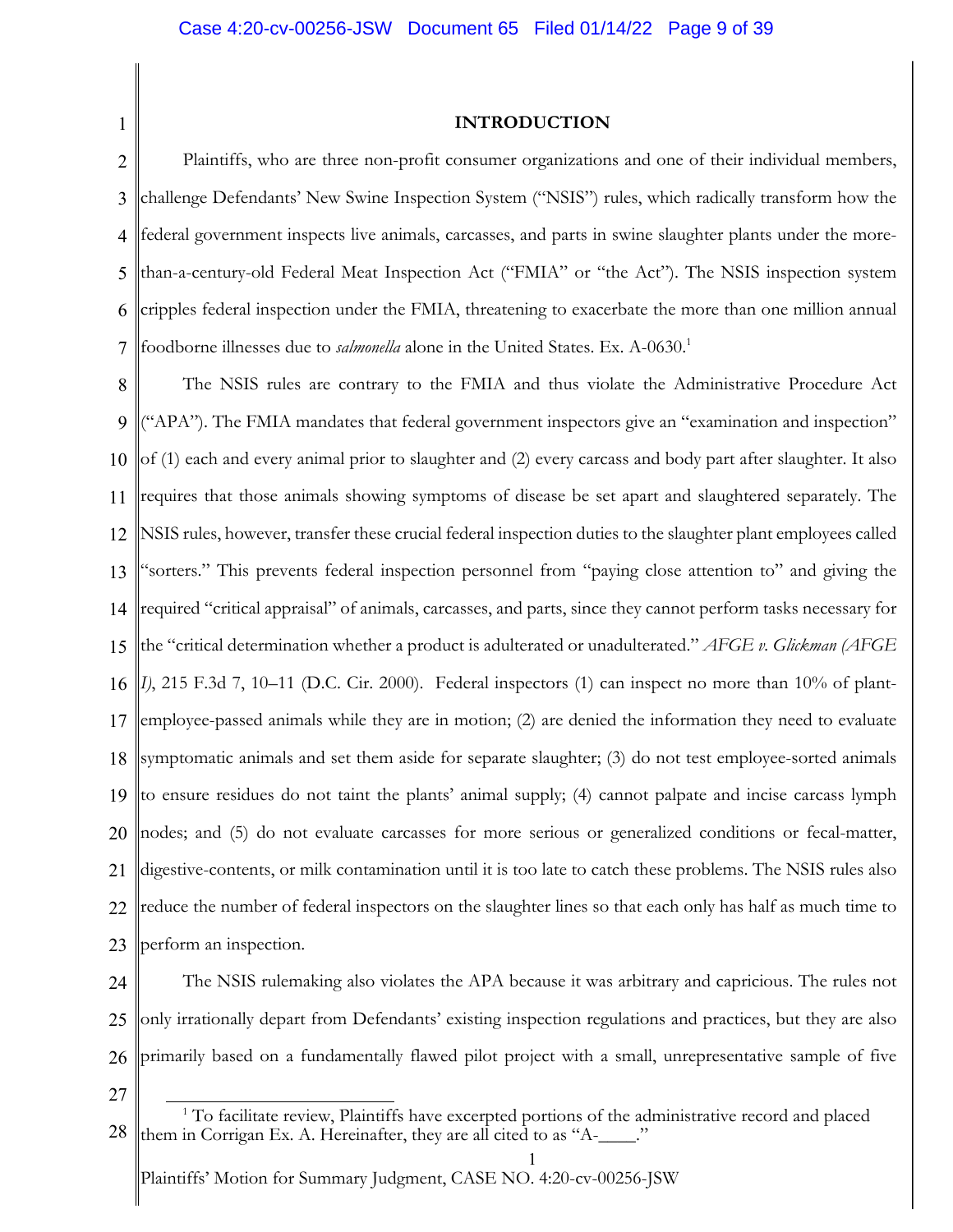1

### **INTRODUCTION**

2 3 4 5 6 7 Plaintiffs, who are three non-profit consumer organizations and one of their individual members, challenge Defendants' New Swine Inspection System ("NSIS") rules, which radically transform how the federal government inspects live animals, carcasses, and parts in swine slaughter plants under the morethan-a-century-old Federal Meat Inspection Act ("FMIA" or "the Act"). The NSIS inspection system cripples federal inspection under the FMIA, threatening to exacerbate the more than one million annual foodborne illnesses due to *salmonella* alone in the United States. Ex. A-0630. 1

8 9 10 11 12 13 14 15 16 17 18 19 20 21 22 23 The NSIS rules are contrary to the FMIA and thus violate the Administrative Procedure Act ("APA"). The FMIA mandates that federal government inspectors give an "examination and inspection" of (1) each and every animal prior to slaughter and (2) every carcass and body part after slaughter. It also requires that those animals showing symptoms of disease be set apart and slaughtered separately. The NSIS rules, however, transfer these crucial federal inspection duties to the slaughter plant employees called "sorters." This prevents federal inspection personnel from "paying close attention to" and giving the required "critical appraisal" of animals, carcasses, and parts, since they cannot perform tasks necessary for the "critical determination whether a product is adulterated or unadulterated." *AFGE v. Glickman (AFGE I)*, 215 F.3d 7, 10–11 (D.C. Cir. 2000). Federal inspectors (1) can inspect no more than 10% of plantemployee-passed animals while they are in motion; (2) are denied the information they need to evaluate symptomatic animals and set them aside for separate slaughter; (3) do not test employee-sorted animals to ensure residues do not taint the plants' animal supply; (4) cannot palpate and incise carcass lymph nodes; and (5) do not evaluate carcasses for more serious or generalized conditions or fecal-matter, digestive-contents, or milk contamination until it is too late to catch these problems. The NSIS rules also reduce the number of federal inspectors on the slaughter lines so that each only has half as much time to perform an inspection.

24 25 26 The NSIS rulemaking also violates the APA because it was arbitrary and capricious. The rules not only irrationally depart from Defendants' existing inspection regulations and practices, but they are also primarily based on a fundamentally flawed pilot project with a small, unrepresentative sample of five

27

<sup>28</sup> <sup>1</sup> To facilitate review, Plaintiffs have excerpted portions of the administrative record and placed them in Corrigan Ex. A. Hereinafter, they are all cited to as "A-\_\_\_\_."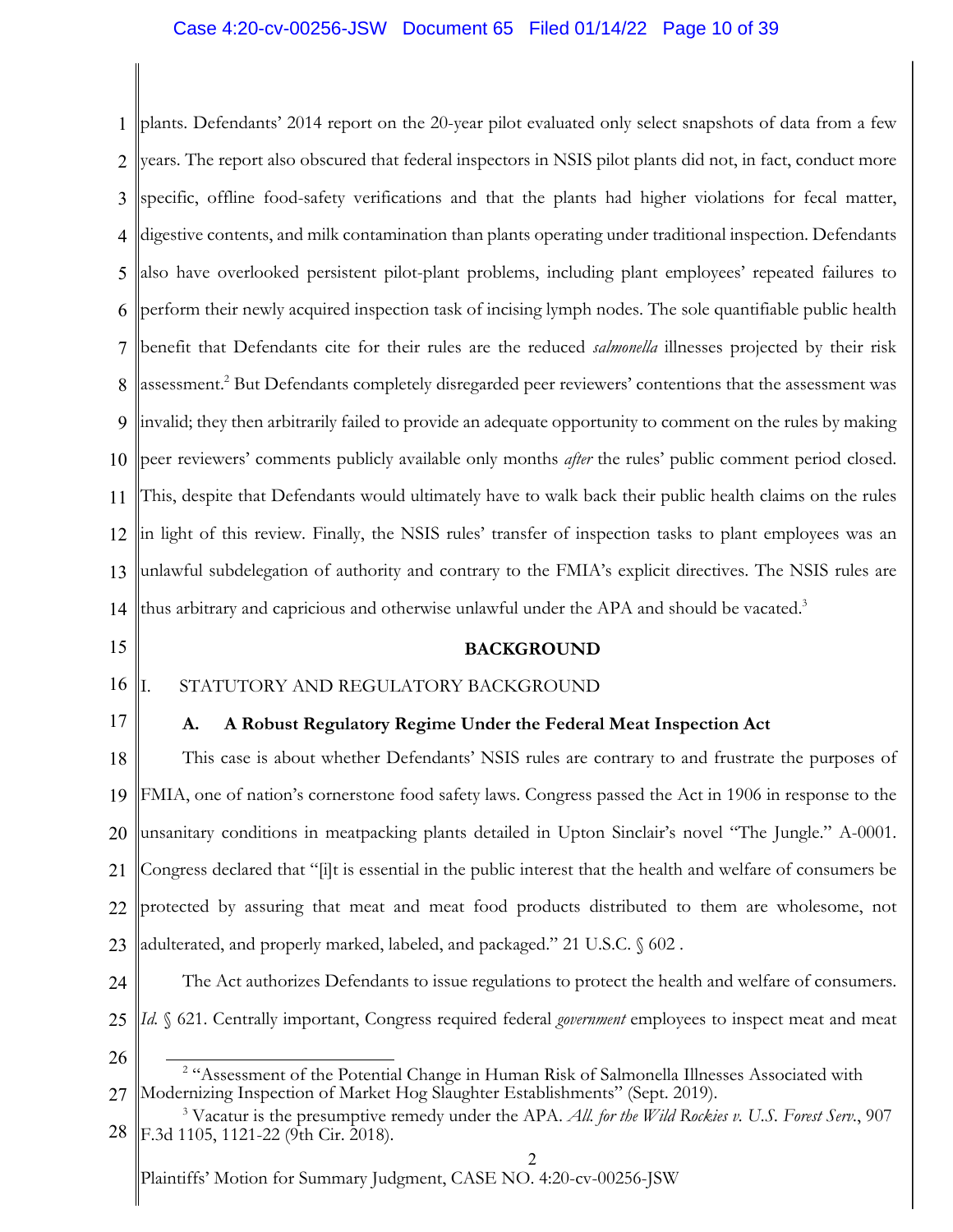# Case 4:20-cv-00256-JSW Document 65 Filed 01/14/22 Page 10 of 39

1 2 3 4 5 6 7 8 9 10 11 12 13 14 plants. Defendants' 2014 report on the 20-year pilot evaluated only select snapshots of data from a few years. The report also obscured that federal inspectors in NSIS pilot plants did not, in fact, conduct more specific, offline food-safety verifications and that the plants had higher violations for fecal matter, digestive contents, and milk contamination than plants operating under traditional inspection. Defendants also have overlooked persistent pilot-plant problems, including plant employees' repeated failures to perform their newly acquired inspection task of incising lymph nodes. The sole quantifiable public health benefit that Defendants cite for their rules are the reduced *salmonella* illnesses projected by their risk assessment. <sup>2</sup> But Defendants completely disregarded peer reviewers' contentions that the assessment was invalid; they then arbitrarily failed to provide an adequate opportunity to comment on the rules by making peer reviewers' comments publicly available only months *after* the rules' public comment period closed. This, despite that Defendants would ultimately have to walk back their public health claims on the rules in light of this review. Finally, the NSIS rules' transfer of inspection tasks to plant employees was an unlawful subdelegation of authority and contrary to the FMIA's explicit directives. The NSIS rules are thus arbitrary and capricious and otherwise unlawful under the APA and should be vacated.<sup>3</sup>

15

### **BACKGROUND**

#### 16 I. STATUTORY AND REGULATORY BACKGROUND

17

# **A. A Robust Regulatory Regime Under the Federal Meat Inspection Act**

18 19 20 21 22 23 This case is about whether Defendants' NSIS rules are contrary to and frustrate the purposes of FMIA, one of nation's cornerstone food safety laws. Congress passed the Act in 1906 in response to the unsanitary conditions in meatpacking plants detailed in Upton Sinclair's novel "The Jungle." A-0001. Congress declared that "[i]t is essential in the public interest that the health and welfare of consumers be protected by assuring that meat and meat food products distributed to them are wholesome, not adulterated, and properly marked, labeled, and packaged." 21 U.S.C. § 602 .

- 24 25 The Act authorizes Defendants to issue regulations to protect the health and welfare of consumers. *Id.* § 621. Centrally important, Congress required federal *government* employees to inspect meat and meat
- 26

<sup>27</sup> <sup>2</sup> "Assessment of the Potential Change in Human Risk of Salmonella Illnesses Associated with Modernizing Inspection of Market Hog Slaughter Establishments" (Sept. 2019).

<sup>28</sup> <sup>3</sup> Vacatur is the presumptive remedy under the APA. *All. for the Wild Rockies v. U.S. Forest Serv.*, 907 F.3d 1105, 1121-22 (9th Cir. 2018).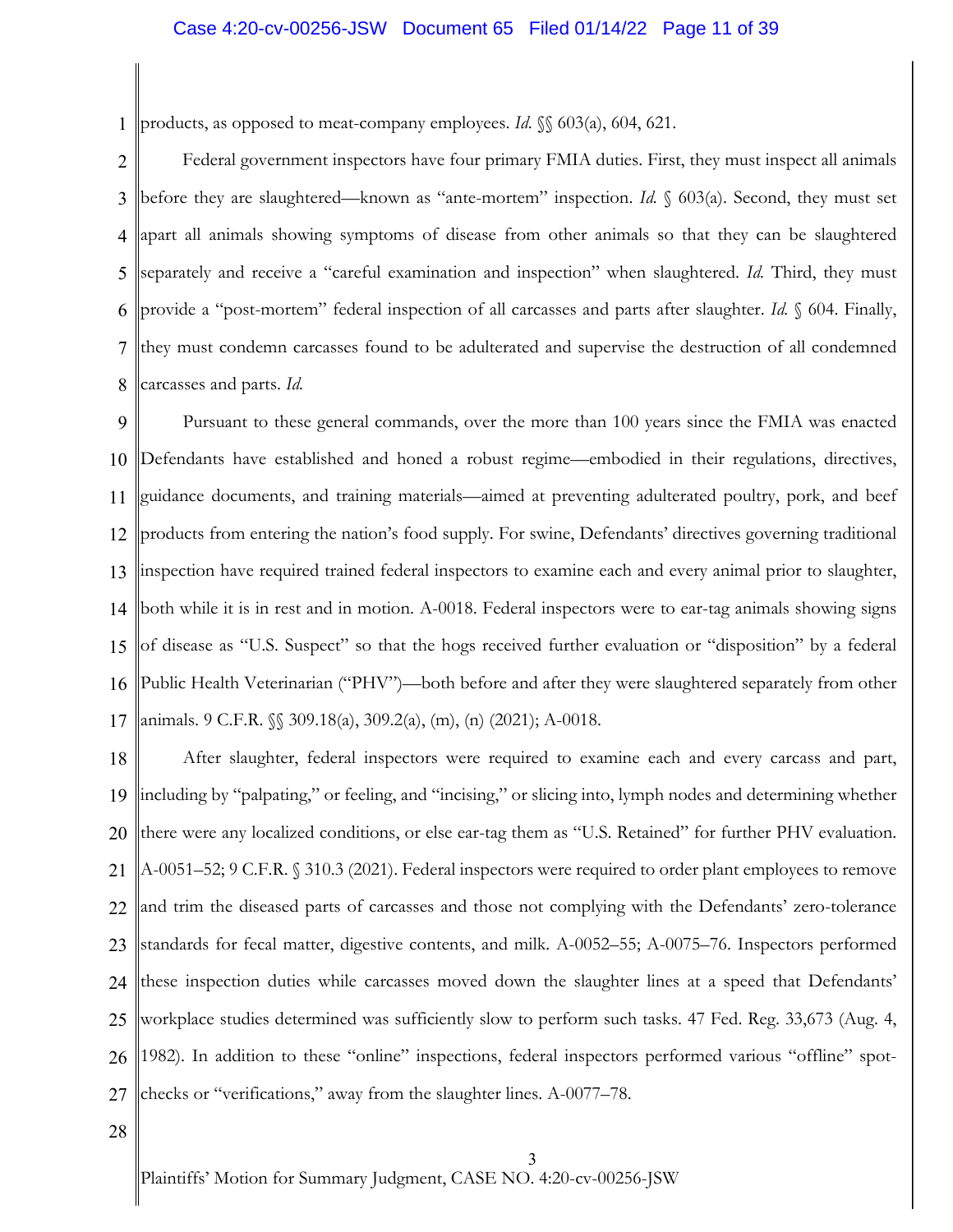# Case 4:20-cv-00256-JSW Document 65 Filed 01/14/22 Page 11 of 39

1 products, as opposed to meat-company employees. *Id*. §§ 603(a), 604, 621.

2 3 4 5 6 7 8 Federal government inspectors have four primary FMIA duties. First, they must inspect all animals before they are slaughtered—known as "ante-mortem" inspection. *Id.* § 603(a). Second, they must set apart all animals showing symptoms of disease from other animals so that they can be slaughtered separately and receive a "careful examination and inspection" when slaughtered. *Id.* Third, they must provide a "post-mortem" federal inspection of all carcasses and parts after slaughter. *Id.* § 604. Finally, they must condemn carcasses found to be adulterated and supervise the destruction of all condemned carcasses and parts. *Id.*

9 10 11 12 13 14 15 16 17 Pursuant to these general commands, over the more than 100 years since the FMIA was enacted Defendants have established and honed a robust regime—embodied in their regulations, directives, guidance documents, and training materials—aimed at preventing adulterated poultry, pork, and beef products from entering the nation's food supply. For swine, Defendants' directives governing traditional inspection have required trained federal inspectors to examine each and every animal prior to slaughter, both while it is in rest and in motion. A-0018. Federal inspectors were to ear-tag animals showing signs of disease as "U.S. Suspect" so that the hogs received further evaluation or "disposition" by a federal Public Health Veterinarian ("PHV")—both before and after they were slaughtered separately from other animals. 9 C.F.R. §§ 309.18(a), 309.2(a), (m), (n) (2021); A-0018.

18 19 20 21 22 23 24 25 26 27 After slaughter, federal inspectors were required to examine each and every carcass and part, including by "palpating," or feeling, and "incising," or slicing into, lymph nodes and determining whether there were any localized conditions, or else ear-tag them as "U.S. Retained" for further PHV evaluation. A-0051–52; 9 C.F.R. § 310.3 (2021). Federal inspectors were required to order plant employees to remove and trim the diseased parts of carcasses and those not complying with the Defendants' zero-tolerance standards for fecal matter, digestive contents, and milk. A-0052–55; A-0075–76. Inspectors performed these inspection duties while carcasses moved down the slaughter lines at a speed that Defendants' workplace studies determined was sufficiently slow to perform such tasks. 47 Fed. Reg. 33,673 (Aug. 4, 1982). In addition to these "online" inspections, federal inspectors performed various "offline" spotchecks or "verifications," away from the slaughter lines. A-0077–78.

28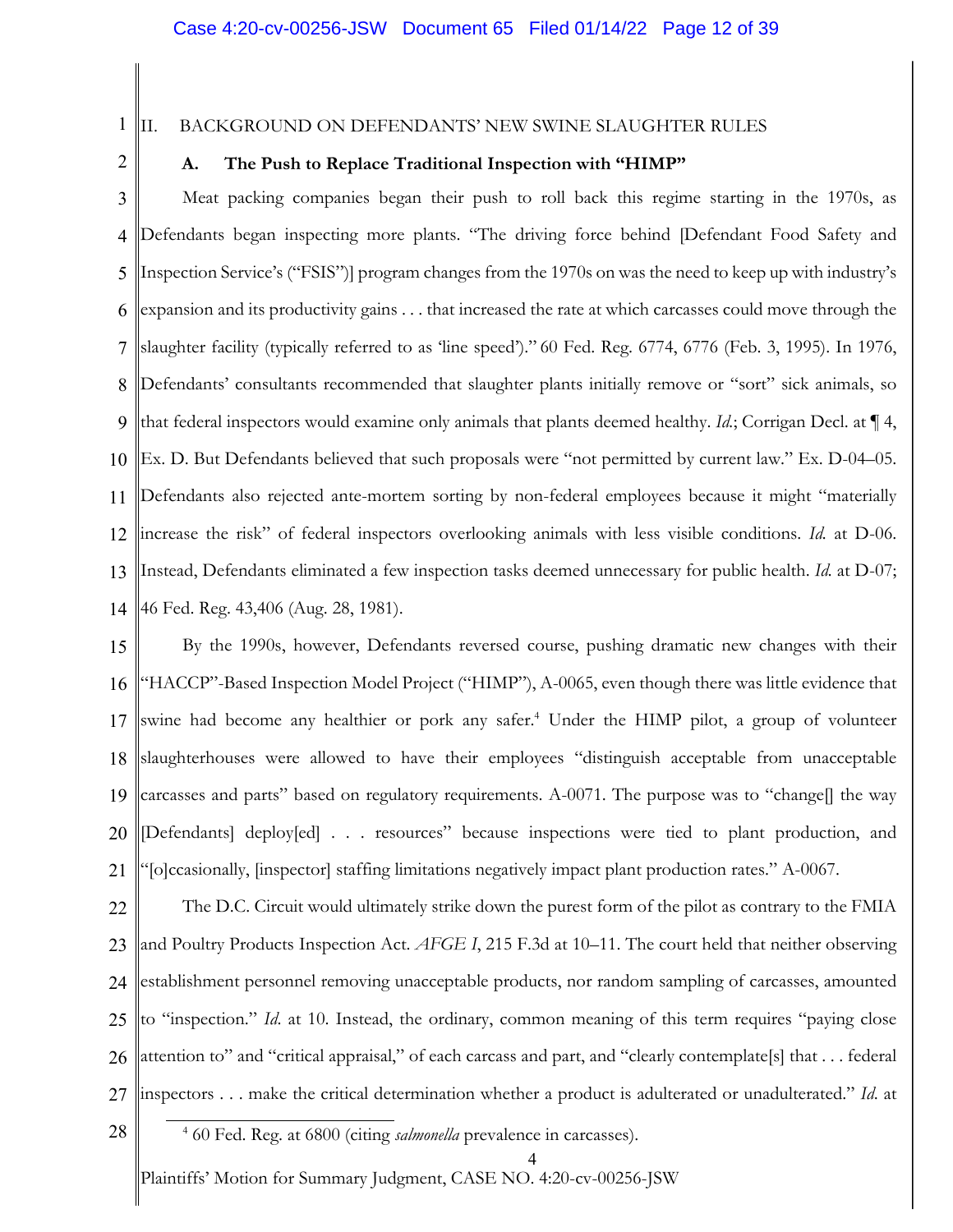1

# II. BACKGROUND ON DEFENDANTS' NEW SWINE SLAUGHTER RULES

2

# **A. The Push to Replace Traditional Inspection with "HIMP"**

3 4 5 6 7 8 9 10 11 12 13 14 Meat packing companies began their push to roll back this regime starting in the 1970s, as Defendants began inspecting more plants. "The driving force behind [Defendant Food Safety and Inspection Service's ("FSIS")] program changes from the 1970s on was the need to keep up with industry's expansion and its productivity gains . . . that increased the rate at which carcasses could move through the slaughter facility (typically referred to as 'line speed')." 60 Fed. Reg. 6774, 6776 (Feb. 3, 1995). In 1976, Defendants' consultants recommended that slaughter plants initially remove or "sort" sick animals, so that federal inspectors would examine only animals that plants deemed healthy. *Id.*; Corrigan Decl. at ¶ 4, Ex. D. But Defendants believed that such proposals were "not permitted by current law." Ex. D-04–05. Defendants also rejected ante-mortem sorting by non-federal employees because it might "materially increase the risk" of federal inspectors overlooking animals with less visible conditions. *Id.* at D-06. Instead, Defendants eliminated a few inspection tasks deemed unnecessary for public health. *Id.* at D-07; 46 Fed. Reg. 43,406 (Aug. 28, 1981).

15 16 17 18 19 20 21 By the 1990s, however, Defendants reversed course, pushing dramatic new changes with their "HACCP"-Based Inspection Model Project ("HIMP"), A-0065, even though there was little evidence that swine had become any healthier or pork any safer.<sup>4</sup> Under the HIMP pilot, a group of volunteer slaughterhouses were allowed to have their employees "distinguish acceptable from unacceptable carcasses and parts" based on regulatory requirements. A-0071. The purpose was to "change[] the way [Defendants] deploy[ed] . . . resources" because inspections were tied to plant production, and "[o]ccasionally, [inspector] staffing limitations negatively impact plant production rates." A-0067.

22 23 24 25 26 27 The D.C. Circuit would ultimately strike down the purest form of the pilot as contrary to the FMIA and Poultry Products Inspection Act. *AFGE I*, 215 F.3d at 10–11. The court held that neither observing establishment personnel removing unacceptable products, nor random sampling of carcasses, amounted to "inspection." *Id*. at 10. Instead, the ordinary, common meaning of this term requires "paying close attention to" and "critical appraisal," of each carcass and part, and "clearly contemplate[s] that . . . federal inspectors . . . make the critical determination whether a product is adulterated or unadulterated." *Id*. at

28 <sup>4</sup> 60 Fed. Reg. at 6800 (citing *salmonella* prevalence in carcasses).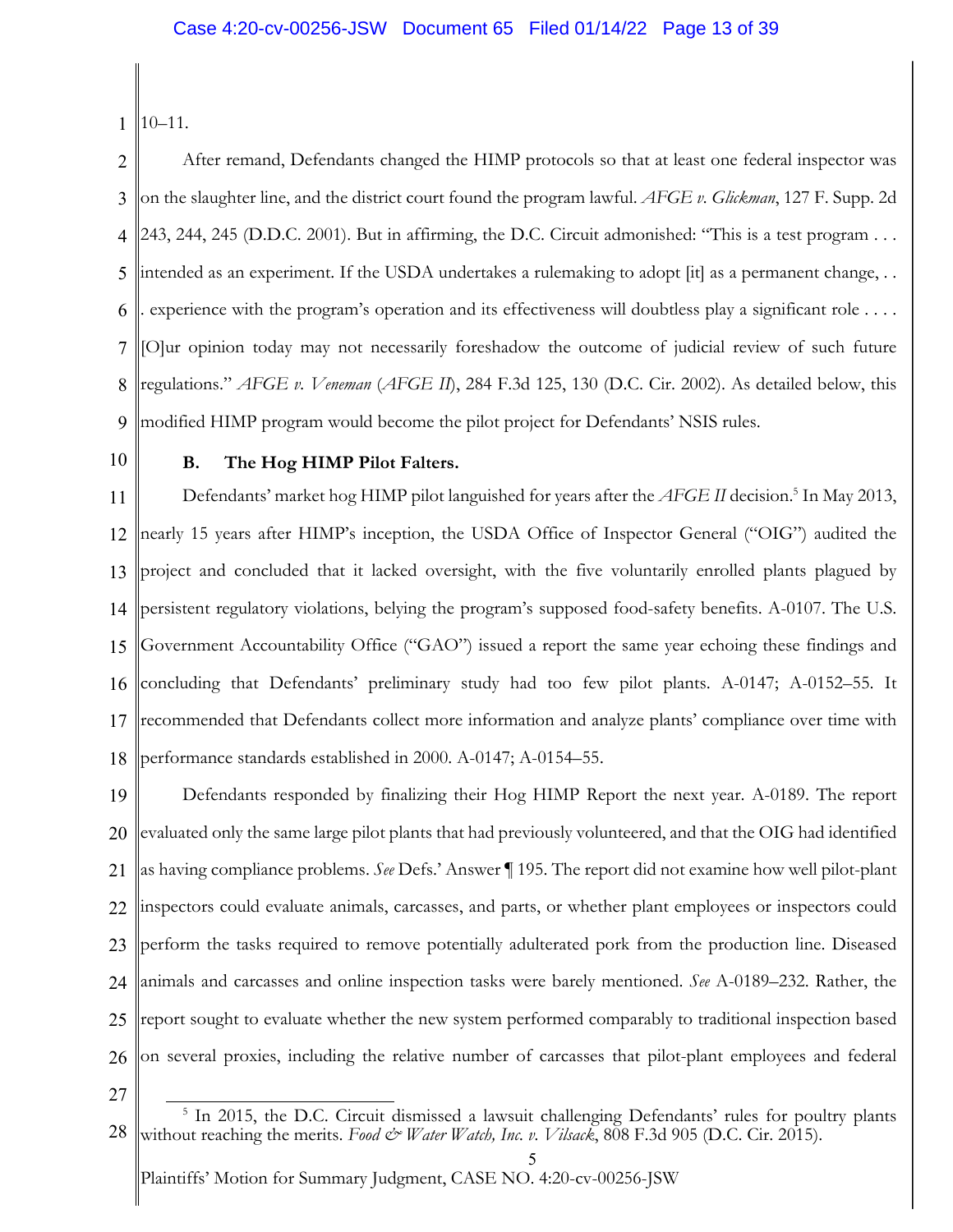1 10–11.

2 3 4 5 6 7 8 9 After remand, Defendants changed the HIMP protocols so that at least one federal inspector was on the slaughter line, and the district court found the program lawful. *AFGE v. Glickman*, 127 F. Supp. 2d 243, 244, 245 (D.D.C. 2001). But in affirming, the D.C. Circuit admonished: "This is a test program . . . intended as an experiment. If the USDA undertakes a rulemaking to adopt [it] as a permanent change, . . . experience with the program's operation and its effectiveness will doubtless play a significant role . . . . [O]ur opinion today may not necessarily foreshadow the outcome of judicial review of such future regulations." *AFGE v. Veneman* (*AFGE II*), 284 F.3d 125, 130 (D.C. Cir. 2002). As detailed below, this modified HIMP program would become the pilot project for Defendants' NSIS rules.

10

# **B. The Hog HIMP Pilot Falters.**

11 12 13 14 15 16 17 18 Defendants' market hog HIMP pilot languished for years after the *AFGE II* decision. <sup>5</sup> In May 2013, nearly 15 years after HIMP's inception, the USDA Office of Inspector General ("OIG") audited the project and concluded that it lacked oversight, with the five voluntarily enrolled plants plagued by persistent regulatory violations, belying the program's supposed food-safety benefits. A-0107. The U.S. Government Accountability Office ("GAO") issued a report the same year echoing these findings and concluding that Defendants' preliminary study had too few pilot plants. A-0147; A-0152–55. It recommended that Defendants collect more information and analyze plants' compliance over time with performance standards established in 2000. A-0147; A-0154–55.

19 20 21 22 23 24 25 26 Defendants responded by finalizing their Hog HIMP Report the next year. A-0189. The report evaluated only the same large pilot plants that had previously volunteered, and that the OIG had identified as having compliance problems. *See* Defs.' Answer ¶ 195. The report did not examine how well pilot-plant inspectors could evaluate animals, carcasses, and parts, or whether plant employees or inspectors could perform the tasks required to remove potentially adulterated pork from the production line. Diseased animals and carcasses and online inspection tasks were barely mentioned. *See* A-0189–232. Rather, the report sought to evaluate whether the new system performed comparably to traditional inspection based on several proxies, including the relative number of carcasses that pilot-plant employees and federal

27

<sup>28</sup> <sup>5</sup> In 2015, the D.C. Circuit dismissed a lawsuit challenging Defendants' rules for poultry plants without reaching the merits. *Food & Water Watch, Inc. v. Vilsack*, 808 F.3d 905 (D.C. Cir. 2015).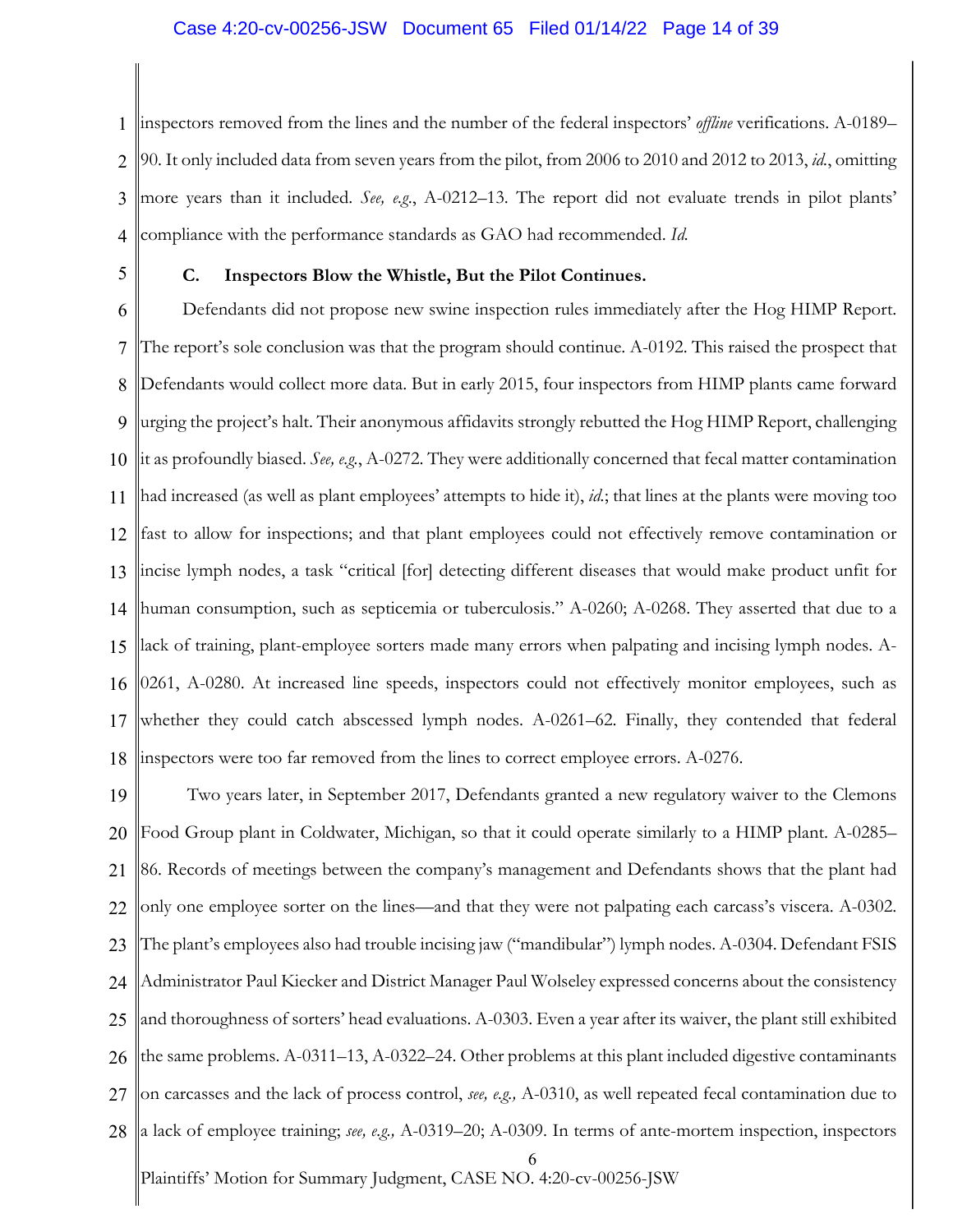## Case 4:20-cv-00256-JSW Document 65 Filed 01/14/22 Page 14 of 39

1 2 3 4 inspectors removed from the lines and the number of the federal inspectors' *offline* verifications. A-0189– 90. It only included data from seven years from the pilot, from 2006 to 2010 and 2012 to 2013, *id.*, omitting more years than it included. *See, e.g*., A-0212–13. The report did not evaluate trends in pilot plants' compliance with the performance standards as GAO had recommended. *Id.*

5

### **C. Inspectors Blow the Whistle, But the Pilot Continues.**

6 7 8 9 10 11 12 13 14 15 16 17 18 Defendants did not propose new swine inspection rules immediately after the Hog HIMP Report. The report's sole conclusion was that the program should continue. A-0192. This raised the prospect that Defendants would collect more data. But in early 2015, four inspectors from HIMP plants came forward urging the project's halt. Their anonymous affidavits strongly rebutted the Hog HIMP Report, challenging it as profoundly biased. *See, e.g.*, A-0272. They were additionally concerned that fecal matter contamination had increased (as well as plant employees' attempts to hide it), *id.*; that lines at the plants were moving too fast to allow for inspections; and that plant employees could not effectively remove contamination or incise lymph nodes, a task "critical [for] detecting different diseases that would make product unfit for human consumption, such as septicemia or tuberculosis." A-0260; A-0268. They asserted that due to a lack of training, plant-employee sorters made many errors when palpating and incising lymph nodes. A-0261, A-0280. At increased line speeds, inspectors could not effectively monitor employees, such as whether they could catch abscessed lymph nodes. A-0261–62. Finally, they contended that federal inspectors were too far removed from the lines to correct employee errors. A-0276.

6 19 20 21 22 23 24 25 26 27 28 Two years later, in September 2017, Defendants granted a new regulatory waiver to the Clemons Food Group plant in Coldwater, Michigan, so that it could operate similarly to a HIMP plant. A-0285– 86. Records of meetings between the company's management and Defendants shows that the plant had only one employee sorter on the lines—and that they were not palpating each carcass's viscera. A-0302. The plant's employees also had trouble incising jaw ("mandibular") lymph nodes. A-0304. Defendant FSIS Administrator Paul Kiecker and District Manager Paul Wolseley expressed concerns about the consistency and thoroughness of sorters' head evaluations. A-0303. Even a year after its waiver, the plant still exhibited the same problems. A-0311–13, A-0322–24. Other problems at this plant included digestive contaminants on carcasses and the lack of process control, *see, e.g.,* A-0310, as well repeated fecal contamination due to a lack of employee training; *see, e.g.,* A-0319–20; A-0309. In terms of ante-mortem inspection, inspectors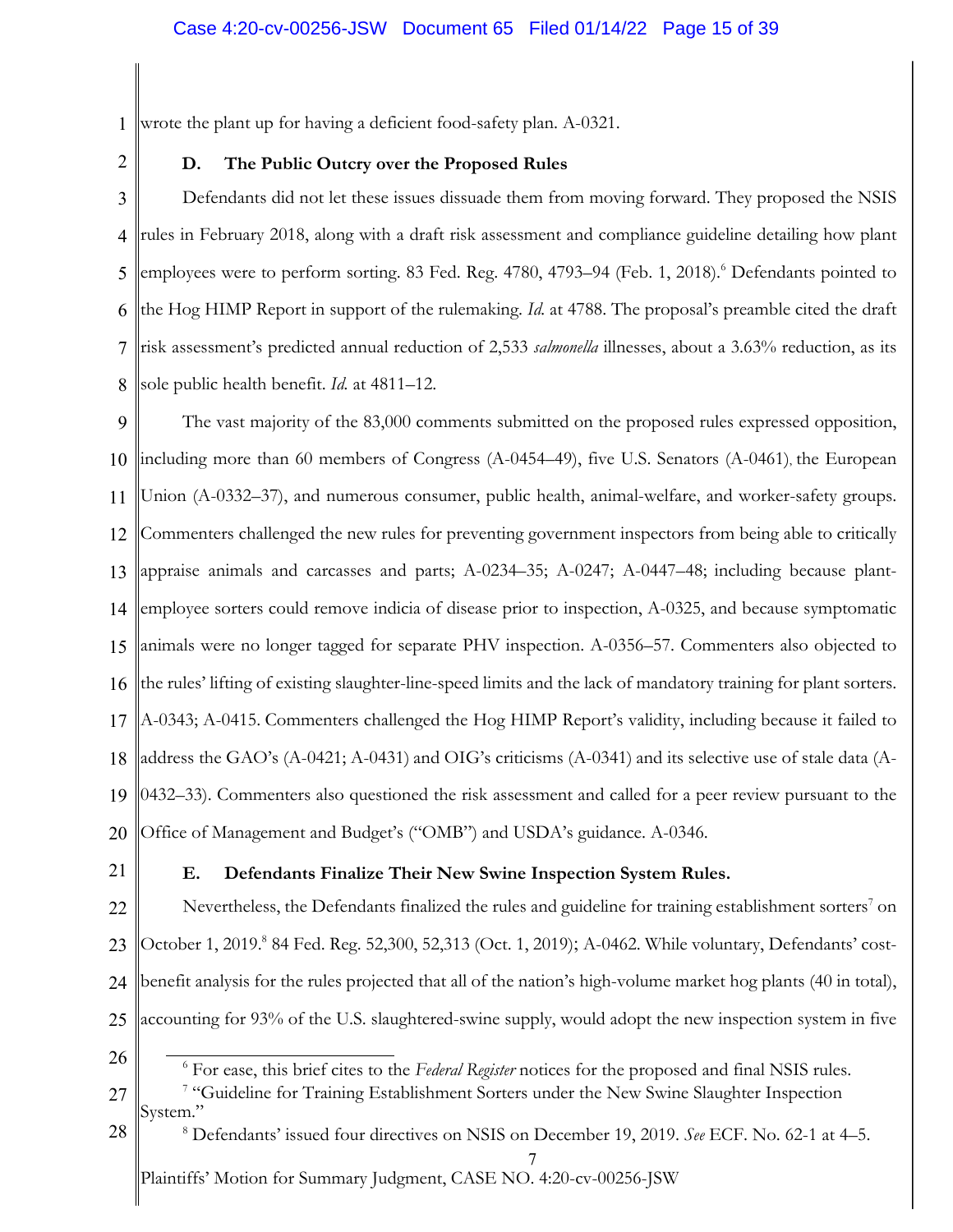1 wrote the plant up for having a deficient food-safety plan. A-0321.

2

# **D. The Public Outcry over the Proposed Rules**

3 4 5 6 7 8 Defendants did not let these issues dissuade them from moving forward. They proposed the NSIS rules in February 2018, along with a draft risk assessment and compliance guideline detailing how plant employees were to perform sorting. 83 Fed. Reg. 4780, 4793–94 (Feb. 1, 2018). <sup>6</sup> Defendants pointed to the Hog HIMP Report in support of the rulemaking. *Id.* at 4788. The proposal's preamble cited the draft risk assessment's predicted annual reduction of 2,533 *salmonella* illnesses, about a 3.63% reduction, as its sole public health benefit. *Id.* at 4811–12.

9 10 11 12 13 14 15 16 17 18 19 20 The vast majority of the 83,000 comments submitted on the proposed rules expressed opposition, including more than 60 members of Congress (A-0454–49), five U.S. Senators (A-0461), the European Union (A-0332–37), and numerous consumer, public health, animal-welfare, and worker-safety groups. Commenters challenged the new rules for preventing government inspectors from being able to critically appraise animals and carcasses and parts; A-0234–35; A-0247; A-0447–48; including because plantemployee sorters could remove indicia of disease prior to inspection, A-0325, and because symptomatic animals were no longer tagged for separate PHV inspection. A-0356–57. Commenters also objected to the rules' lifting of existing slaughter-line-speed limits and the lack of mandatory training for plant sorters. A-0343; A-0415. Commenters challenged the Hog HIMP Report's validity, including because it failed to address the GAO's (A-0421; A-0431) and OIG's criticisms (A-0341) and its selective use of stale data (A-0432–33). Commenters also questioned the risk assessment and called for a peer review pursuant to the Office of Management and Budget's ("OMB") and USDA's guidance. A-0346.

21

# **E. Defendants Finalize Their New Swine Inspection System Rules.**

22 23 24 25 Nevertheless, the Defendants finalized the rules and guideline for training establishment sorters<sup>7</sup> on October 1, 2019. <sup>8</sup> 84 Fed. Reg. 52,300, 52,313 (Oct. 1, 2019); A-0462. While voluntary, Defendants' costbenefit analysis for the rules projected that all of the nation's high-volume market hog plants (40 in total), accounting for 93% of the U.S. slaughtered-swine supply, would adopt the new inspection system in five

- 26 <sup>6</sup> For ease, this brief cites to the *Federal Register* notices for the proposed and final NSIS rules.
- 27 <sup>7</sup> "Guideline for Training Establishment Sorters under the New Swine Slaughter Inspection System."
- 7 28 <sup>8</sup> Defendants' issued four directives on NSIS on December 19, 2019. *See* ECF. No. 62-1 at 4–5.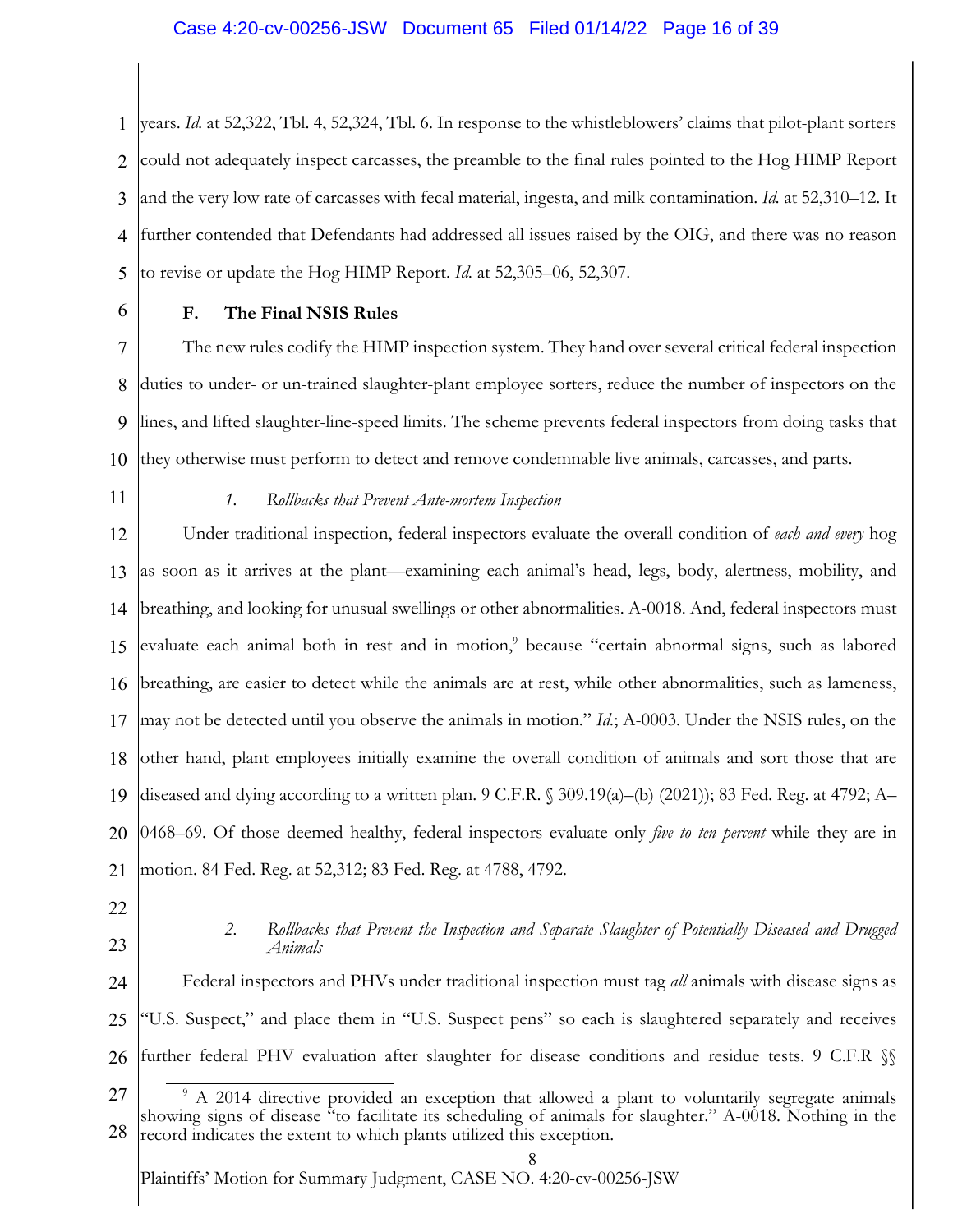# Case 4:20-cv-00256-JSW Document 65 Filed 01/14/22 Page 16 of 39

1 2 3 4 5 years. *Id.* at 52,322, Tbl. 4, 52,324, Tbl. 6. In response to the whistleblowers' claims that pilot-plant sorters could not adequately inspect carcasses, the preamble to the final rules pointed to the Hog HIMP Report and the very low rate of carcasses with fecal material, ingesta, and milk contamination. *Id.* at 52,310–12. It further contended that Defendants had addressed all issues raised by the OIG, and there was no reason to revise or update the Hog HIMP Report. *Id.* at 52,305–06, 52,307.

6

# **F. The Final NSIS Rules**

7 8 9 10 The new rules codify the HIMP inspection system. They hand over several critical federal inspection duties to under- or un-trained slaughter-plant employee sorters, reduce the number of inspectors on the lines, and lifted slaughter-line-speed limits. The scheme prevents federal inspectors from doing tasks that they otherwise must perform to detect and remove condemnable live animals, carcasses, and parts.

11

# *1. Rollbacks that Prevent Ante-mortem Inspection*

12 13 14 15 16 17 18 19 20 21 Under traditional inspection, federal inspectors evaluate the overall condition of *each and every* hog as soon as it arrives at the plant—examining each animal's head, legs, body, alertness, mobility, and breathing, and looking for unusual swellings or other abnormalities. A-0018. And, federal inspectors must evaluate each animal both in rest and in motion,<sup>9</sup> because "certain abnormal signs, such as labored breathing, are easier to detect while the animals are at rest, while other abnormalities, such as lameness, may not be detected until you observe the animals in motion." *Id.*; A-0003. Under the NSIS rules, on the other hand, plant employees initially examine the overall condition of animals and sort those that are diseased and dying according to a written plan. 9 C.F.R. § 309.19(a)–(b) (2021)); 83 Fed. Reg. at 4792; A– 0468–69. Of those deemed healthy, federal inspectors evaluate only *five to ten percent* while they are in motion. 84 Fed. Reg. at 52,312; 83 Fed. Reg. at 4788, 4792.

- 22
- 23

## *2. Rollbacks that Prevent the Inspection and Separate Slaughter of Potentially Diseased and Drugged Animals*

24 25 26 Federal inspectors and PHVs under traditional inspection must tag *all* animals with disease signs as "U.S. Suspect," and place them in "U.S. Suspect pens" so each is slaughtered separately and receives further federal PHV evaluation after slaughter for disease conditions and residue tests. 9 C.F.R §§

<sup>27</sup> 28 <sup>9</sup> A 2014 directive provided an exception that allowed a plant to voluntarily segregate animals showing signs of disease "to facilitate its scheduling of animals for slaughter." A-0018. Nothing in the record indicates the extent to which plants utilized this exception.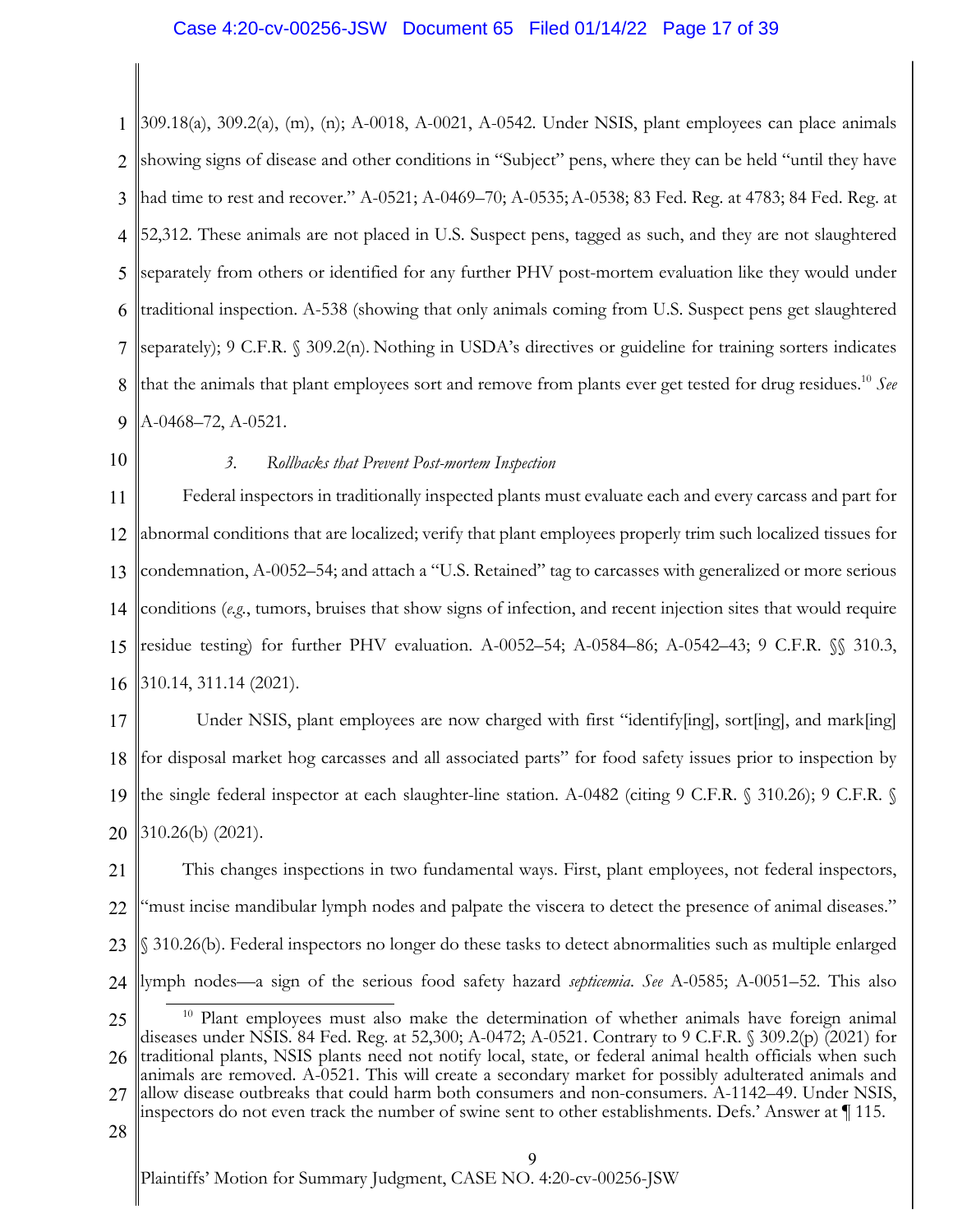### Case 4:20-cv-00256-JSW Document 65 Filed 01/14/22 Page 17 of 39

1 2 3 4 5 6 7 8 9 309.18(a), 309.2(a), (m), (n); A-0018, A-0021, A-0542. Under NSIS, plant employees can place animals showing signs of disease and other conditions in "Subject" pens, where they can be held "until they have had time to rest and recover." A-0521; A-0469–70; A-0535;A-0538; 83 Fed. Reg. at 4783; 84 Fed. Reg. at 52,312. These animals are not placed in U.S. Suspect pens, tagged as such, and they are not slaughtered separately from others or identified for any further PHV post-mortem evaluation like they would under traditional inspection. A-538 (showing that only animals coming from U.S. Suspect pens get slaughtered separately); 9 C.F.R. § 309.2(n). Nothing in USDA's directives or guideline for training sorters indicates that the animals that plant employees sort and remove from plants ever get tested for drug residues.10 *See*  A-0468–72, A-0521.

10

# *3. Rollbacks that Prevent Post-mortem Inspection*

11 12 13 14 15 16 Federal inspectors in traditionally inspected plants must evaluate each and every carcass and part for abnormal conditions that are localized; verify that plant employees properly trim such localized tissues for condemnation, A-0052–54; and attach a "U.S. Retained" tag to carcasses with generalized or more serious conditions (*e.g.*, tumors, bruises that show signs of infection, and recent injection sites that would require residue testing) for further PHV evaluation. A-0052–54; A-0584–86; A-0542–43; 9 C.F.R. §§ 310.3, 310.14, 311.14 (2021).

17 18 19 20 Under NSIS, plant employees are now charged with first "identify[ing], sort[ing], and mark[ing] for disposal market hog carcasses and all associated parts" for food safety issues prior to inspection by the single federal inspector at each slaughter-line station. A-0482 (citing 9 C.F.R. § 310.26); 9 C.F.R. § 310.26(b) (2021).

21 22 23 24 This changes inspections in two fundamental ways. First, plant employees, not federal inspectors, "must incise mandibular lymph nodes and palpate the viscera to detect the presence of animal diseases." § 310.26(b). Federal inspectors no longer do these tasks to detect abnormalities such as multiple enlarged lymph nodes—a sign of the serious food safety hazard *septicemia*. *See* A-0585; A-0051–52. This also

<sup>25</sup> 26 <sup>10</sup> Plant employees must also make the determination of whether animals have foreign animal diseases under NSIS. 84 Fed. Reg. at 52,300; A-0472; A-0521. Contrary to 9 C.F.R. § 309.2(p) (2021) for traditional plants, NSIS plants need not notify local, state, or federal animal health officials when such

animals are removed. A-0521. This will create a secondary market for possibly adulterated animals and

<sup>27</sup> allow disease outbreaks that could harm both consumers and non-consumers. A-1142–49. Under NSIS, inspectors do not even track the number of swine sent to other establishments. Defs.' Answer at ¶ 115.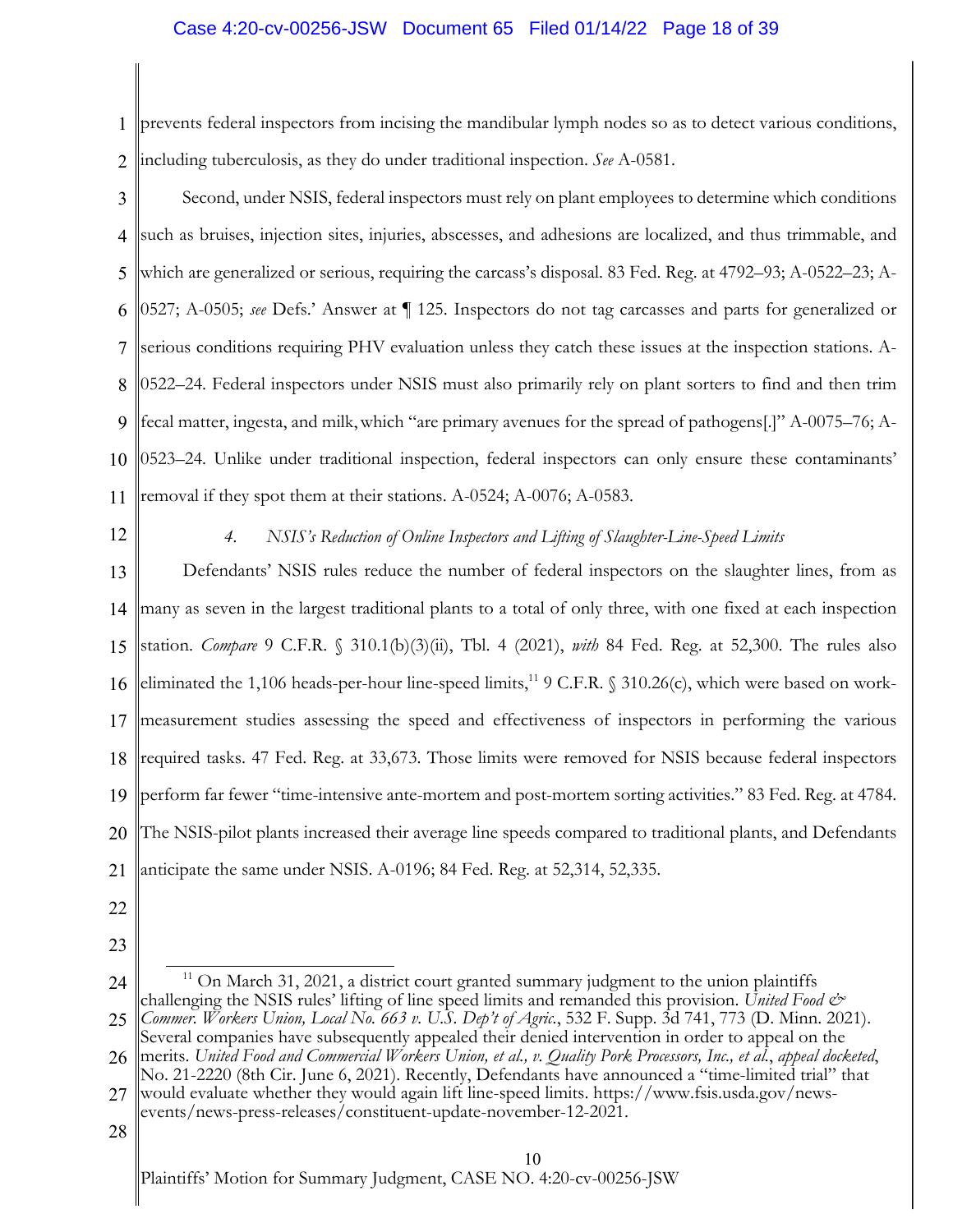# Case 4:20-cv-00256-JSW Document 65 Filed 01/14/22 Page 18 of 39

1 2 prevents federal inspectors from incising the mandibular lymph nodes so as to detect various conditions, including tuberculosis, as they do under traditional inspection. *See* A-0581.

- 3 4 5 6 7 8 9 10 11 Second, under NSIS, federal inspectors must rely on plant employees to determine which conditions such as bruises, injection sites, injuries, abscesses, and adhesions are localized, and thus trimmable, and which are generalized or serious, requiring the carcass's disposal. 83 Fed. Reg. at 4792–93; A-0522–23; A-0527; A-0505; *see* Defs.' Answer at ¶ 125. Inspectors do not tag carcasses and parts for generalized or serious conditions requiring PHV evaluation unless they catch these issues at the inspection stations. A-0522–24. Federal inspectors under NSIS must also primarily rely on plant sorters to find and then trim fecal matter, ingesta, and milk,which "are primary avenues for the spread of pathogens[.]" A-0075–76; A-0523–24. Unlike under traditional inspection, federal inspectors can only ensure these contaminants' removal if they spot them at their stations. A-0524; A-0076; A-0583.
- 12

# *4. NSIS's Reduction of Online Inspectors and Lifting of Slaughter-Line-Speed Limits*

13 14 15 16 17 18 19 20 21 Defendants' NSIS rules reduce the number of federal inspectors on the slaughter lines, from as many as seven in the largest traditional plants to a total of only three, with one fixed at each inspection station. *Compare* 9 C.F.R. § 310.1(b)(3)(ii), Tbl. 4 (2021), *with* 84 Fed. Reg. at 52,300. The rules also eliminated the 1,106 heads-per-hour line-speed limits,<sup>11</sup> 9 C.F.R. § 310.26(c), which were based on workmeasurement studies assessing the speed and effectiveness of inspectors in performing the various required tasks. 47 Fed. Reg. at 33,673. Those limits were removed for NSIS because federal inspectors perform far fewer "time-intensive ante-mortem and post-mortem sorting activities." 83 Fed. Reg. at 4784. The NSIS-pilot plants increased their average line speeds compared to traditional plants, and Defendants anticipate the same under NSIS. A-0196; 84 Fed. Reg. at 52,314, 52,335.

- 22
- 23

<sup>24</sup>  $11$  On March 31, 2021, a district court granted summary judgment to the union plaintiffs challenging the NSIS rules' lifting of line speed limits and remanded this provision. *United Food &* 

<sup>25</sup> 26 *Commer. Workers Union, Local No. 663 v. U.S. Dep't of Agric.*, 532 F. Supp. 3d 741, 773 (D. Minn. 2021). Several companies have subsequently appealed their denied intervention in order to appeal on the

merits. United Food and Commercial Workers Union, et al., v. Quality Pork Processors, Inc., et al., appeal docketed,<br>No. 21-2220 (8th Cir. June 6, 2021). Recently, Defendants have announced a "time-limited trial" that

<sup>27</sup> would evaluate whether they would again lift line-speed limits. https://www.fsis.usda.gov/newsevents/news-press-releases/constituent-update-november-12-2021.

<sup>28</sup>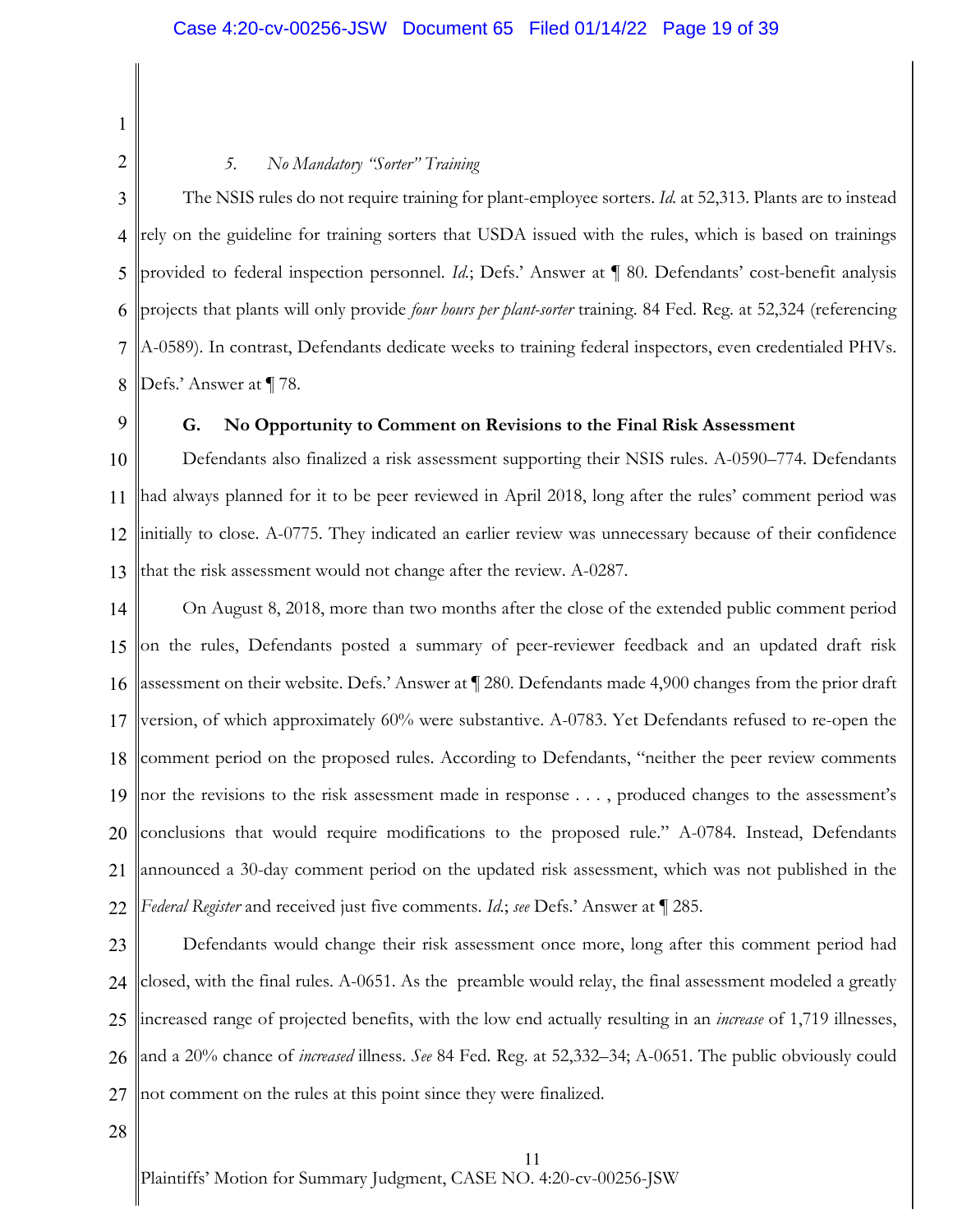1 2

# *5. No Mandatory "Sorter" Training*

3 4 5 6 7 8 The NSIS rules do not require training for plant-employee sorters. *Id.* at 52,313. Plants are to instead rely on the guideline for training sorters that USDA issued with the rules, which is based on trainings provided to federal inspection personnel. *Id.*; Defs.' Answer at ¶ 80. Defendants' cost-benefit analysis projects that plants will only provide *four hours per plant-sorter* training. 84 Fed. Reg. at 52,324 (referencing A-0589). In contrast, Defendants dedicate weeks to training federal inspectors, even credentialed PHVs. Defs.' Answer at ¶ 78.

9

## **G. No Opportunity to Comment on Revisions to the Final Risk Assessment**

10 11 12 13 Defendants also finalized a risk assessment supporting their NSIS rules. A-0590–774. Defendants had always planned for it to be peer reviewed in April 2018, long after the rules' comment period was initially to close. A-0775. They indicated an earlier review was unnecessary because of their confidence that the risk assessment would not change after the review. A-0287.

14 15 16 17 18 19 20 21 22 On August 8, 2018, more than two months after the close of the extended public comment period on the rules, Defendants posted a summary of peer-reviewer feedback and an updated draft risk assessment on their website. Defs.' Answer at ¶ 280. Defendants made 4,900 changes from the prior draft version, of which approximately 60% were substantive. A-0783. Yet Defendants refused to re-open the comment period on the proposed rules. According to Defendants, "neither the peer review comments nor the revisions to the risk assessment made in response . . . , produced changes to the assessment's conclusions that would require modifications to the proposed rule." A-0784. Instead, Defendants announced a 30-day comment period on the updated risk assessment, which was not published in the *Federal Register* and received just five comments. *Id.*; *see* Defs.' Answer at ¶ 285.

23 24 25 26 27 Defendants would change their risk assessment once more, long after this comment period had closed, with the final rules. A-0651. As the preamble would relay, the final assessment modeled a greatly increased range of projected benefits, with the low end actually resulting in an *increase* of 1,719 illnesses, and a 20% chance of *increased* illness. *See* 84 Fed. Reg. at 52,332–34; A-0651. The public obviously could not comment on the rules at this point since they were finalized.

28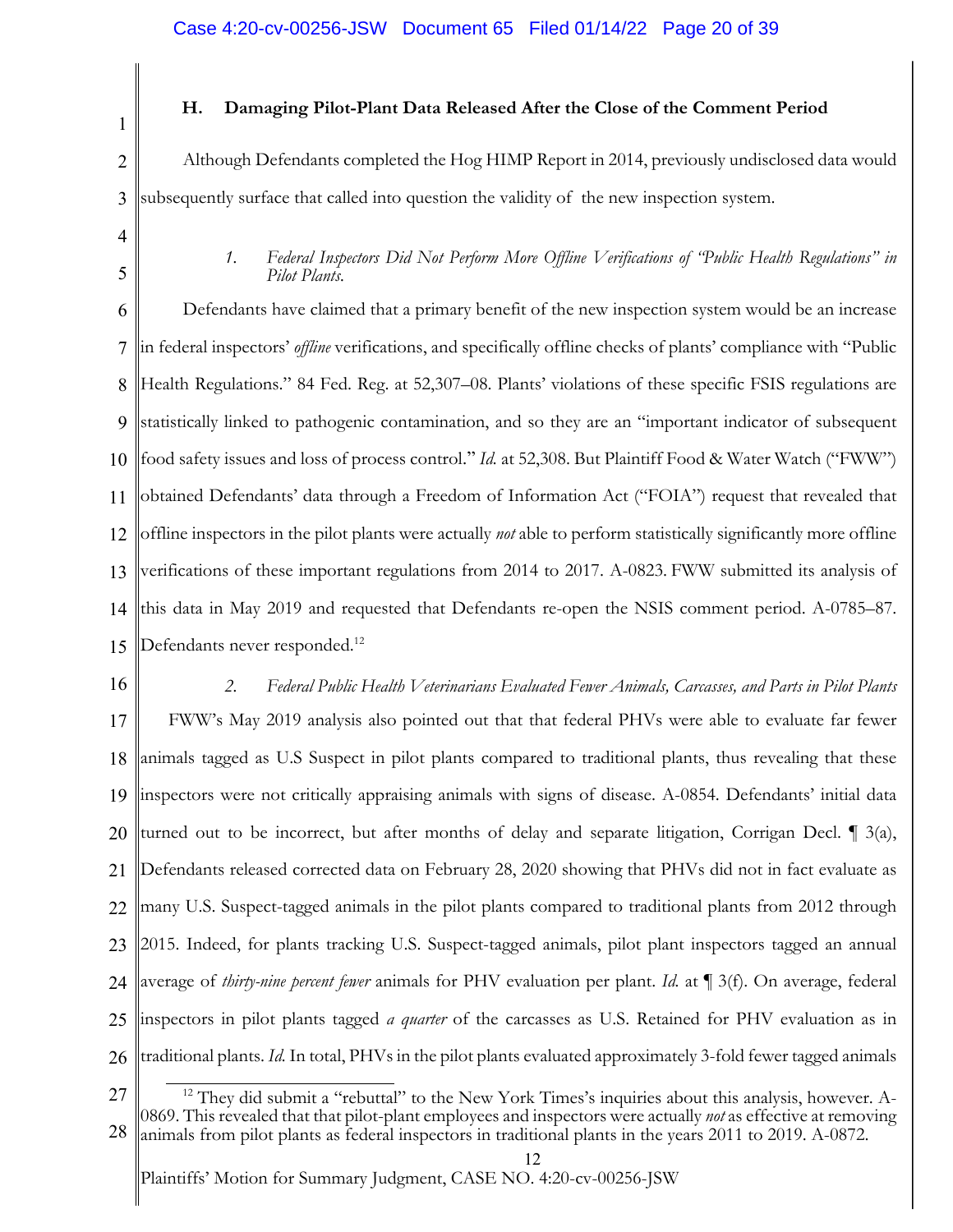1

# **H. Damaging Pilot-Plant Data Released After the Close of the Comment Period**

2 3 Although Defendants completed the Hog HIMP Report in 2014, previously undisclosed data would subsequently surface that called into question the validity of the new inspection system.

- 4
- 5

# *1. Federal Inspectors Did Not Perform More Offline Verifications of "Public Health Regulations" in Pilot Plants.*

6 7 8 9 10 11 12 13 14 15 Defendants have claimed that a primary benefit of the new inspection system would be an increase in federal inspectors' *offline* verifications, and specifically offline checks of plants' compliance with "Public Health Regulations." 84 Fed. Reg. at 52,307–08. Plants' violations of these specific FSIS regulations are statistically linked to pathogenic contamination, and so they are an "important indicator of subsequent food safety issues and loss of process control." *Id.* at 52,308. But Plaintiff Food & Water Watch ("FWW") obtained Defendants' data through a Freedom of Information Act ("FOIA") request that revealed that offline inspectors in the pilot plants were actually *not* able to perform statistically significantly more offline verifications of these important regulations from 2014 to 2017. A-0823. FWW submitted its analysis of this data in May 2019 and requested that Defendants re-open the NSIS comment period. A-0785–87. Defendants never responded.<sup>12</sup>

16 17 18 19 20 21 22 23 24 25 26 *2. Federal Public Health Veterinarians Evaluated Fewer Animals, Carcasses, and Parts in Pilot Plants* FWW's May 2019 analysis also pointed out that that federal PHVs were able to evaluate far fewer animals tagged as U.S Suspect in pilot plants compared to traditional plants, thus revealing that these inspectors were not critically appraising animals with signs of disease. A-0854. Defendants' initial data turned out to be incorrect, but after months of delay and separate litigation, Corrigan Decl. ¶ 3(a), Defendants released corrected data on February 28, 2020 showing that PHVs did not in fact evaluate as many U.S. Suspect-tagged animals in the pilot plants compared to traditional plants from 2012 through 2015. Indeed, for plants tracking U.S. Suspect-tagged animals, pilot plant inspectors tagged an annual average of *thirty-nine percent fewer* animals for PHV evaluation per plant. *Id.* at ¶ 3(f). On average, federal inspectors in pilot plants tagged *a quarter* of the carcasses as U.S. Retained for PHV evaluation as in traditional plants. *Id.* In total, PHVs in the pilot plants evaluated approximately 3-fold fewer tagged animals

12 animals from pilot plants as federal inspectors in traditional plants in the years 2011 to 2019. A-0872.

<sup>27</sup> 28 <sup>12</sup> They did submit a "rebuttal" to the New York Times's inquiries about this analysis, however. A-<br>0869. This revealed that that pilot-plant employees and inspectors were actually *not* as effective at removing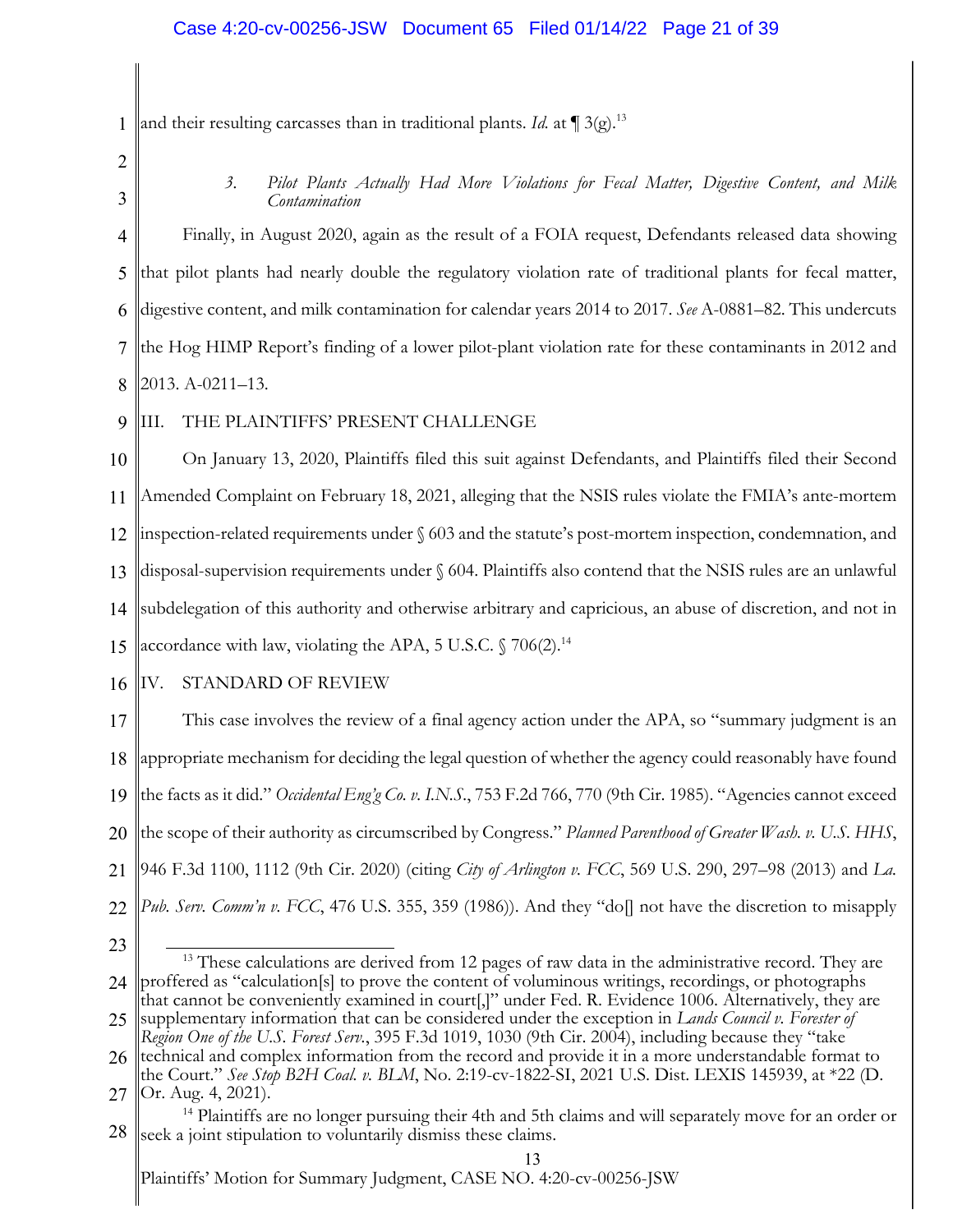1 and their resulting carcasses than in traditional plants. *Id.* at  $\P$  3(g).<sup>13</sup>

2

3

*3. Pilot Plants Actually Had More Violations for Fecal Matter, Digestive Content, and Milk Contamination*

4 5 6 7 8 Finally, in August 2020, again as the result of a FOIA request, Defendants released data showing that pilot plants had nearly double the regulatory violation rate of traditional plants for fecal matter, digestive content, and milk contamination for calendar years 2014 to 2017. *See* A-0881–82. This undercuts the Hog HIMP Report's finding of a lower pilot-plant violation rate for these contaminants in 2012 and 2013. A-0211–13.

9 III. THE PLAINTIFFS' PRESENT CHALLENGE

10 11 12 13 14 On January 13, 2020, Plaintiffs filed this suit against Defendants, and Plaintiffs filed their Second Amended Complaint on February 18, 2021, alleging that the NSIS rules violate the FMIA's ante-mortem inspection-related requirements under § 603 and the statute's post-mortem inspection, condemnation, and disposal-supervision requirements under § 604. Plaintiffs also contend that the NSIS rules are an unlawful subdelegation of this authority and otherwise arbitrary and capricious, an abuse of discretion, and not in

15 accordance with law, violating the APA, 5 U.S.C.  $\frac{6}{3}$  706(2).<sup>14</sup>

#### 16 IV. STANDARD OF REVIEW

17 18 19 20 21 22 This case involves the review of a final agency action under the APA, so "summary judgment is an appropriate mechanism for deciding the legal question of whether the agency could reasonably have found the facts as it did." *Occidental Eng'g Co. v. I.N.S.*, 753 F.2d 766, 770 (9th Cir. 1985). "Agencies cannot exceed the scope of their authority as circumscribed by Congress." *Planned Parenthood of Greater Wash. v. U.S. HHS*, 946 F.3d 1100, 1112 (9th Cir. 2020) (citing *City of Arlington v. FCC*, 569 U.S. 290, 297–98 (2013) and *La. Pub. Serv. Comm'n v. FCC*, 476 U.S. 355, 359 (1986)). And they "do[] not have the discretion to misapply

<sup>23</sup>

<sup>24</sup>  $13$  These calculations are derived from 12 pages of raw data in the administrative record. They are proffered as "calculation[s] to prove the content of voluminous writings, recordings, or photographs that cannot be conveniently examined in court[,]" under Fed. R. Evidence 1006. Alternatively, they are

<sup>25</sup> supplementary information that can be considered under the exception in *Lands Council v. Forester of Region One of the U.S. Forest Serv.*, 395 F.3d 1019, 1030 (9th Cir. 2004), including because they "take

<sup>26</sup> technical and complex information from the record and provide it in a more understandable format to the Court." *See Stop B2H Coal. v. BLM*, No. 2:19-cv-1822-SI, 2021 U.S. Dist. LEXIS 145939, at \*22 (D.

<sup>27</sup>

<sup>28</sup> Or. Aug. 4, 2021). 14 Plaintiffs are no longer pursuing their 4th and 5th claims and will separately move for an order or seek a joint stipulation to voluntarily dismiss these claims.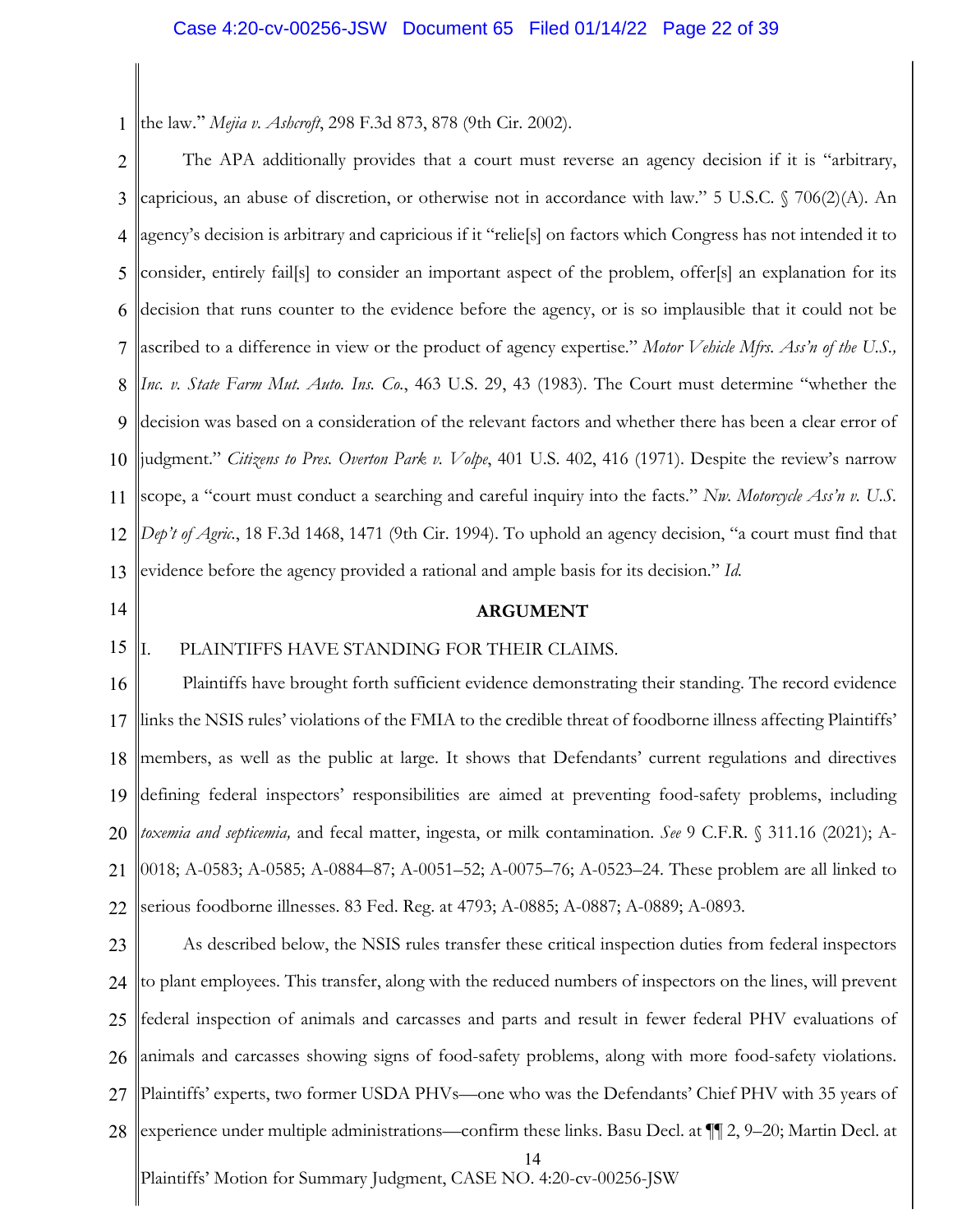1 the law." *Mejia v. Ashcroft*, 298 F.3d 873, 878 (9th Cir. 2002).

2 3 4 5 6 7 8 9 10 11 12 13 The APA additionally provides that a court must reverse an agency decision if it is "arbitrary, capricious, an abuse of discretion, or otherwise not in accordance with law." 5 U.S.C. § 706(2)(A). An agency's decision is arbitrary and capricious if it "relie[s] on factors which Congress has not intended it to consider, entirely fail[s] to consider an important aspect of the problem, offer[s] an explanation for its decision that runs counter to the evidence before the agency, or is so implausible that it could not be ascribed to a difference in view or the product of agency expertise." *Motor Vehicle Mfrs. Ass'n of the U.S., Inc. v. State Farm Mut. Auto. Ins. Co.*, 463 U.S. 29, 43 (1983). The Court must determine "whether the decision was based on a consideration of the relevant factors and whether there has been a clear error of judgment." *Citizens to Pres. Overton Park v. Volpe*, 401 U.S. 402, 416 (1971). Despite the review's narrow scope, a "court must conduct a searching and careful inquiry into the facts." *Nw. Motorcycle Ass'n v. U.S. Dep't of Agric.*, 18 F.3d 1468, 1471 (9th Cir. 1994). To uphold an agency decision, "a court must find that evidence before the agency provided a rational and ample basis for its decision." *Id.*

14

### **ARGUMENT**

#### 15 I. PLAINTIFFS HAVE STANDING FOR THEIR CLAIMS.

16 17 18 19 20 21 22 Plaintiffs have brought forth sufficient evidence demonstrating their standing. The record evidence links the NSIS rules' violations of the FMIA to the credible threat of foodborne illness affecting Plaintiffs' members, as well as the public at large. It shows that Defendants' current regulations and directives defining federal inspectors' responsibilities are aimed at preventing food-safety problems, including *toxemia and septicemia,* and fecal matter, ingesta, or milk contamination. *See* 9 C.F.R. § 311.16 (2021); A-0018; A-0583; A-0585; A-0884–87; A-0051–52; A-0075–76; A-0523–24. These problem are all linked to serious foodborne illnesses. 83 Fed. Reg. at 4793; A-0885; A-0887; A-0889; A-0893.

Plaintiffs' Motion for Summary Judgment, CASE NO. 4:20-cv-00256-JSW 14 23 24 25 26 27 28 As described below, the NSIS rules transfer these critical inspection duties from federal inspectors to plant employees. This transfer, along with the reduced numbers of inspectors on the lines, will prevent federal inspection of animals and carcasses and parts and result in fewer federal PHV evaluations of animals and carcasses showing signs of food-safety problems, along with more food-safety violations. Plaintiffs' experts, two former USDA PHVs—one who was the Defendants' Chief PHV with 35 years of experience under multiple administrations—confirm these links. Basu Decl. at ¶¶ 2, 9–20; Martin Decl. at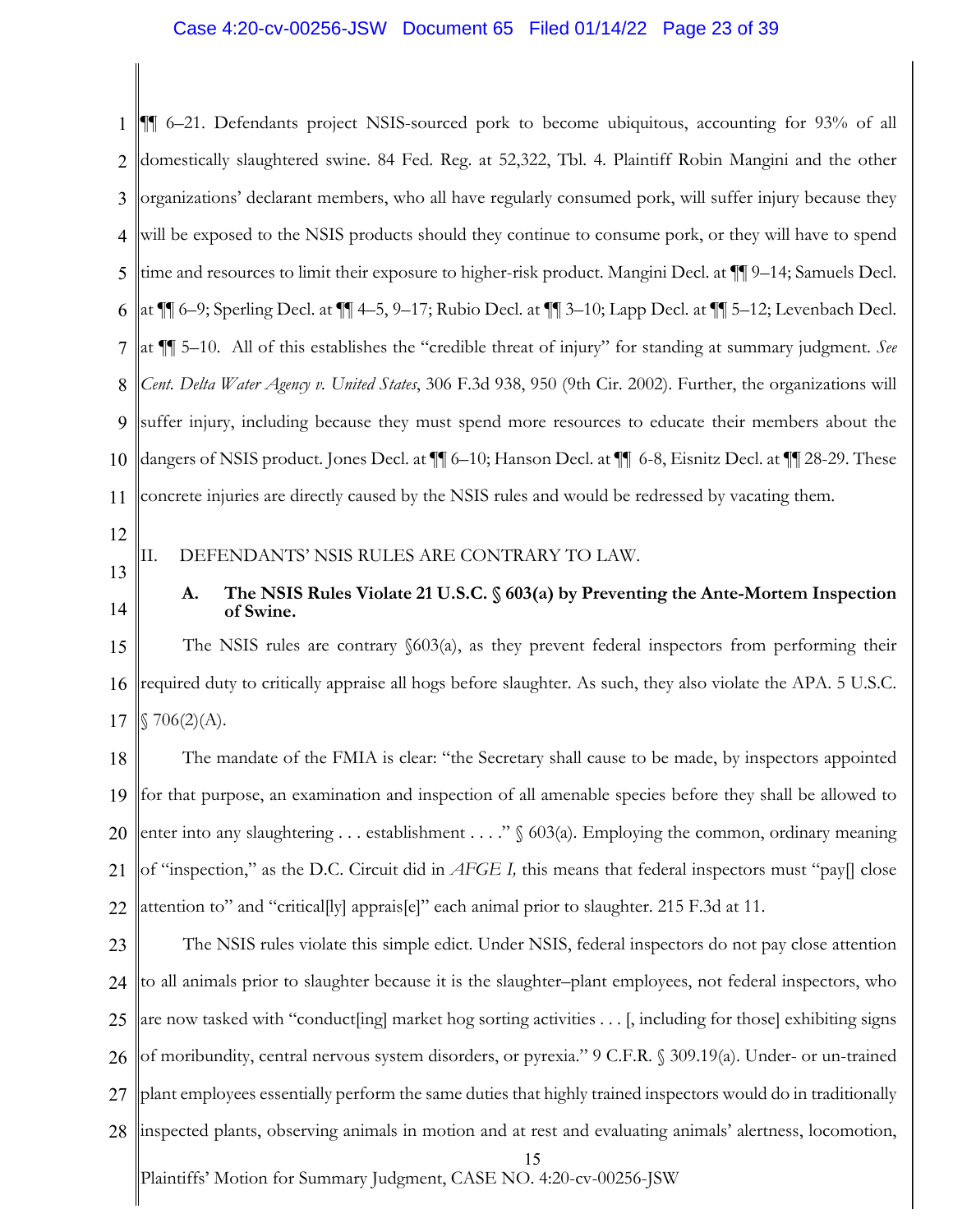## Case 4:20-cv-00256-JSW Document 65 Filed 01/14/22 Page 23 of 39

1 2 3 4 5 6 7 8 9 10 11 ¶¶ 6–21. Defendants project NSIS-sourced pork to become ubiquitous, accounting for 93% of all domestically slaughtered swine. 84 Fed. Reg. at 52,322, Tbl. 4. Plaintiff Robin Mangini and the other organizations' declarant members, who all have regularly consumed pork, will suffer injury because they will be exposed to the NSIS products should they continue to consume pork, or they will have to spend time and resources to limit their exposure to higher-risk product. Mangini Decl. at ¶¶ 9–14; Samuels Decl. at ¶¶ 6–9; Sperling Decl. at ¶¶ 4–5, 9–17; Rubio Decl. at ¶¶ 3–10; Lapp Decl. at ¶¶ 5–12; Levenbach Decl. at ¶¶ 5–10. All of this establishes the "credible threat of injury" for standing at summary judgment. *See Cent. Delta Water Agency v. United States*, 306 F.3d 938, 950 (9th Cir. 2002). Further, the organizations will suffer injury, including because they must spend more resources to educate their members about the dangers of NSIS product. Jones Decl. at ¶¶ 6–10; Hanson Decl. at ¶¶ 6-8, Eisnitz Decl. at ¶¶ 28-29. These concrete injuries are directly caused by the NSIS rules and would be redressed by vacating them.

- 12
- 13
- 14

# II. DEFENDANTS' NSIS RULES ARE CONTRARY TO LAW.

# **A. The NSIS Rules Violate 21 U.S.C. § 603(a) by Preventing the Ante-Mortem Inspection of Swine.**

15 16 17 The NSIS rules are contrary §603(a), as they prevent federal inspectors from performing their required duty to critically appraise all hogs before slaughter. As such, they also violate the APA. 5 U.S.C.  $$706(2)(A).$ 

18 19 20 21 22 The mandate of the FMIA is clear: "the Secretary shall cause to be made, by inspectors appointed for that purpose, an examination and inspection of all amenable species before they shall be allowed to enter into any slaughtering . . . establishment . . . ." § 603(a). Employing the common, ordinary meaning of "inspection," as the D.C. Circuit did in *AFGE I,* this means that federal inspectors must "pay[] close attention to" and "critical[ly] apprais[e]" each animal prior to slaughter. 215 F.3d at 11.

Plaintiffs' Motion for Summary Judgment, CASE NO. 4:20-cv-00256-JSW 15 23 24 25 26 27 28 The NSIS rules violate this simple edict. Under NSIS, federal inspectors do not pay close attention to all animals prior to slaughter because it is the slaughter–plant employees, not federal inspectors, who are now tasked with "conduct[ing] market hog sorting activities . . . [, including for those] exhibiting signs of moribundity, central nervous system disorders, or pyrexia." 9 C.F.R. § 309.19(a). Under- or un-trained plant employees essentially perform the same duties that highly trained inspectors would do in traditionally inspected plants, observing animals in motion and at rest and evaluating animals' alertness, locomotion,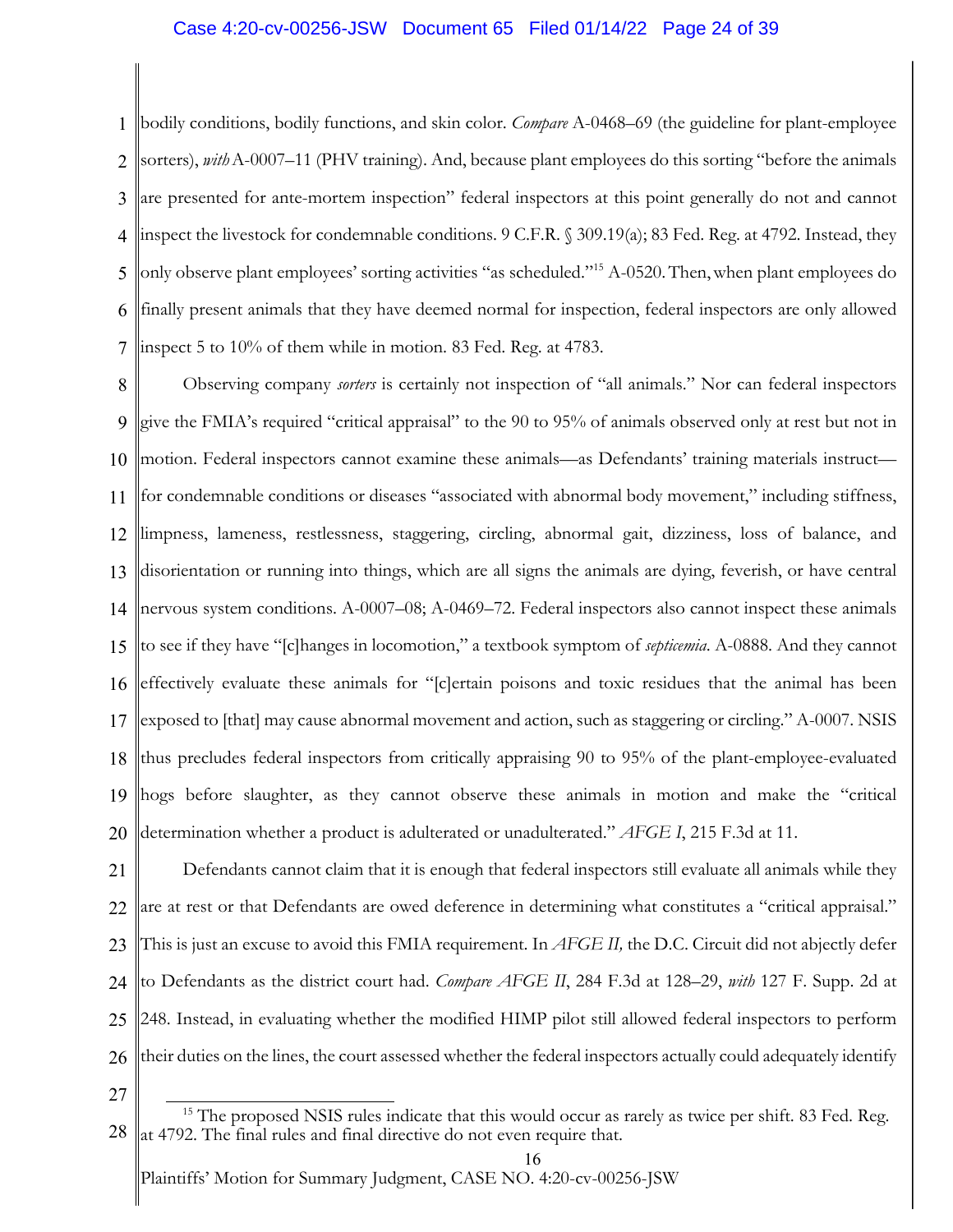# Case 4:20-cv-00256-JSW Document 65 Filed 01/14/22 Page 24 of 39

1 2 3 4 5 6 7 bodily conditions, bodily functions, and skin color. *Compare* A-0468–69 (the guideline for plant-employee sorters), *with*A-0007–11 (PHV training). And, because plant employees do this sorting "before the animals are presented for ante-mortem inspection" federal inspectors at this point generally do not and cannot inspect the livestock for condemnable conditions. 9 C.F.R. § 309.19(a); 83 Fed. Reg. at 4792. Instead, they only observe plant employees' sorting activities "as scheduled."15 A-0520.Then,when plant employees do finally present animals that they have deemed normal for inspection, federal inspectors are only allowed inspect 5 to 10% of them while in motion. 83 Fed. Reg. at 4783.

8 9 10 11 12 13 14 15 16 17 18 19 20 Observing company *sorters* is certainly not inspection of "all animals." Nor can federal inspectors give the FMIA's required "critical appraisal" to the 90 to 95% of animals observed only at rest but not in motion. Federal inspectors cannot examine these animals—as Defendants' training materials instruct for condemnable conditions or diseases "associated with abnormal body movement," including stiffness, limpness, lameness, restlessness, staggering, circling, abnormal gait, dizziness, loss of balance, and disorientation or running into things, which are all signs the animals are dying, feverish, or have central nervous system conditions. A-0007–08; A-0469–72. Federal inspectors also cannot inspect these animals to see if they have "[c]hanges in locomotion," a textbook symptom of *septicemia*. A-0888. And they cannot effectively evaluate these animals for "[c]ertain poisons and toxic residues that the animal has been exposed to [that] may cause abnormal movement and action, such as staggering or circling." A-0007. NSIS thus precludes federal inspectors from critically appraising 90 to 95% of the plant-employee-evaluated hogs before slaughter, as they cannot observe these animals in motion and make the "critical determination whether a product is adulterated or unadulterated." *AFGE I*, 215 F.3d at 11.

21 22 23 24 25 26 Defendants cannot claim that it is enough that federal inspectors still evaluate all animals while they are at rest or that Defendants are owed deference in determining what constitutes a "critical appraisal." This is just an excuse to avoid this FMIA requirement. In *AFGE II,* the D.C. Circuit did not abjectly defer to Defendants as the district court had. *Compare AFGE II*, 284 F.3d at 128–29, *with* 127 F. Supp. 2d at 248. Instead, in evaluating whether the modified HIMP pilot still allowed federal inspectors to perform their duties on the lines, the court assessed whether the federal inspectors actually could adequately identify

27

<sup>28</sup> <sup>15</sup> The proposed NSIS rules indicate that this would occur as rarely as twice per shift. 83 Fed. Reg. at 4792. The final rules and final directive do not even require that.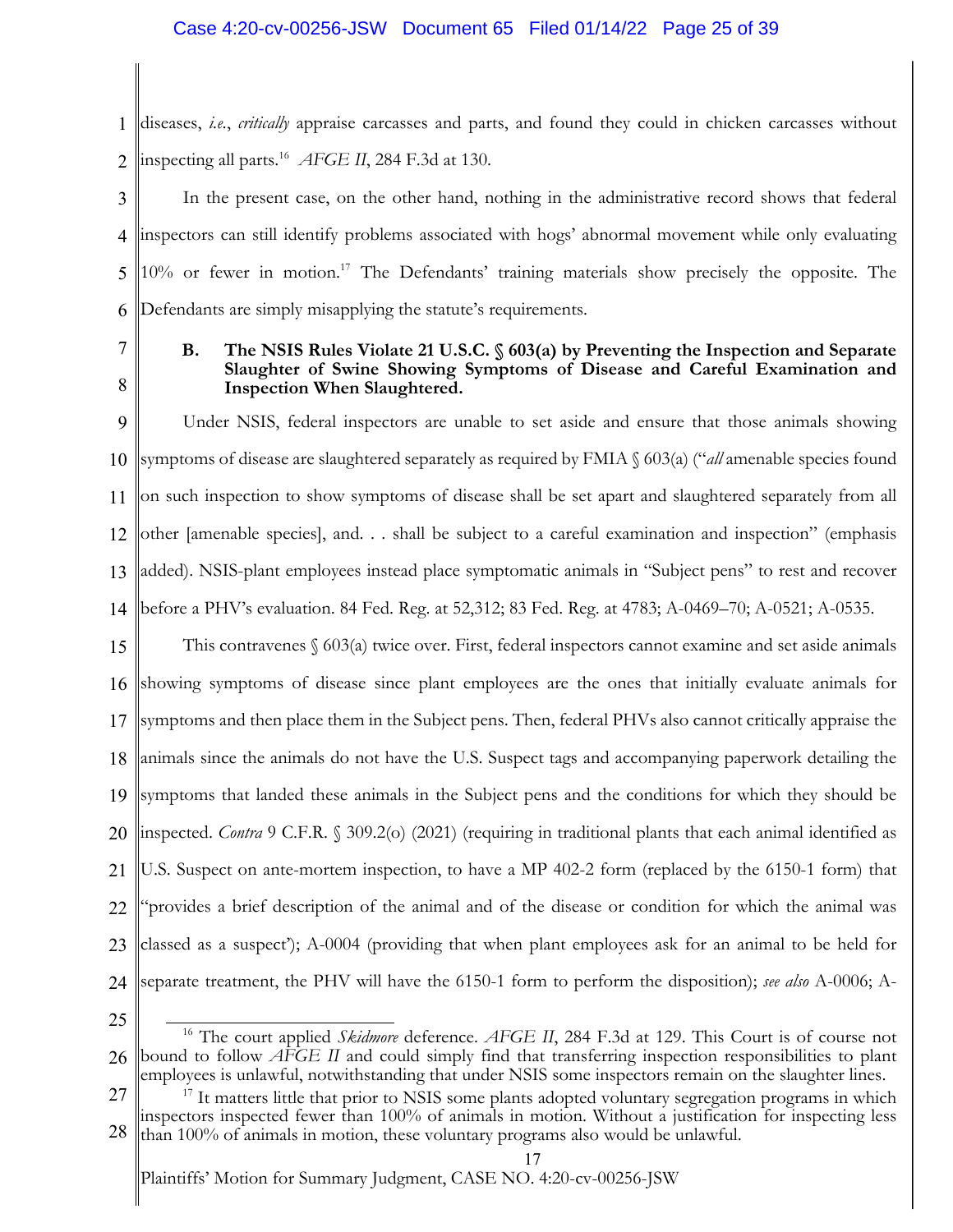# Case 4:20-cv-00256-JSW Document 65 Filed 01/14/22 Page 25 of 39

1 2 diseases, *i.e.*, *critically* appraise carcasses and parts, and found they could in chicken carcasses without inspecting all parts.16 *AFGE II*, 284 F.3d at 130.

3 4 5 6 In the present case, on the other hand, nothing in the administrative record shows that federal inspectors can still identify problems associated with hogs' abnormal movement while only evaluating 10% or fewer in motion.<sup>17</sup> The Defendants' training materials show precisely the opposite. The Defendants are simply misapplying the statute's requirements.

7

8

# **B. The NSIS Rules Violate 21 U.S.C. § 603(a) by Preventing the Inspection and Separate Slaughter of Swine Showing Symptoms of Disease and Careful Examination and Inspection When Slaughtered.**

9 10 11 12 13 14 Under NSIS, federal inspectors are unable to set aside and ensure that those animals showing symptoms of disease are slaughtered separately as required by FMIA § 603(a) ("*all* amenable species found on such inspection to show symptoms of disease shall be set apart and slaughtered separately from all other [amenable species], and. . . shall be subject to a careful examination and inspection" (emphasis added). NSIS-plant employees instead place symptomatic animals in "Subject pens" to rest and recover before a PHV's evaluation. 84 Fed. Reg. at 52,312; 83 Fed. Reg. at 4783; A-0469–70; A-0521; A-0535.

15 16 17 18 19 20 21 22 23 24 This contravenes  $\&$  603(a) twice over. First, federal inspectors cannot examine and set aside animals showing symptoms of disease since plant employees are the ones that initially evaluate animals for symptoms and then place them in the Subject pens. Then, federal PHVs also cannot critically appraise the animals since the animals do not have the U.S. Suspect tags and accompanying paperwork detailing the symptoms that landed these animals in the Subject pens and the conditions for which they should be inspected. *Contra* 9 C.F.R. § 309.2(o) (2021) (requiring in traditional plants that each animal identified as U.S. Suspect on ante-mortem inspection, to have a MP 402-2 form (replaced by the 6150-1 form) that "provides a brief description of the animal and of the disease or condition for which the animal was classed as a suspect'); A-0004 (providing that when plant employees ask for an animal to be held for separate treatment, the PHV will have the 6150-1 form to perform the disposition); *see also* A-0006; A-

25

27 28 employees is unlawful, notwithstanding that under NSIS some inspectors remain on the slaughter lines.<br><sup>17</sup> It matters little that prior to NSIS some plants adopted voluntary segregation programs in which inspectors inspected fewer than 100% of animals in motion. Without a justification for inspecting less than 100% of animals in motion, these voluntary programs also would be unlawful.

<sup>26</sup> <sup>16</sup> The court applied *Skidmore* deference. *AFGE II*, 284 F.3d at 129. This Court is of course not bound to follow *AFGE II* and could simply find that transferring inspection responsibilities to plant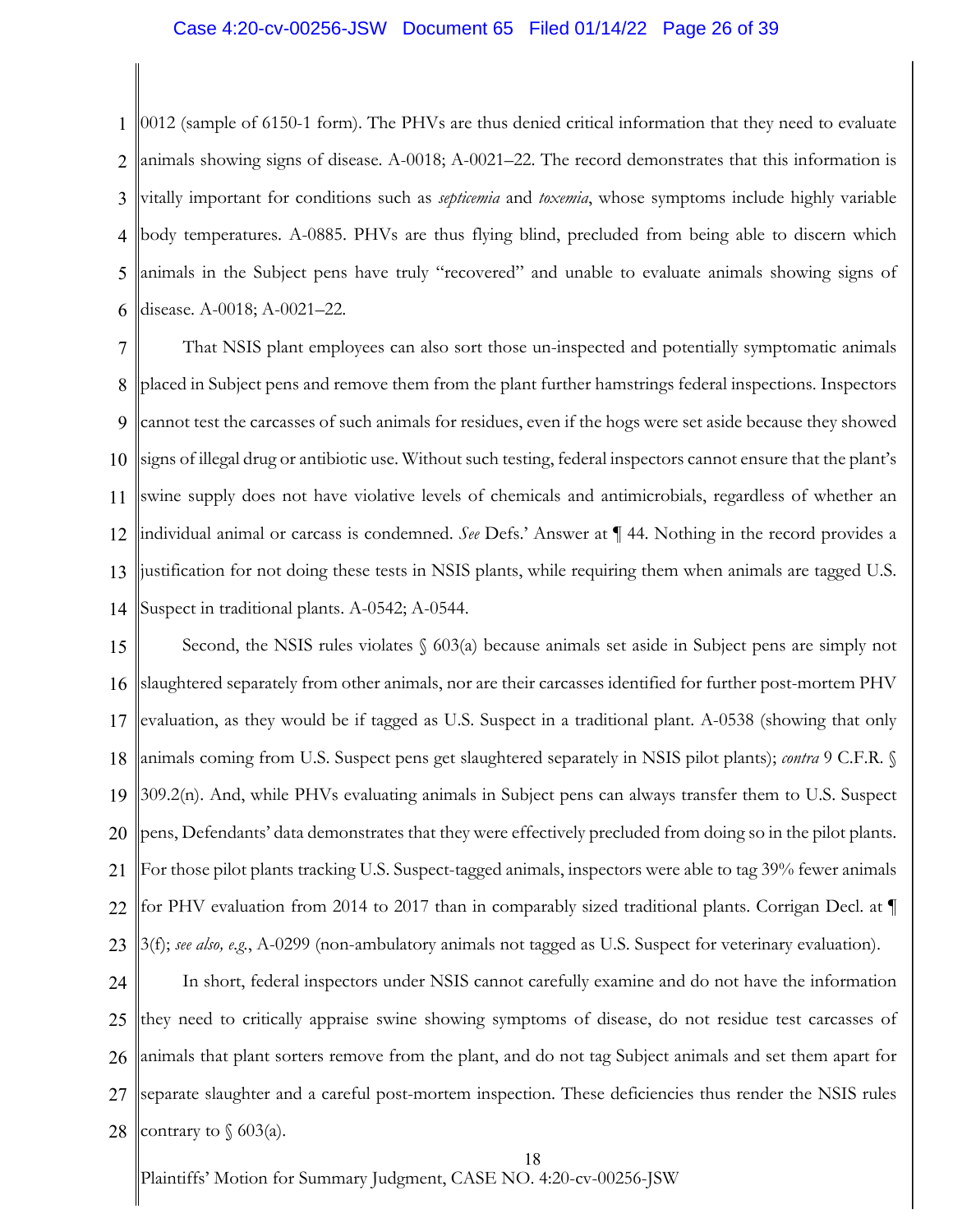## Case 4:20-cv-00256-JSW Document 65 Filed 01/14/22 Page 26 of 39

1 2 3 4 5 6 0012 (sample of 6150-1 form). The PHVs are thus denied critical information that they need to evaluate animals showing signs of disease. A-0018; A-0021–22. The record demonstrates that this information is vitally important for conditions such as *septicemia* and *toxemia*, whose symptoms include highly variable body temperatures. A-0885. PHVs are thus flying blind, precluded from being able to discern which animals in the Subject pens have truly "recovered" and unable to evaluate animals showing signs of disease. A-0018; A-0021–22.

7 8 9 10 11 12 13 14 That NSIS plant employees can also sort those un-inspected and potentially symptomatic animals placed in Subject pens and remove them from the plant further hamstrings federal inspections. Inspectors cannot test the carcasses of such animals for residues, even if the hogs were set aside because they showed signs of illegal drug or antibiotic use. Without such testing, federal inspectors cannot ensure that the plant's swine supply does not have violative levels of chemicals and antimicrobials, regardless of whether an individual animal or carcass is condemned. *See* Defs.' Answer at ¶ 44. Nothing in the record provides a justification for not doing these tests in NSIS plants, while requiring them when animals are tagged U.S. Suspect in traditional plants. A-0542; A-0544.

15 16 17 18 19 20 21 22 23 Second, the NSIS rules violates  $\S$  603(a) because animals set aside in Subject pens are simply not slaughtered separately from other animals, nor are their carcasses identified for further post-mortem PHV evaluation, as they would be if tagged as U.S. Suspect in a traditional plant. A-0538 (showing that only animals coming from U.S. Suspect pens get slaughtered separately in NSIS pilot plants); *contra* 9 C.F.R. § 309.2(n). And, while PHVs evaluating animals in Subject pens can always transfer them to U.S. Suspect pens, Defendants' data demonstrates that they were effectively precluded from doing so in the pilot plants. For those pilot plants tracking U.S. Suspect-tagged animals, inspectors were able to tag 39% fewer animals for PHV evaluation from 2014 to 2017 than in comparably sized traditional plants. Corrigan Decl. at ¶ 3(f); *see also, e.g.*, A-0299 (non-ambulatory animals not tagged as U.S. Suspect for veterinary evaluation).

24 25 26 27 28 In short, federal inspectors under NSIS cannot carefully examine and do not have the information they need to critically appraise swine showing symptoms of disease, do not residue test carcasses of animals that plant sorters remove from the plant, and do not tag Subject animals and set them apart for separate slaughter and a careful post-mortem inspection. These deficiencies thus render the NSIS rules contrary to  $\sqrt{603(a)}$ .

18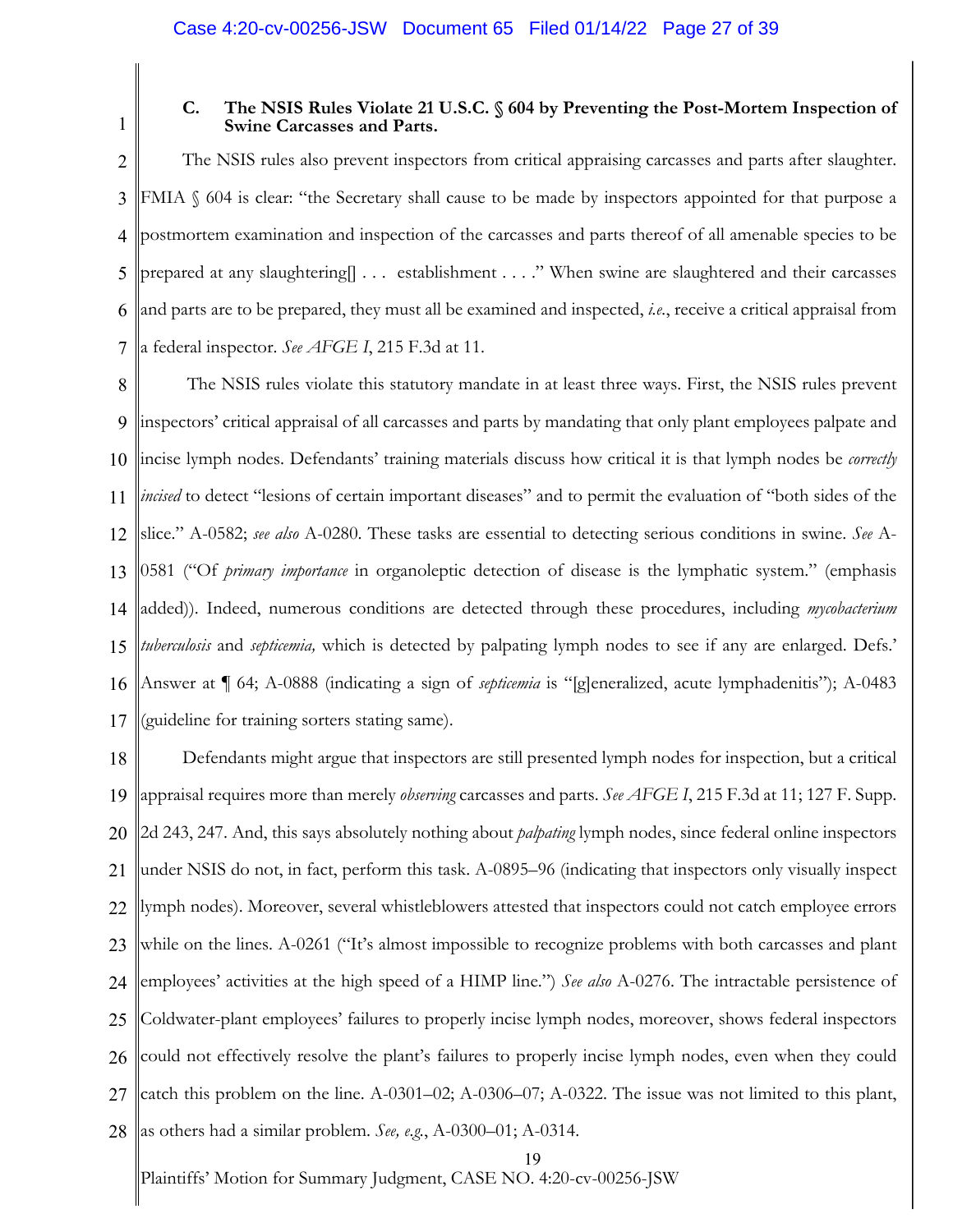1

# **C. The NSIS Rules Violate 21 U.S.C. § 604 by Preventing the Post-Mortem Inspection of Swine Carcasses and Parts.**

2 3 4 5 6 7 The NSIS rules also prevent inspectors from critical appraising carcasses and parts after slaughter. FMIA § 604 is clear: "the Secretary shall cause to be made by inspectors appointed for that purpose a postmortem examination and inspection of the carcasses and parts thereof of all amenable species to be prepared at any slaughtering[] . . . establishment . . . ." When swine are slaughtered and their carcasses and parts are to be prepared, they must all be examined and inspected, *i.e.*, receive a critical appraisal from a federal inspector. *See AFGE I*, 215 F.3d at 11.

8 9 10 11 12 13 14 15 16 17 The NSIS rules violate this statutory mandate in at least three ways. First, the NSIS rules prevent inspectors' critical appraisal of all carcasses and parts by mandating that only plant employees palpate and incise lymph nodes. Defendants' training materials discuss how critical it is that lymph nodes be *correctly incised* to detect "lesions of certain important diseases" and to permit the evaluation of "both sides of the slice." A-0582; *see also* A-0280. These tasks are essential to detecting serious conditions in swine. *See* A-0581 ("Of *primary importance* in organoleptic detection of disease is the lymphatic system." (emphasis added)). Indeed, numerous conditions are detected through these procedures, including *mycobacterium tuberculosis* and *septicemia,* which is detected by palpating lymph nodes to see if any are enlarged. Defs.' Answer at ¶ 64; A-0888 (indicating a sign of *septicemia* is "[g]eneralized, acute lymphadenitis"); A-0483 (guideline for training sorters stating same).

18 19 20 21 22 23 24 25 26 27 28 Defendants might argue that inspectors are still presented lymph nodes for inspection, but a critical appraisal requires more than merely *observing* carcasses and parts. *See AFGE I*, 215 F.3d at 11; 127 F. Supp. 2d 243, 247. And, this says absolutely nothing about *palpating* lymph nodes, since federal online inspectors under NSIS do not, in fact, perform this task. A-0895–96 (indicating that inspectors only visually inspect lymph nodes). Moreover, several whistleblowers attested that inspectors could not catch employee errors while on the lines. A-0261 ("It's almost impossible to recognize problems with both carcasses and plant employees' activities at the high speed of a HIMP line.") *See also* A-0276. The intractable persistence of Coldwater-plant employees' failures to properly incise lymph nodes, moreover, shows federal inspectors could not effectively resolve the plant's failures to properly incise lymph nodes, even when they could catch this problem on the line. A-0301–02; A-0306–07; A-0322. The issue was not limited to this plant, as others had a similar problem. *See, e.g.*, A-0300–01; A-0314.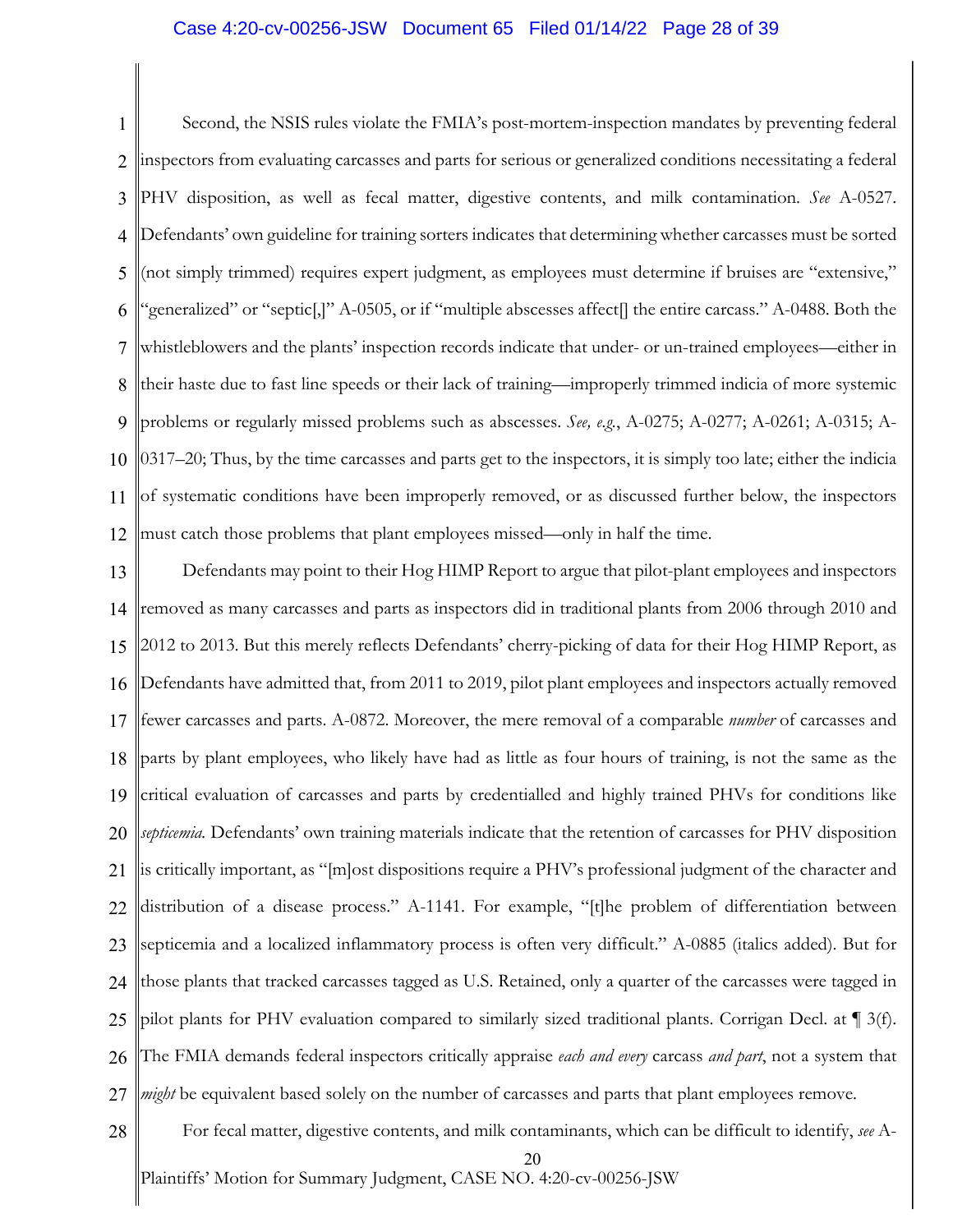# Case 4:20-cv-00256-JSW Document 65 Filed 01/14/22 Page 28 of 39

1 2 3 4 5 6 7 8 9 10 11 12 Second, the NSIS rules violate the FMIA's post-mortem-inspection mandates by preventing federal inspectors from evaluating carcasses and parts for serious or generalized conditions necessitating a federal PHV disposition, as well as fecal matter, digestive contents, and milk contamination. *See* A-0527. Defendants' own guideline for training sorters indicates that determining whether carcasses must be sorted (not simply trimmed) requires expert judgment, as employees must determine if bruises are "extensive," "generalized" or "septic[,]" A-0505, or if "multiple abscesses affect[] the entire carcass." A-0488. Both the whistleblowers and the plants' inspection records indicate that under- or un-trained employees—either in their haste due to fast line speeds or their lack of training—improperly trimmed indicia of more systemic problems or regularly missed problems such as abscesses. *See, e.g.*, A-0275; A-0277; A-0261; A-0315; A-0317–20; Thus, by the time carcasses and parts get to the inspectors, it is simply too late; either the indicia of systematic conditions have been improperly removed, or as discussed further below, the inspectors must catch those problems that plant employees missed—only in half the time.

13 14 15 16 17 18 19 20 21 22 23 24 25 26 27 Defendants may point to their Hog HIMP Report to argue that pilot-plant employees and inspectors removed as many carcasses and parts as inspectors did in traditional plants from 2006 through 2010 and 2012 to 2013. But this merely reflects Defendants' cherry-picking of data for their Hog HIMP Report, as Defendants have admitted that, from 2011 to 2019, pilot plant employees and inspectors actually removed fewer carcasses and parts. A-0872. Moreover, the mere removal of a comparable *number* of carcasses and parts by plant employees, who likely have had as little as four hours of training, is not the same as the critical evaluation of carcasses and parts by credentialled and highly trained PHVs for conditions like *septicemia.* Defendants' own training materials indicate that the retention of carcasses for PHV disposition is critically important, as "[m]ost dispositions require a PHV's professional judgment of the character and distribution of a disease process." A-1141. For example, "[t]he problem of differentiation between septicemia and a localized inflammatory process is often very difficult." A-0885 (italics added). But for those plants that tracked carcasses tagged as U.S. Retained, only a quarter of the carcasses were tagged in pilot plants for PHV evaluation compared to similarly sized traditional plants. Corrigan Decl. at ¶ 3(f). The FMIA demands federal inspectors critically appraise *each and every* carcass *and part*, not a system that *might* be equivalent based solely on the number of carcasses and parts that plant employees remove.

Plaintiffs' Motion for Summary Judgment, CASE NO. 4:20-cv-00256-JSW 20 28 For fecal matter, digestive contents, and milk contaminants, which can be difficult to identify, *see* A-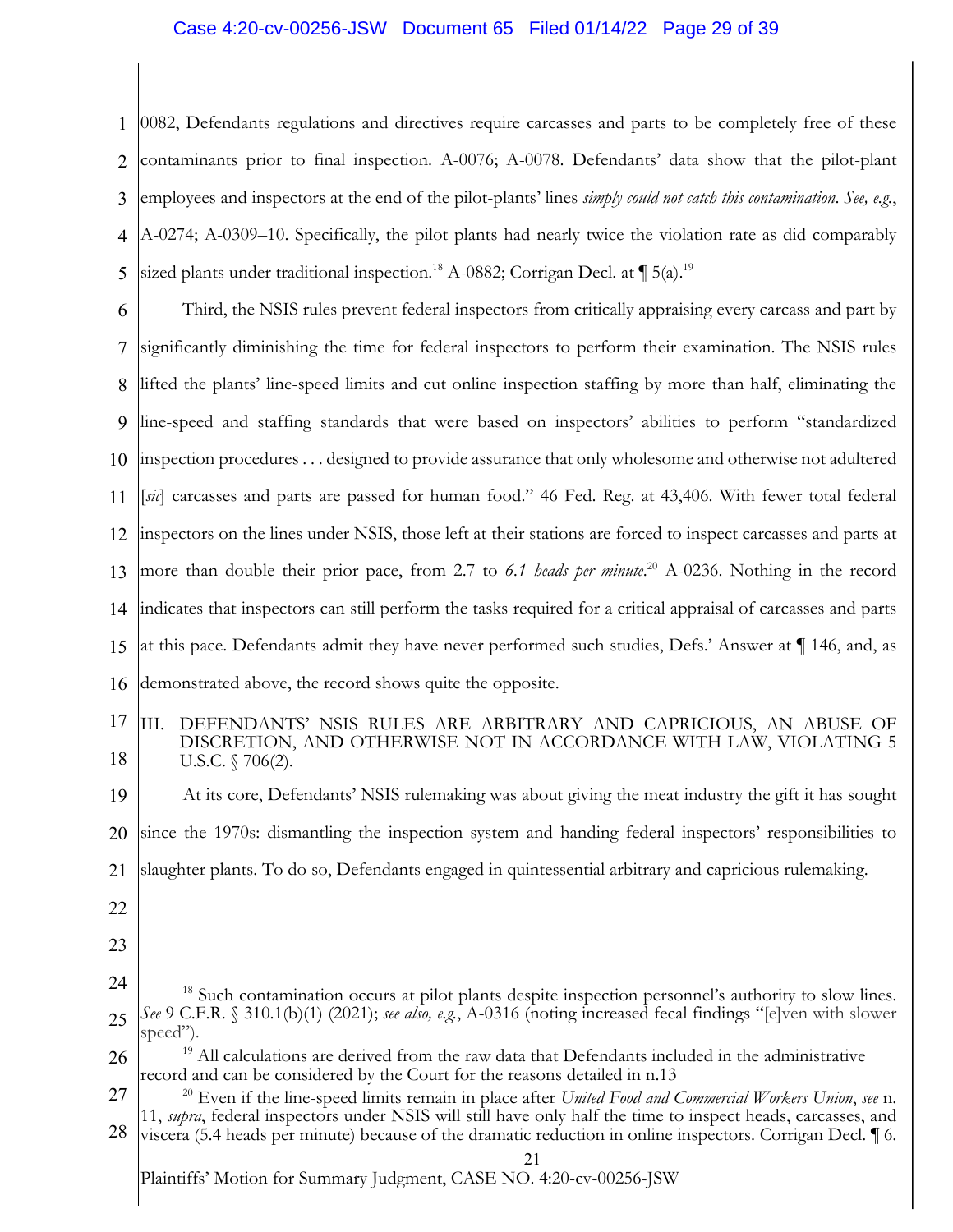# Case 4:20-cv-00256-JSW Document 65 Filed 01/14/22 Page 29 of 39

1 2 3 4 5 0082, Defendants regulations and directives require carcasses and parts to be completely free of these contaminants prior to final inspection. A-0076; A-0078. Defendants' data show that the pilot-plant employees and inspectors at the end of the pilot-plants' lines *simply could not catch this contamination*. *See, e.g.*, A-0274; A-0309–10. Specifically, the pilot plants had nearly twice the violation rate as did comparably sized plants under traditional inspection.<sup>18</sup> A-0882; Corrigan Decl. at  $\P$  5(a).<sup>19</sup>

6 7 8 9 10 11 12 13 14 15 16 Third, the NSIS rules prevent federal inspectors from critically appraising every carcass and part by significantly diminishing the time for federal inspectors to perform their examination. The NSIS rules lifted the plants' line-speed limits and cut online inspection staffing by more than half, eliminating the line-speed and staffing standards that were based on inspectors' abilities to perform "standardized inspection procedures . . . designed to provide assurance that only wholesome and otherwise not adultered [*sic*] carcasses and parts are passed for human food." 46 Fed. Reg. at 43,406. With fewer total federal inspectors on the lines under NSIS, those left at their stations are forced to inspect carcasses and parts at more than double their prior pace, from 2.7 to *6.1 heads per minute*. <sup>20</sup> A-0236. Nothing in the record indicates that inspectors can still perform the tasks required for a critical appraisal of carcasses and parts at this pace. Defendants admit they have never performed such studies, Defs.' Answer at ¶ 146, and, as demonstrated above, the record shows quite the opposite.

17 18 III. DEFENDANTS' NSIS RULES ARE ARBITRARY AND CAPRICIOUS, AN ABUSE OF DISCRETION, AND OTHERWISE NOT IN ACCORDANCE WITH LAW, VIOLATING 5 U.S.C. § 706(2).

19 20 21 At its core, Defendants' NSIS rulemaking was about giving the meat industry the gift it has sought since the 1970s: dismantling the inspection system and handing federal inspectors' responsibilities to slaughter plants. To do so, Defendants engaged in quintessential arbitrary and capricious rulemaking.

- 22
- 23

<sup>24</sup> 25 <sup>18</sup> Such contamination occurs at pilot plants despite inspection personnel's authority to slow lines. *See* 9 C.F.R. § 310.1(b)(1) (2021); *see also, e.g.*, A-0316 (noting increased fecal findings "[e]ven with slower speed").

<sup>26</sup>  $19$  All calculations are derived from the raw data that Defendants included in the administrative record and can be considered by the Court for the reasons detailed in n.13

<sup>27</sup> <sup>20</sup> Even if the line-speed limits remain in place after *United Food and Commercial Workers Union*, *see* n. 11, *supra*, federal inspectors under NSIS will still have only half the time to inspect heads, carcasses, and

<sup>28</sup> viscera (5.4 heads per minute) because of the dramatic reduction in online inspectors. Corrigan Decl. ¶ 6.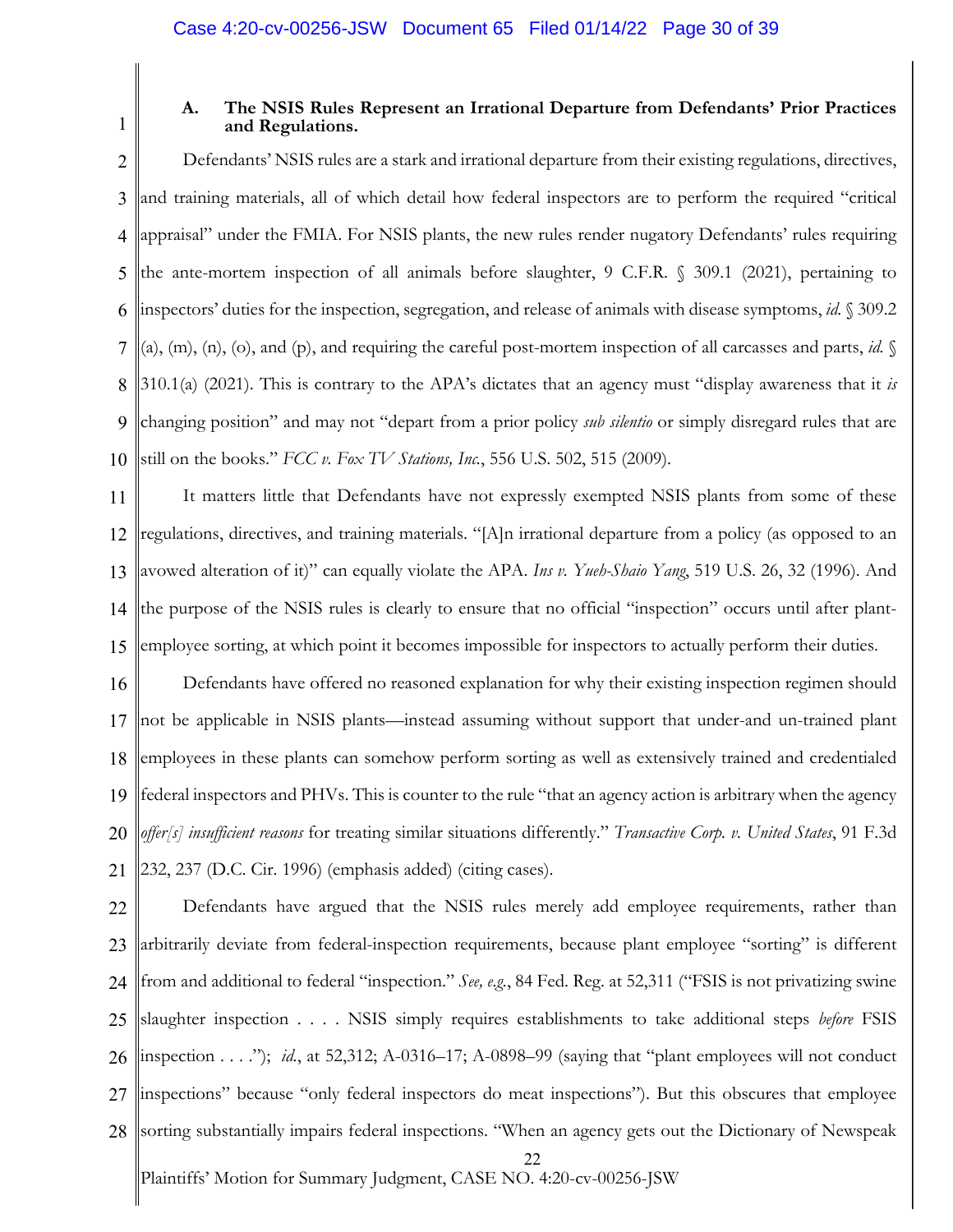1

# **A. The NSIS Rules Represent an Irrational Departure from Defendants' Prior Practices and Regulations.**

2 3 4 5 6 7 8 9 10 Defendants' NSIS rules are a stark and irrational departure from their existing regulations, directives, and training materials, all of which detail how federal inspectors are to perform the required "critical appraisal" under the FMIA. For NSIS plants, the new rules render nugatory Defendants' rules requiring the ante-mortem inspection of all animals before slaughter, 9 C.F.R. § 309.1 (2021), pertaining to inspectors' duties for the inspection, segregation, and release of animals with disease symptoms, *id.* § 309.2 (a),  $(m)$ ,  $(n)$ ,  $(o)$ , and  $(p)$ , and requiring the careful post-mortem inspection of all carcasses and parts, *id.*  $\sqrt{}$ 310.1(a) (2021). This is contrary to the APA's dictates that an agency must "display awareness that it *is* changing position" and may not "depart from a prior policy *sub silentio* or simply disregard rules that are still on the books." *FCC v. Fox TV Stations, Inc.*, 556 U.S. 502, 515 (2009).

11 12 13 14 15 It matters little that Defendants have not expressly exempted NSIS plants from some of these regulations, directives, and training materials. "[A]n irrational departure from a policy (as opposed to an avowed alteration of it)" can equally violate the APA. *Ins v. Yueh-Shaio Yang*, 519 U.S. 26, 32 (1996). And the purpose of the NSIS rules is clearly to ensure that no official "inspection" occurs until after plantemployee sorting, at which point it becomes impossible for inspectors to actually perform their duties.

16 17 18 19 20 21 Defendants have offered no reasoned explanation for why their existing inspection regimen should not be applicable in NSIS plants—instead assuming without support that under-and un-trained plant employees in these plants can somehow perform sorting as well as extensively trained and credentialed federal inspectors and PHVs. This is counter to the rule "that an agency action is arbitrary when the agency *offer[s] insufficient reasons* for treating similar situations differently." *Transactive Corp. v. United States*, 91 F.3d 232, 237 (D.C. Cir. 1996) (emphasis added) (citing cases).

Plaintiffs' Motion for Summary Judgment, CASE NO. 4:20-cv-00256-JSW 22 22 23 24 25 26 27 28 Defendants have argued that the NSIS rules merely add employee requirements, rather than arbitrarily deviate from federal-inspection requirements, because plant employee "sorting" is different from and additional to federal "inspection." *See, e.g.*, 84 Fed. Reg. at 52,311 ("FSIS is not privatizing swine slaughter inspection . . . . NSIS simply requires establishments to take additional steps *before* FSIS inspection . . . ."); *id.*, at 52,312; A-0316–17; A-0898–99 (saying that "plant employees will not conduct inspections" because "only federal inspectors do meat inspections"). But this obscures that employee sorting substantially impairs federal inspections. "When an agency gets out the Dictionary of Newspeak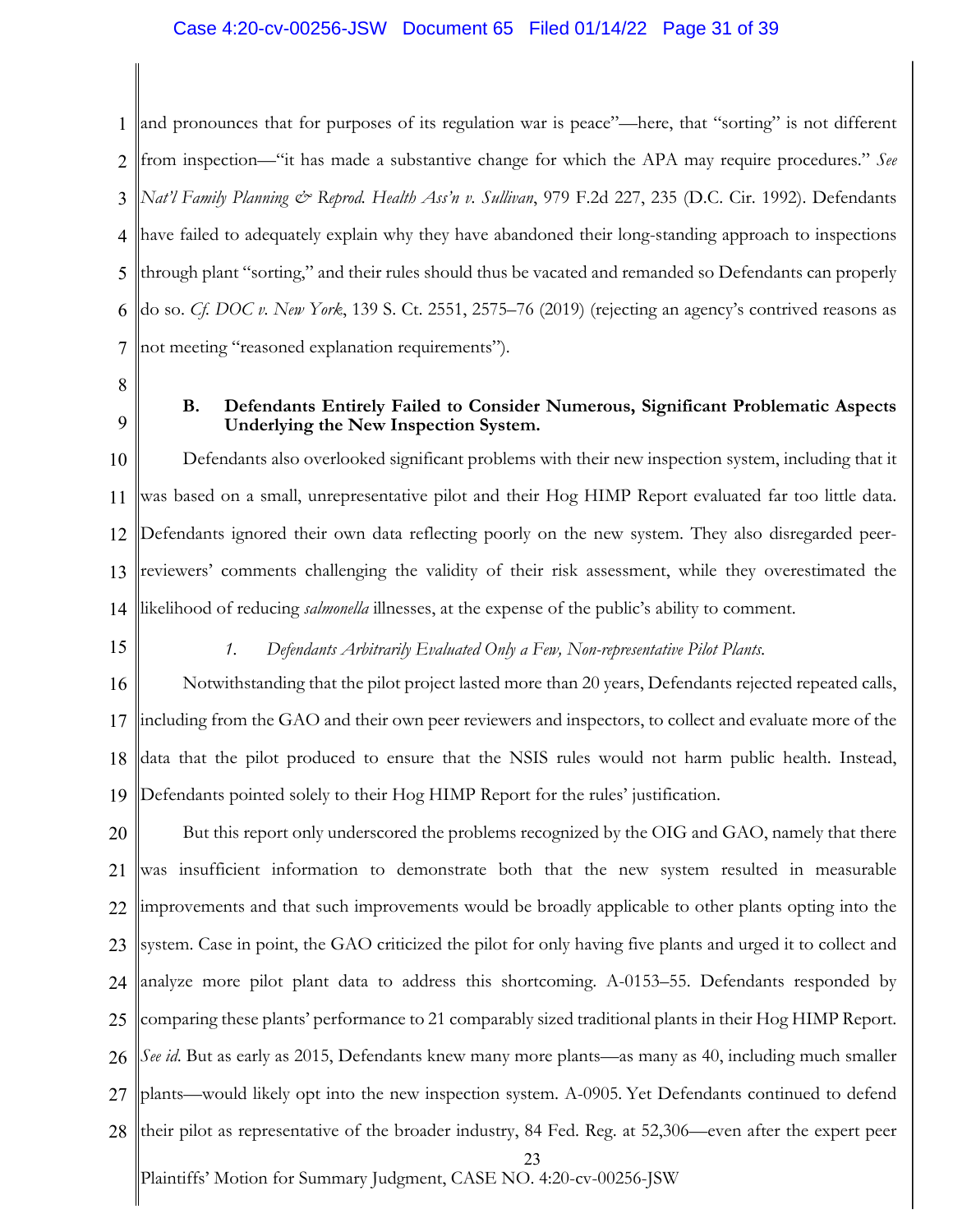# Case 4:20-cv-00256-JSW Document 65 Filed 01/14/22 Page 31 of 39

1 2 3 4 5 6 7 and pronounces that for purposes of its regulation war is peace"—here, that "sorting" is not different from inspection—"it has made a substantive change for which the APA may require procedures." *See Nat'l Family Planning & Reprod. Health Ass'n v. Sullivan*, 979 F.2d 227, 235 (D.C. Cir. 1992). Defendants have failed to adequately explain why they have abandoned their long-standing approach to inspections through plant "sorting," and their rules should thus be vacated and remanded so Defendants can properly do so. *Cf. DOC v. New York*, 139 S. Ct. 2551, 2575–76 (2019) (rejecting an agency's contrived reasons as not meeting "reasoned explanation requirements").

- 8
- 9

# **B. Defendants Entirely Failed to Consider Numerous, Significant Problematic Aspects Underlying the New Inspection System.**

10 11 12 13 14 Defendants also overlooked significant problems with their new inspection system, including that it was based on a small, unrepresentative pilot and their Hog HIMP Report evaluated far too little data. Defendants ignored their own data reflecting poorly on the new system. They also disregarded peerreviewers' comments challenging the validity of their risk assessment, while they overestimated the likelihood of reducing *salmonella* illnesses, at the expense of the public's ability to comment.

15

# *1. Defendants Arbitrarily Evaluated Only a Few, Non-representative Pilot Plants.*

16 17 18 19 Notwithstanding that the pilot project lasted more than 20 years, Defendants rejected repeated calls, including from the GAO and their own peer reviewers and inspectors, to collect and evaluate more of the data that the pilot produced to ensure that the NSIS rules would not harm public health. Instead, Defendants pointed solely to their Hog HIMP Report for the rules' justification.

Plaintiffs' Motion for Summary Judgment, CASE NO. 4:20-cv-00256-JSW 23 20 21 22 23 24 25 26 27 28 But this report only underscored the problems recognized by the OIG and GAO, namely that there was insufficient information to demonstrate both that the new system resulted in measurable improvements and that such improvements would be broadly applicable to other plants opting into the system. Case in point, the GAO criticized the pilot for only having five plants and urged it to collect and analyze more pilot plant data to address this shortcoming. A-0153–55. Defendants responded by comparing these plants' performance to 21 comparably sized traditional plants in their Hog HIMP Report. *See id*. But as early as 2015, Defendants knew many more plants—as many as 40, including much smaller plants—would likely opt into the new inspection system. A-0905. Yet Defendants continued to defend their pilot as representative of the broader industry, 84 Fed. Reg. at 52,306—even after the expert peer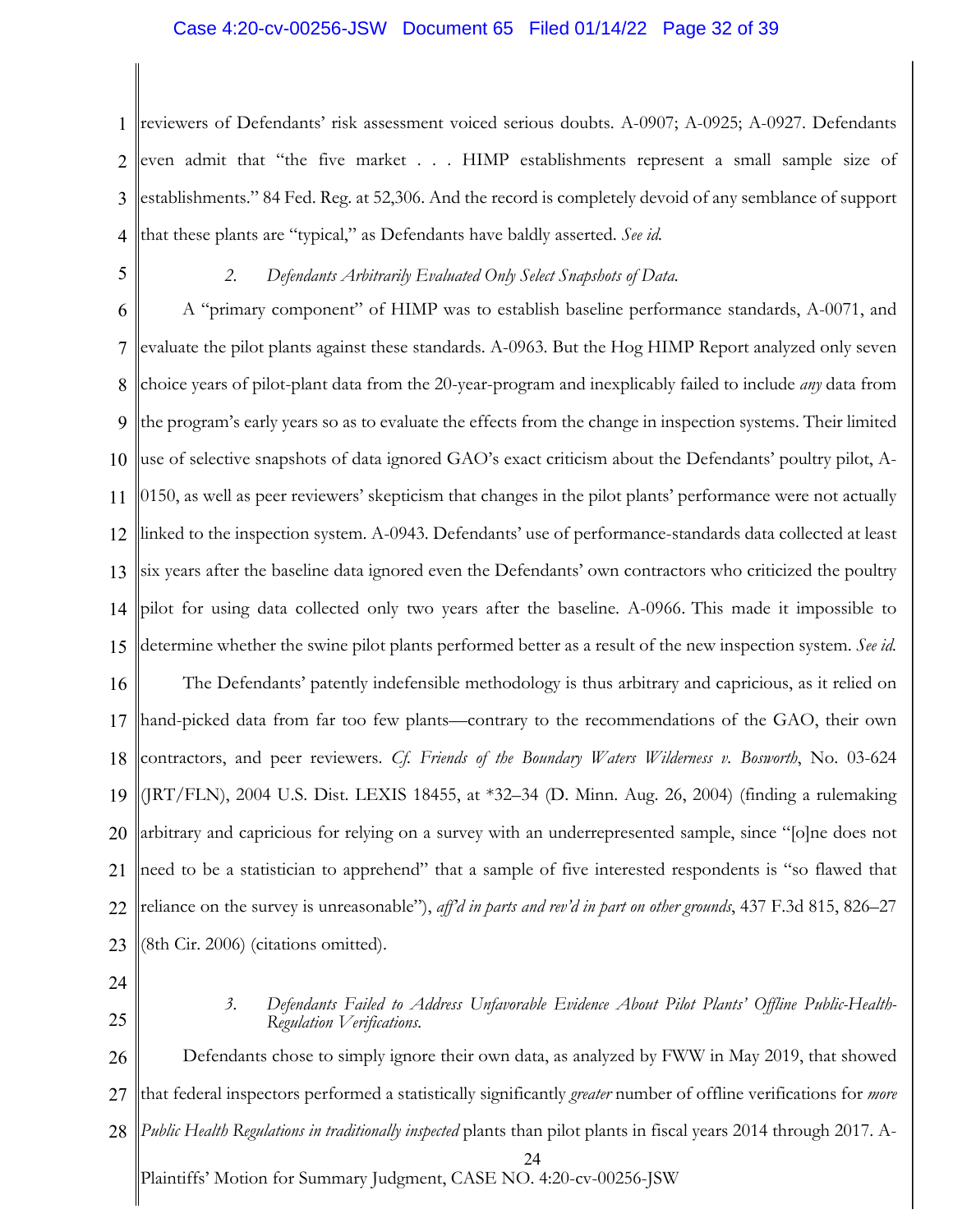# Case 4:20-cv-00256-JSW Document 65 Filed 01/14/22 Page 32 of 39

1 2 3 4 reviewers of Defendants' risk assessment voiced serious doubts. A-0907; A-0925; A-0927. Defendants even admit that "the five market . . . HIMP establishments represent a small sample size of establishments." 84 Fed. Reg. at 52,306. And the record is completely devoid of any semblance of support that these plants are "typical," as Defendants have baldly asserted. *See id.*

5

### *2. Defendants Arbitrarily Evaluated Only Select Snapshots of Data.*

6 7 8 9 10 11 12 13 14 15 16 17 18 19 20 21 22 23 A "primary component" of HIMP was to establish baseline performance standards, A-0071, and evaluate the pilot plants against these standards. A-0963. But the Hog HIMP Report analyzed only seven choice years of pilot-plant data from the 20-year-program and inexplicably failed to include *any* data from the program's early years so as to evaluate the effects from the change in inspection systems. Their limited use of selective snapshots of data ignored GAO's exact criticism about the Defendants' poultry pilot, A-0150, as well as peer reviewers' skepticism that changes in the pilot plants' performance were not actually linked to the inspection system. A-0943. Defendants' use of performance-standards data collected at least six years after the baseline data ignored even the Defendants' own contractors who criticized the poultry pilot for using data collected only two years after the baseline. A-0966. This made it impossible to determine whether the swine pilot plants performed better as a result of the new inspection system. *See id.* The Defendants' patently indefensible methodology is thus arbitrary and capricious, as it relied on hand-picked data from far too few plants—contrary to the recommendations of the GAO, their own contractors, and peer reviewers. *Cf. Friends of the Boundary Waters Wilderness v. Bosworth*, No. 03-624 (JRT/FLN), 2004 U.S. Dist. LEXIS 18455, at \*32–34 (D. Minn. Aug. 26, 2004) (finding a rulemaking arbitrary and capricious for relying on a survey with an underrepresented sample, since "[o]ne does not need to be a statistician to apprehend" that a sample of five interested respondents is "so flawed that reliance on the survey is unreasonable"), *aff'd in parts and rev'd in part on other grounds*, 437 F.3d 815, 826–27 (8th Cir. 2006) (citations omitted).

- 24
- 25

*3. Defendants Failed to Address Unfavorable Evidence About Pilot Plants' Offline Public-Health- Regulation Verifications.*

Plaintiffs' Motion for Summary Judgment, CASE NO. 4:20-cv-00256-JSW 24 26 27 28 Defendants chose to simply ignore their own data, as analyzed by FWW in May 2019, that showed that federal inspectors performed a statistically significantly *greater* number of offline verifications for *more Public Health Regulations in traditionally inspected* plants than pilot plants in fiscal years 2014 through 2017. A-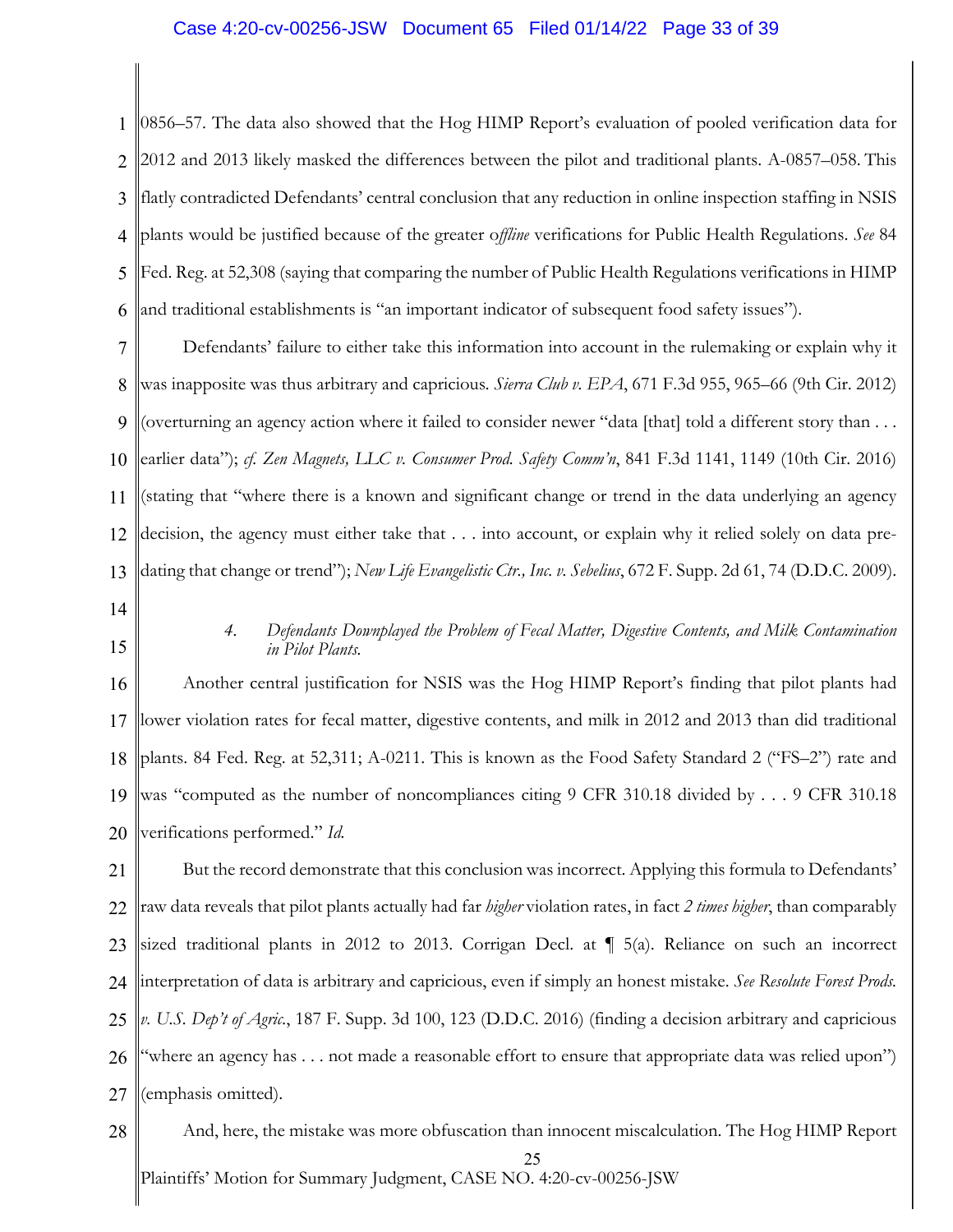## Case 4:20-cv-00256-JSW Document 65 Filed 01/14/22 Page 33 of 39

1 2 3 4 5 6 0856–57. The data also showed that the Hog HIMP Report's evaluation of pooled verification data for 2012 and 2013 likely masked the differences between the pilot and traditional plants. A-0857–058. This flatly contradicted Defendants' central conclusion that any reduction in online inspection staffing in NSIS plants would be justified because of the greater o*ffline* verifications for Public Health Regulations. *See* 84 Fed. Reg. at 52,308 (saying that comparing the number of Public Health Regulations verifications in HIMP and traditional establishments is "an important indicator of subsequent food safety issues").

7 8 9 10 11 12 13 Defendants' failure to either take this information into account in the rulemaking or explain why it was inapposite was thus arbitrary and capricious*. Sierra Club v. EPA*, 671 F.3d 955, 965–66 (9th Cir. 2012) (overturning an agency action where it failed to consider newer "data [that] told a different story than . . . earlier data"); *cf. Zen Magnets, LLC v. Consumer Prod. Safety Comm'n*, 841 F.3d 1141, 1149 (10th Cir. 2016) (stating that "where there is a known and significant change or trend in the data underlying an agency decision, the agency must either take that . . . into account, or explain why it relied solely on data predating that change or trend"); *New Life Evangelistic Ctr., Inc. v. Sebelius*, 672 F. Supp. 2d 61, 74 (D.D.C. 2009).

14

15

# *4. Defendants Downplayed the Problem of Fecal Matter, Digestive Contents, and Milk Contamination in Pilot Plants.*

16 17 18 19 20 Another central justification for NSIS was the Hog HIMP Report's finding that pilot plants had lower violation rates for fecal matter, digestive contents, and milk in 2012 and 2013 than did traditional plants. 84 Fed. Reg. at 52,311; A-0211. This is known as the Food Safety Standard 2 ("FS–2") rate and was "computed as the number of noncompliances citing 9 CFR 310.18 divided by . . . 9 CFR 310.18 verifications performed." *Id.*

21 22 23 24 25 26 27 But the record demonstrate that this conclusion was incorrect. Applying this formula to Defendants' raw data reveals that pilot plants actually had far *higher* violation rates, in fact *2 times higher*, than comparably sized traditional plants in 2012 to 2013. Corrigan Decl. at ¶ 5(a). Reliance on such an incorrect interpretation of data is arbitrary and capricious, even if simply an honest mistake. *See Resolute Forest Prods. v. U.S. Dep't of Agric.*, 187 F. Supp. 3d 100, 123 (D.D.C. 2016) (finding a decision arbitrary and capricious "where an agency has . . . not made a reasonable effort to ensure that appropriate data was relied upon") (emphasis omitted).

Plaintiffs' Motion for Summary Judgment, CASE NO. 4:20-cv-00256-JSW 25 28 And, here, the mistake was more obfuscation than innocent miscalculation. The Hog HIMP Report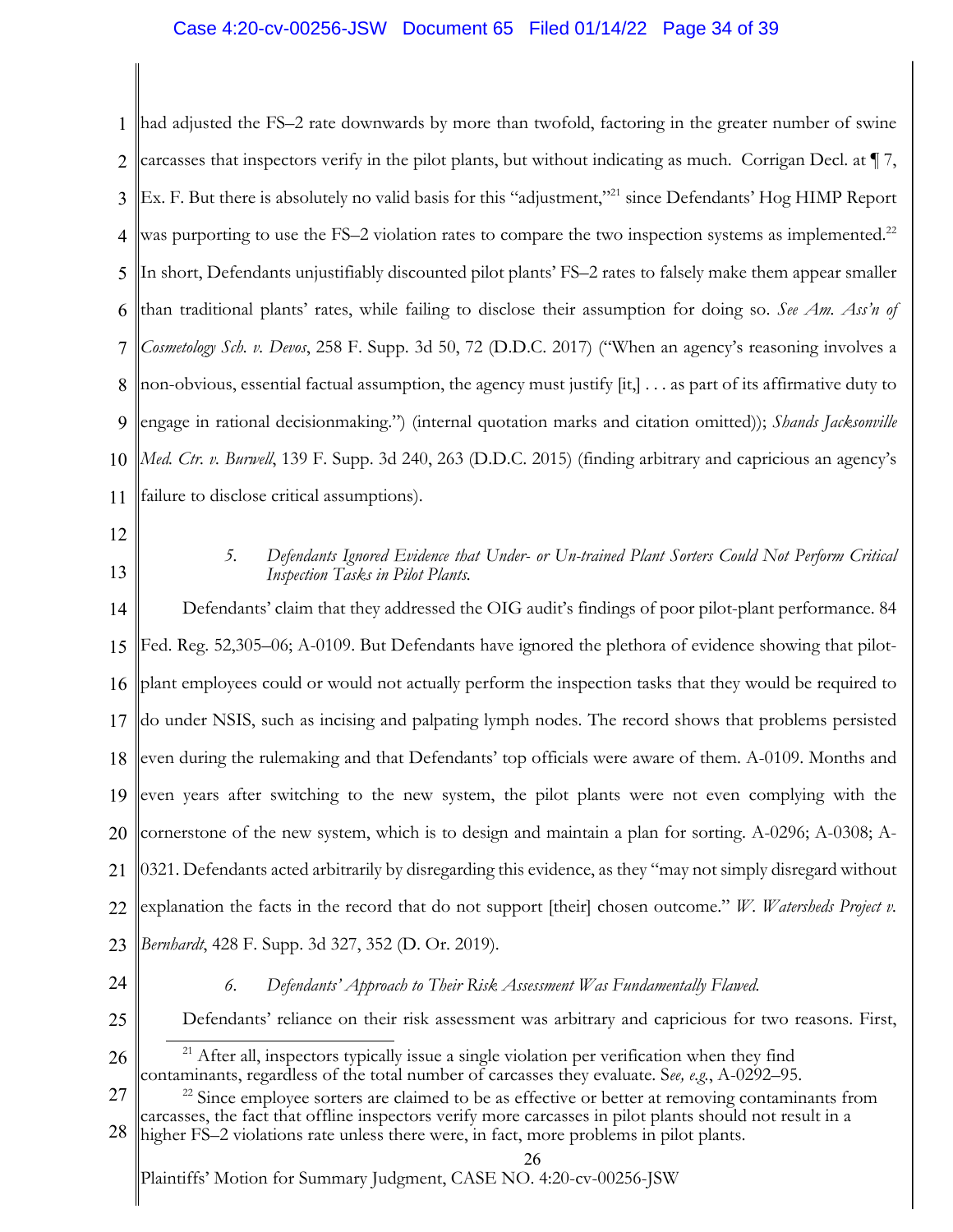# Case 4:20-cv-00256-JSW Document 65 Filed 01/14/22 Page 34 of 39

1 2 3 4 5 6 7 8 9 10 11 had adjusted the FS–2 rate downwards by more than twofold, factoring in the greater number of swine carcasses that inspectors verify in the pilot plants, but without indicating as much. Corrigan Decl. at ¶ 7, Ex. F. But there is absolutely no valid basis for this "adjustment,"<sup>21</sup> since Defendants' Hog HIMP Report was purporting to use the FS-2 violation rates to compare the two inspection systems as implemented.<sup>22</sup> In short, Defendants unjustifiably discounted pilot plants' FS–2 rates to falsely make them appear smaller than traditional plants' rates, while failing to disclose their assumption for doing so. *See Am. Ass'n of Cosmetology Sch. v. Devos*, 258 F. Supp. 3d 50, 72 (D.D.C. 2017) ("When an agency's reasoning involves a non-obvious, essential factual assumption, the agency must justify [it,] . . . as part of its affirmative duty to engage in rational decisionmaking.") (internal quotation marks and citation omitted)); *Shands Jacksonville Med. Ctr. v. Burwell*, 139 F. Supp. 3d 240, 263 (D.D.C. 2015) (finding arbitrary and capricious an agency's failure to disclose critical assumptions).

- 12
- 13

# *5. Defendants Ignored Evidence that Under- or Un-trained Plant Sorters Could Not Perform Critical Inspection Tasks in Pilot Plants.*

14 15 16 17 18 19 20 21 22 23 Defendants' claim that they addressed the OIG audit's findings of poor pilot-plant performance. 84 Fed. Reg. 52,305–06; A-0109. But Defendants have ignored the plethora of evidence showing that pilotplant employees could or would not actually perform the inspection tasks that they would be required to do under NSIS, such as incising and palpating lymph nodes. The record shows that problems persisted even during the rulemaking and that Defendants' top officials were aware of them. A-0109. Months and even years after switching to the new system, the pilot plants were not even complying with the cornerstone of the new system, which is to design and maintain a plan for sorting. A-0296; A-0308; A-0321. Defendants acted arbitrarily by disregarding this evidence, as they "may not simply disregard without explanation the facts in the record that do not support [their] chosen outcome." *W. Watersheds Project v. Bernhardt*, 428 F. Supp. 3d 327, 352 (D. Or. 2019).

24

### *6. Defendants' Approach to Their Risk Assessment Was Fundamentally Flawed.*

25

Defendants' reliance on their risk assessment was arbitrary and capricious for two reasons. First,

26 <sup>21</sup> After all, inspectors typically issue a single violation per verification when they find contaminants, regardless of the total number of carcasses they evaluate. S*ee, e.g.*, A-0292–95.

27 28  $22$  Since employee sorters are claimed to be as effective or better at removing contaminants from carcasses, the fact that offline inspectors verify more carcasses in pilot plants should not result in a

higher FS–2 violations rate unless there were, in fact, more problems in pilot plants.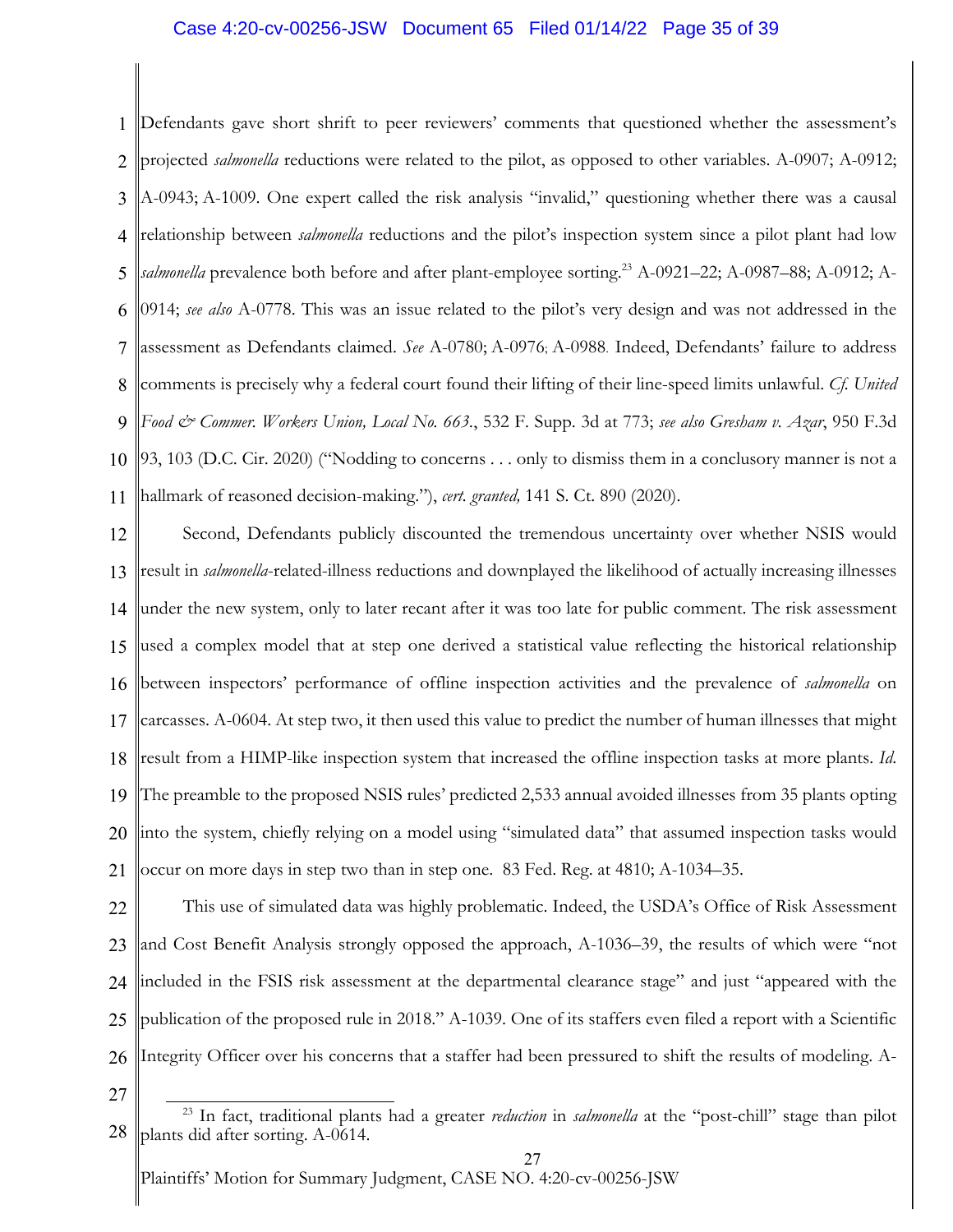# Case 4:20-cv-00256-JSW Document 65 Filed 01/14/22 Page 35 of 39

1 2 3 4 5 6 7 8 9 10 11 Defendants gave short shrift to peer reviewers' comments that questioned whether the assessment's projected *salmonella* reductions were related to the pilot, as opposed to other variables. A-0907; A-0912; A-0943; A-1009. One expert called the risk analysis "invalid," questioning whether there was a causal relationship between *salmonella* reductions and the pilot's inspection system since a pilot plant had low salmonella prevalence both before and after plant-employee sorting.<sup>23</sup> A-0921-22; A-0987-88; A-0912; A-0914; *see also* A-0778. This was an issue related to the pilot's very design and was not addressed in the assessment as Defendants claimed. *See* A-0780; A-0976; A-0988. Indeed, Defendants' failure to address comments is precisely why a federal court found their lifting of their line-speed limits unlawful. *Cf. United Food & Commer. Workers Union, Local No. 663.*, 532 F. Supp. 3d at 773; *see also Gresham v. Azar*, 950 F.3d 93, 103 (D.C. Cir. 2020) ("Nodding to concerns . . . only to dismiss them in a conclusory manner is not a hallmark of reasoned decision-making."), *cert. granted,* 141 S. Ct. 890 (2020).

12 13 14 15 16 17 18 19 20 21 Second, Defendants publicly discounted the tremendous uncertainty over whether NSIS would result in *salmonella*-related-illness reductions and downplayed the likelihood of actually increasing illnesses under the new system, only to later recant after it was too late for public comment. The risk assessment used a complex model that at step one derived a statistical value reflecting the historical relationship between inspectors' performance of offline inspection activities and the prevalence of *salmonella* on carcasses. A-0604. At step two, it then used this value to predict the number of human illnesses that might result from a HIMP-like inspection system that increased the offline inspection tasks at more plants. *Id*. The preamble to the proposed NSIS rules' predicted 2,533 annual avoided illnesses from 35 plants opting into the system, chiefly relying on a model using "simulated data" that assumed inspection tasks would occur on more days in step two than in step one. 83 Fed. Reg. at 4810; A-1034–35.

22 23 24 25 26 This use of simulated data was highly problematic. Indeed, the USDA's Office of Risk Assessment and Cost Benefit Analysis strongly opposed the approach, A-1036–39, the results of which were "not included in the FSIS risk assessment at the departmental clearance stage" and just "appeared with the publication of the proposed rule in 2018." A-1039. One of its staffers even filed a report with a Scientific Integrity Officer over his concerns that a staffer had been pressured to shift the results of modeling. A-

27

<sup>28</sup> <sup>23</sup> In fact, traditional plants had a greater *reduction* in *salmonella* at the "post-chill" stage than pilot plants did after sorting. A-0614.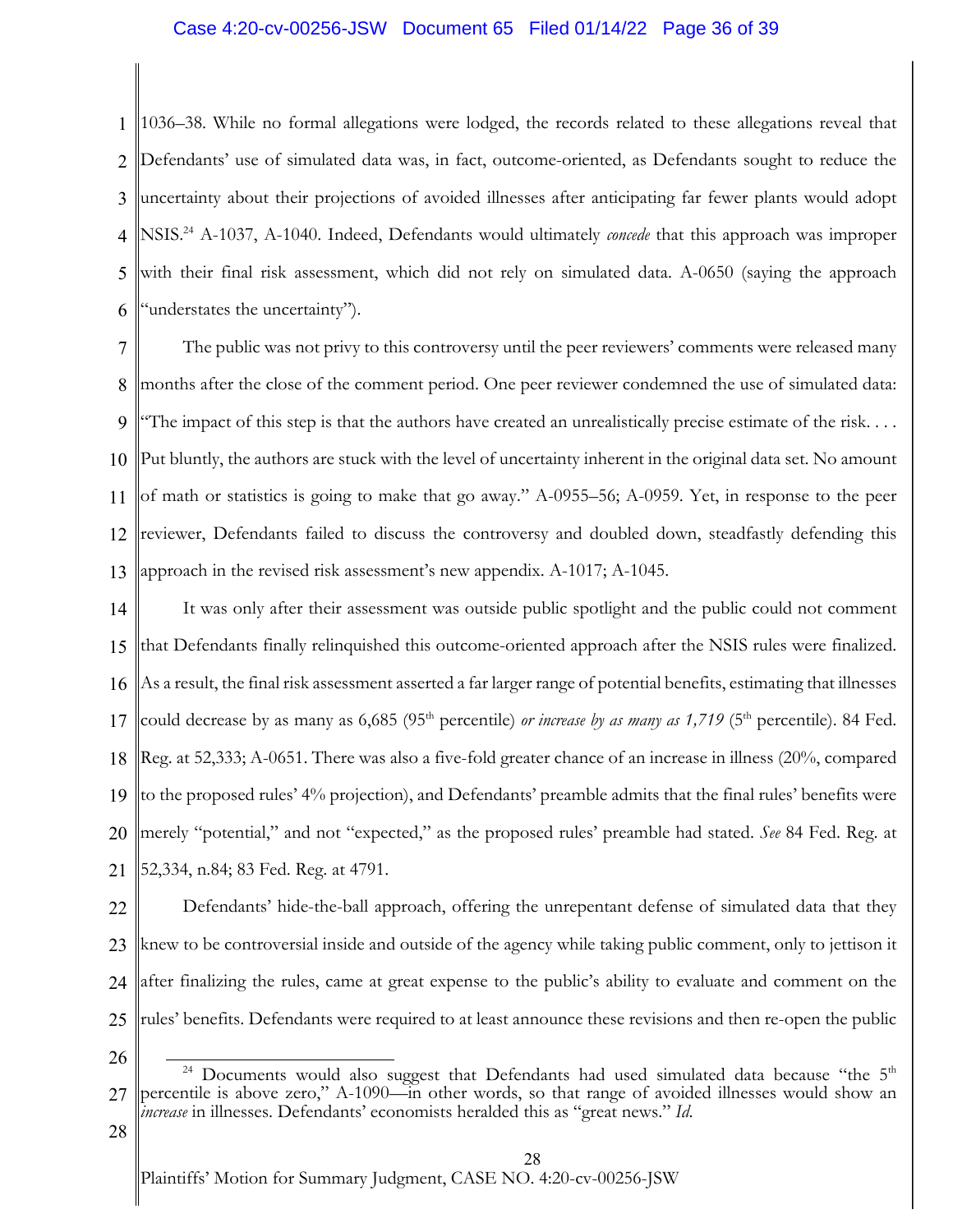# Case 4:20-cv-00256-JSW Document 65 Filed 01/14/22 Page 36 of 39

1 2 3 4 5 6 1036–38. While no formal allegations were lodged, the records related to these allegations reveal that Defendants' use of simulated data was, in fact, outcome-oriented, as Defendants sought to reduce the uncertainty about their projections of avoided illnesses after anticipating far fewer plants would adopt NSIS. <sup>24</sup> A-1037, A-1040. Indeed, Defendants would ultimately *concede* that this approach was improper with their final risk assessment, which did not rely on simulated data. A-0650 (saying the approach "understates the uncertainty").

7 8 9 10 11 12 13 The public was not privy to this controversy until the peer reviewers' comments were released many months after the close of the comment period. One peer reviewer condemned the use of simulated data: The impact of this step is that the authors have created an unrealistically precise estimate of the risk.... Put bluntly, the authors are stuck with the level of uncertainty inherent in the original data set. No amount of math or statistics is going to make that go away." A-0955–56; A-0959. Yet, in response to the peer reviewer, Defendants failed to discuss the controversy and doubled down, steadfastly defending this approach in the revised risk assessment's new appendix. A-1017; A-1045.

14 15 16 17 18 19 20 21 It was only after their assessment was outside public spotlight and the public could not comment that Defendants finally relinquished this outcome-oriented approach after the NSIS rules were finalized. As a result, the final risk assessment asserted a far larger range of potential benefits, estimating that illnesses could decrease by as many as  $6,685$  (95<sup>th</sup> percentile) *or increase by as many as 1,719* (5<sup>th</sup> percentile). 84 Fed. Reg. at 52,333; A-0651. There was also a five-fold greater chance of an increase in illness (20%, compared to the proposed rules' 4% projection), and Defendants' preamble admits that the final rules' benefits were merely "potential," and not "expected," as the proposed rules' preamble had stated. *See* 84 Fed. Reg. at 52,334, n.84; 83 Fed. Reg. at 4791.

22 23 24 25 Defendants' hide-the-ball approach, offering the unrepentant defense of simulated data that they knew to be controversial inside and outside of the agency while taking public comment, only to jettison it after finalizing the rules, came at great expense to the public's ability to evaluate and comment on the rules' benefits. Defendants were required to at least announce these revisions and then re-open the public

- 26 27 <sup>24</sup> Documents would also suggest that Defendants had used simulated data because "the  $5<sup>th</sup>$ percentile is above zero," A-1090—in other words, so that range of avoided illnesses would show an *increase* in illnesses. Defendants' economists heralded this as "great news." *Id*.
- 28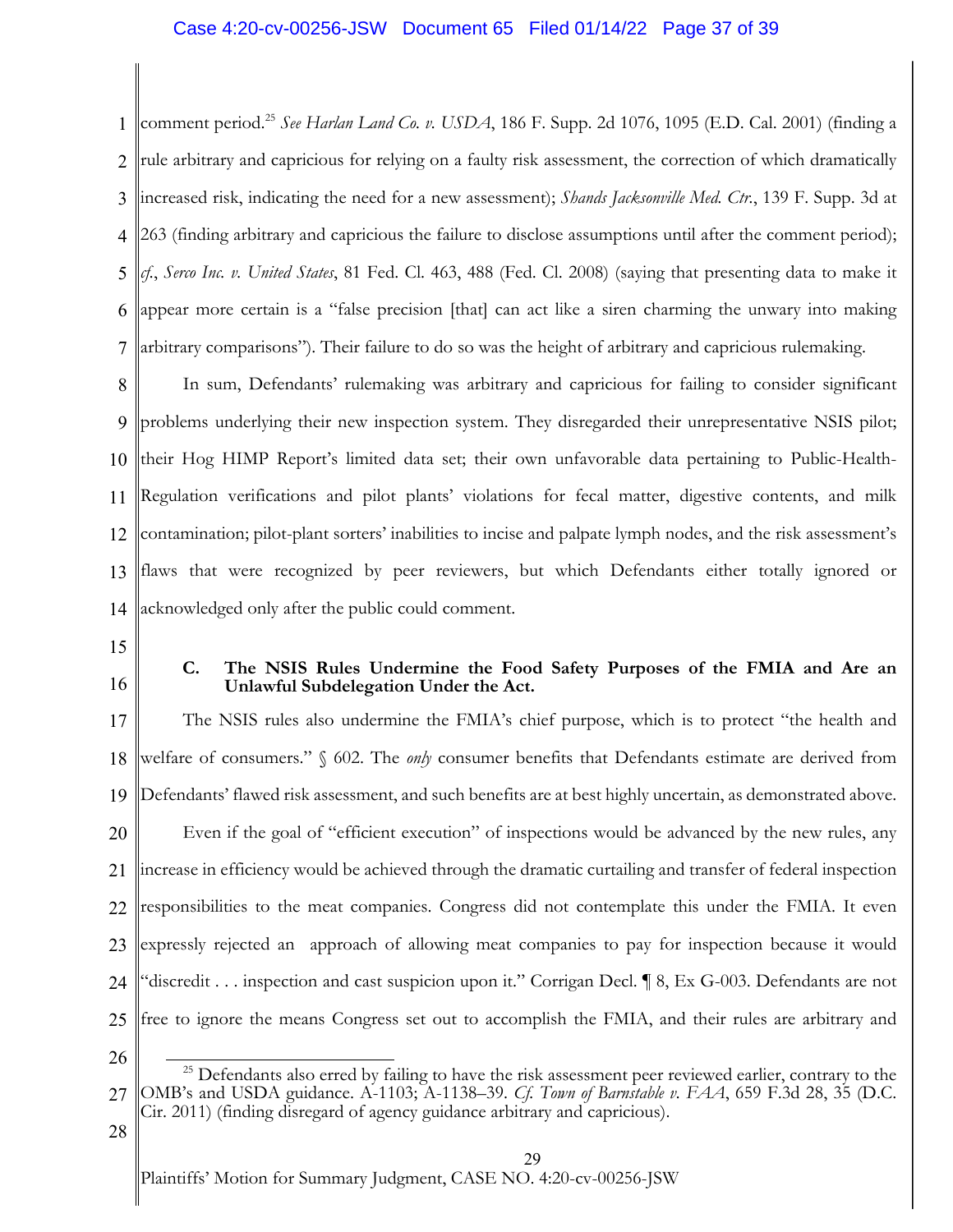# Case 4:20-cv-00256-JSW Document 65 Filed 01/14/22 Page 37 of 39

1 2 3 4 5 6 7 comment period. <sup>25</sup> *See Harlan Land Co. v. USDA*, 186 F. Supp. 2d 1076, 1095 (E.D. Cal. 2001) (finding a rule arbitrary and capricious for relying on a faulty risk assessment, the correction of which dramatically increased risk, indicating the need for a new assessment); *Shands Jacksonville Med. Ctr.*, 139 F. Supp. 3d at 263 (finding arbitrary and capricious the failure to disclose assumptions until after the comment period); *cf.*, *Serco Inc. v. United States*, 81 Fed. Cl. 463, 488 (Fed. Cl. 2008) (saying that presenting data to make it appear more certain is a "false precision [that] can act like a siren charming the unwary into making arbitrary comparisons"). Their failure to do so was the height of arbitrary and capricious rulemaking.

8 9 10 11 12 13 14 In sum, Defendants' rulemaking was arbitrary and capricious for failing to consider significant problems underlying their new inspection system. They disregarded their unrepresentative NSIS pilot; their Hog HIMP Report's limited data set; their own unfavorable data pertaining to Public-Health-Regulation verifications and pilot plants' violations for fecal matter, digestive contents, and milk contamination; pilot-plant sorters' inabilities to incise and palpate lymph nodes, and the risk assessment's flaws that were recognized by peer reviewers, but which Defendants either totally ignored or acknowledged only after the public could comment.

- 15
- 16

# **C. The NSIS Rules Undermine the Food Safety Purposes of the FMIA and Are an Unlawful Subdelegation Under the Act.**

17 18 19 20 21 22 23 24 25 The NSIS rules also undermine the FMIA's chief purpose, which is to protect "the health and welfare of consumers." § 602. The *only* consumer benefits that Defendants estimate are derived from Defendants' flawed risk assessment, and such benefits are at best highly uncertain, as demonstrated above. Even if the goal of "efficient execution" of inspections would be advanced by the new rules, any increase in efficiency would be achieved through the dramatic curtailing and transfer of federal inspection responsibilities to the meat companies. Congress did not contemplate this under the FMIA. It even expressly rejected an approach of allowing meat companies to pay for inspection because it would "discredit . . . inspection and cast suspicion upon it." Corrigan Decl. ¶ 8, Ex G-003. Defendants are not free to ignore the means Congress set out to accomplish the FMIA, and their rules are arbitrary and

26

28

<sup>27</sup> <sup>25</sup> Defendants also erred by failing to have the risk assessment peer reviewed earlier, contrary to the OMB's and USDA guidance. A-1103; A-1138–39. *Cf. Town of Barnstable v. FAA*, 659 F.3d 28, 35 (D.C. Cir. 2011) (finding disregard of agency guidance arbitrary and capricious).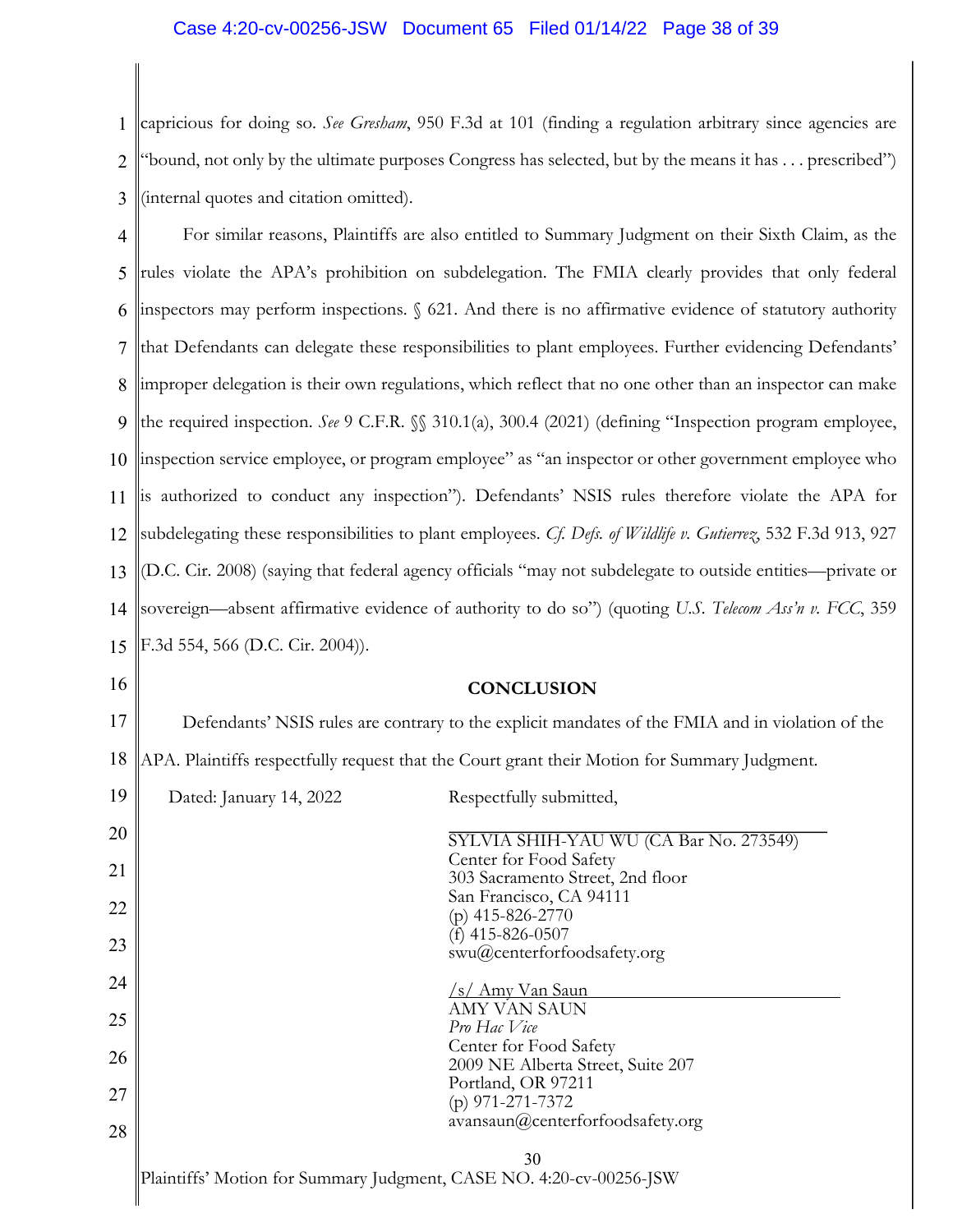# Case 4:20-cv-00256-JSW Document 65 Filed 01/14/22 Page 38 of 39

1 2 3 capricious for doing so. *See Gresham*, 950 F.3d at 101 (finding a regulation arbitrary since agencies are "bound, not only by the ultimate purposes Congress has selected, but by the means it has . . . prescribed") (internal quotes and citation omitted).

4 5 6 7 8 9 10 11 12 13 14 15 For similar reasons, Plaintiffs are also entitled to Summary Judgment on their Sixth Claim, as the rules violate the APA's prohibition on subdelegation. The FMIA clearly provides that only federal inspectors may perform inspections. § 621. And there is no affirmative evidence of statutory authority that Defendants can delegate these responsibilities to plant employees. Further evidencing Defendants' improper delegation is their own regulations, which reflect that no one other than an inspector can make the required inspection. *See* 9 C.F.R. §§ 310.1(a), 300.4 (2021) (defining "Inspection program employee, inspection service employee, or program employee" as "an inspector or other government employee who is authorized to conduct any inspection"). Defendants' NSIS rules therefore violate the APA for subdelegating these responsibilities to plant employees. *Cf. Defs. of Wildlife v. Gutierrez*, 532 F.3d 913, 927 (D.C. Cir. 2008) (saying that federal agency officials "may not subdelegate to outside entities—private or sovereign—absent affirmative evidence of authority to do so") (quoting *U.S. Telecom Ass'n v. FCC*, 359 F.3d 554, 566 (D.C. Cir. 2004)).

16

# **CONCLUSION**

17 18 Defendants' NSIS rules are contrary to the explicit mandates of the FMIA and in violation of the APA. Plaintiffs respectfully request that the Court grant their Motion for Summary Judgment.

| 19 | Dated: January 14, 2022 | Respectfully submitted,                                     |
|----|-------------------------|-------------------------------------------------------------|
| 20 |                         | SYLVIA SHIH-YAU WU (CA Bar No. 273549)                      |
| 21 |                         | Center for Food Safety<br>303 Sacramento Street, 2nd floor  |
| 22 |                         | San Francisco, CA 94111<br>$(p)$ 415-826-2770               |
| 23 |                         | (f) $415 - 826 - 0507$<br>swu@centerforfoodsafety.org       |
| 24 |                         | <u>/s/ Amy Van Saun</u>                                     |
| 25 |                         | AMY VAN SAUN<br>Pro Hac Vice                                |
| 26 |                         | Center for Food Safety<br>2009 NE Alberta Street, Suite 207 |
| 27 |                         | Portland, OR 97211<br>$(p)$ 971-271-7372                    |
| 28 |                         | avansaun@centerfor foodsafety.org                           |
|    |                         |                                                             |